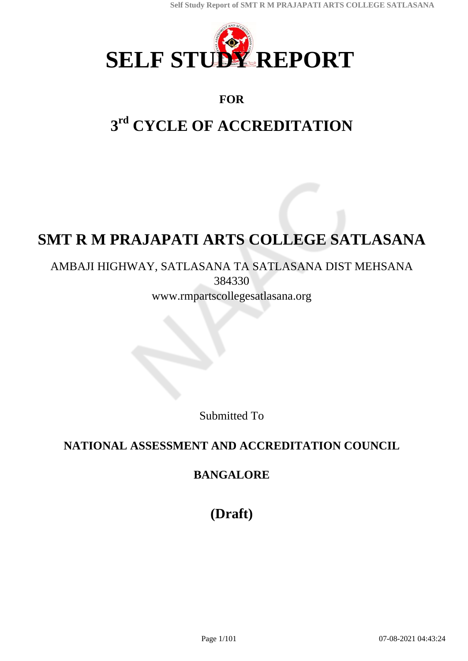

## **FOR**

# **3 rd CYCLE OF ACCREDITATION**

# **SMT R M PRAJAPATI ARTS COLLEGE SATLASANA**

# AMBAJI HIGHWAY, SATLASANA TA SATLASANA DIST MEHSANA 384330

www.rmpartscollegesatlasana.org

Submitted To

## **NATIONAL ASSESSMENT AND ACCREDITATION COUNCIL**

## **BANGALORE**

**(Draft)**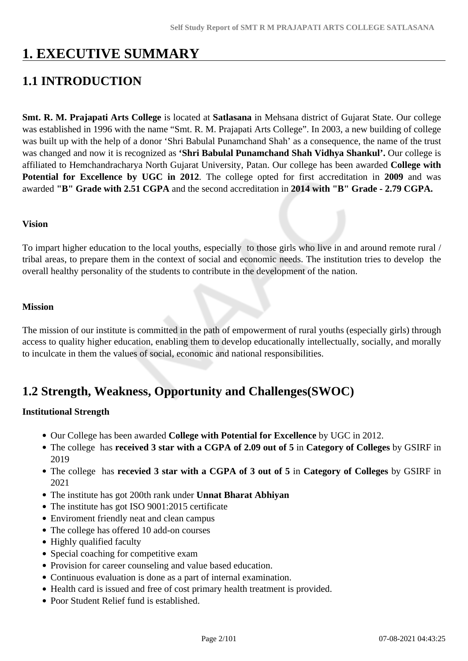## **1. EXECUTIVE SUMMARY**

## **1.1 INTRODUCTION**

**Smt. R. M. Prajapati Arts College** is located at **Satlasana** in Mehsana district of Gujarat State. Our college was established in 1996 with the name "Smt. R. M. Prajapati Arts College". In 2003, a new building of college was built up with the help of a donor 'Shri Babulal Punamchand Shah' as a consequence, the name of the trust was changed and now it is recognized as **'Shri Babulal Punamchand Shah Vidhya Shankul'.** Our college is affiliated to Hemchandracharya North Gujarat University, Patan. Our college has been awarded **College with Potential for Excellence by UGC in 2012**. The college opted for first accreditation in **2009** and was awarded **"B" Grade with 2.51 CGPA** and the second accreditation in **2014 with "B" Grade - 2.79 CGPA.** 

#### **Vision**

To impart higher education to the local youths, especially to those girls who live in and around remote rural / tribal areas, to prepare them in the context of social and economic needs. The institution tries to develop the overall healthy personality of the students to contribute in the development of the nation.

#### **Mission**

The mission of our institute is committed in the path of empowerment of rural youths (especially girls) through access to quality higher education, enabling them to develop educationally intellectually, socially, and morally to inculcate in them the values of social, economic and national responsibilities.

## **1.2 Strength, Weakness, Opportunity and Challenges(SWOC)**

#### **Institutional Strength**

- Our College has been awarded **College with Potential for Excellence** by UGC in 2012.
- The college has **received 3 star with a CGPA of 2.09 out of 5** in **Category of Colleges** by GSIRF in 2019
- The college has **recevied 3 star with a CGPA of 3 out of 5** in **Category of Colleges** by GSIRF in 2021
- The institute has got 200th rank under **Unnat Bharat Abhiyan**
- The institute has got ISO 9001:2015 certificate
- Enviroment friendly neat and clean campus
- The college has offered 10 add-on courses
- Highly qualified faculty
- Special coaching for competitive exam
- Provision for career counseling and value based education.
- Continuous evaluation is done as a part of internal examination.
- Health card is issued and free of cost primary health treatment is provided.
- Poor Student Relief fund is established.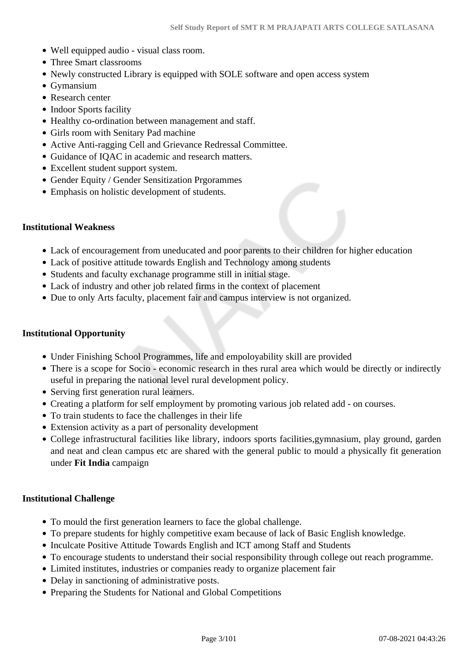- Well equipped audio visual class room.
- Three Smart classrooms
- Newly constructed Library is equipped with SOLE software and open access system
- Gymansium
- Research center
- Indoor Sports facility
- Healthy co-ordination between management and staff.
- Girls room with Senitary Pad machine
- Active Anti-ragging Cell and Grievance Redressal Committee.
- Guidance of IQAC in academic and research matters.
- Excellent student support system.
- Gender Equity / Gender Sensitization Prgorammes
- Emphasis on holistic development of students.

#### **Institutional Weakness**

- Lack of encouragement from uneducated and poor parents to their children for higher education
- Lack of positive attitude towards English and Technology among students
- Students and faculty exchanage programme still in initial stage.
- Lack of industry and other job related firms in the context of placement
- Due to only Arts faculty, placement fair and campus interview is not organized.

#### **Institutional Opportunity**

- Under Finishing School Programmes, life and empoloyability skill are provided
- There is a scope for Socio economic research in thes rural area which would be directly or indirectly useful in preparing the national level rural development policy.
- Serving first generation rural learners.
- Creating a platform for self employment by promoting various job related add on courses.
- To train students to face the challenges in their life
- Extension activity as a part of personality development
- College infrastructural facilities like library, indoors sports facilities,gymnasium, play ground, garden and neat and clean campus etc are shared with the general public to mould a physically fit generation under **Fit India** campaign

#### **Institutional Challenge**

- To mould the first generation learners to face the global challenge.
- To prepare students for highly competitive exam because of lack of Basic English knowledge.
- Inculcate Positive Attitude Towards English and ICT among Staff and Students
- To encourage students to understand their social responsibility through college out reach programme.
- Limited institutes, industries or companies ready to organize placement fair
- Delay in sanctioning of administrative posts.
- Preparing the Students for National and Global Competitions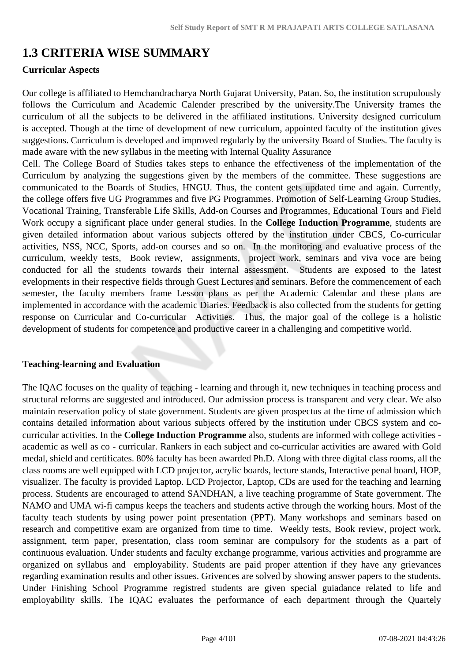## **1.3 CRITERIA WISE SUMMARY**

#### **Curricular Aspects**

Our college is affiliated to Hemchandracharya North Gujarat University, Patan. So, the institution scrupulously follows the Curriculum and Academic Calender prescribed by the university.The University frames the curriculum of all the subjects to be delivered in the affiliated institutions. University designed curriculum is accepted. Though at the time of development of new curriculum, appointed faculty of the institution gives suggestions. Curriculum is developed and improved regularly by the university Board of Studies. The faculty is made aware with the new syllabus in the meeting with Internal Quality Assurance

Cell. The College Board of Studies takes steps to enhance the effectiveness of the implementation of the Curriculum by analyzing the suggestions given by the members of the committee. These suggestions are communicated to the Boards of Studies, HNGU. Thus, the content gets updated time and again. Currently, the college offers five UG Programmes and five PG Programmes. Promotion of Self-Learning Group Studies, Vocational Training, Transferable Life Skills, Add-on Courses and Programmes, Educational Tours and Field Work occupy a significant place under general studies. In the **College Induction Programme**, students are given detailed information about various subjects offered by the institution under CBCS, Co-curricular activities, NSS, NCC, Sports, add-on courses and so on. In the monitoring and evaluative process of the curriculum, weekly tests, Book review, assignments, project work, seminars and viva voce are being conducted for all the students towards their internal assessment. Students are exposed to the latest evelopments in their respective fields through Guest Lectures and seminars. Before the commencement of each semester, the faculty members frame Lesson plans as per the Academic Calendar and these plans are implemented in accordance with the academic Diaries. Feedback is also collected from the students for getting response on Curricular and Co-curricular Activities. Thus, the major goal of the college is a holistic development of students for competence and productive career in a challenging and competitive world.

#### **Teaching-learning and Evaluation**

The IQAC focuses on the quality of teaching - learning and through it, new techniques in teaching process and structural reforms are suggested and introduced. Our admission process is transparent and very clear. We also maintain reservation policy of state government. Students are given prospectus at the time of admission which contains detailed information about various subjects offered by the institution under CBCS system and cocurricular activities. In the **College Induction Programme** also, students are informed with college activities academic as well as co - curricular. Rankers in each subject and co-curricular activities are awared with Gold medal, shield and certificates. 80% faculty has been awarded Ph.D. Along with three digital class rooms, all the class rooms are well equipped with LCD projector, acrylic boards, lecture stands, Interactive penal board, HOP, visualizer. The faculty is provided Laptop. LCD Projector, Laptop, CDs are used for the teaching and learning process. Students are encouraged to attend SANDHAN, a live teaching programme of State government. The NAMO and UMA wi-fi campus keeps the teachers and students active through the working hours. Most of the faculty teach students by using power point presentation (PPT). Many workshops and seminars based on research and competitive exam are organized from time to time. Weekly tests, Book review, project work, assignment, term paper, presentation, class room seminar are compulsory for the students as a part of continuous evaluation. Under students and faculty exchange programme, various activities and programme are organized on syllabus and employability. Students are paid proper attention if they have any grievances regarding examination results and other issues. Grivences are solved by showing answer papers to the students. Under Finishing School Programme registred students are given special guiadance related to life and employability skills. The IQAC evaluates the performance of each department through the Quartely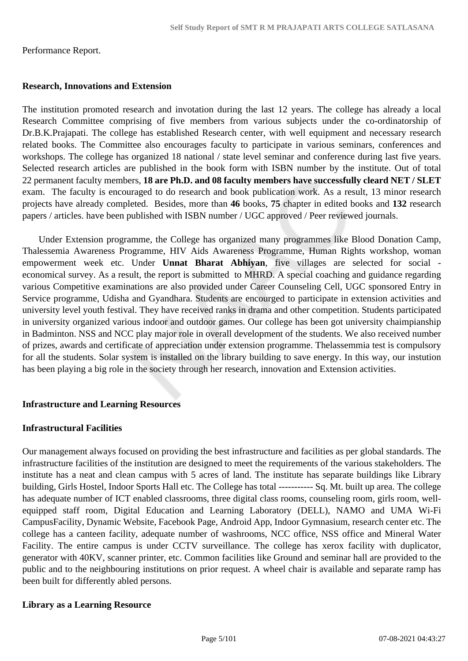Performance Report.

#### **Research, Innovations and Extension**

The institution promoted research and invotation during the last 12 years. The college has already a local Research Committee comprising of five members from various subjects under the co-ordinatorship of Dr.B.K.Prajapati. The college has established Research center, with well equipment and necessary research related books. The Committee also encourages faculty to participate in various seminars, conferences and workshops. The college has organized 18 national / state level seminar and conference during last five years. Selected research articles are published in the book form with ISBN number by the institute. Out of total 22 permanent faculty members, **18 are Ph.D. and 08 faculty members have successfully cleard NET / SLET** exam. The faculty is encouraged to do research and book publication work. As a result, 13 minor research projects have already completed. Besides, more than **46** books, **75** chapter in edited books and **132** research papers / articles. have been published with ISBN number / UGC approved / Peer reviewed journals.

 Under Extension programme, the College has organized many programmes like Blood Donation Camp, Thalessemia Awareness Programme, HIV Aids Awareness Programme, Human Rights workshop, woman empowerment week etc. Under **Unnat Bharat Abhiyan**, five villages are selected for social economical survey. As a result, the report is submitted to MHRD. A special coaching and guidance regarding various Competitive examinations are also provided under Career Counseling Cell, UGC sponsored Entry in Service programme, Udisha and Gyandhara. Students are encourged to participate in extension activities and university level youth festival. They have received ranks in drama and other competition. Students participated in university organized various indoor and outdoor games. Our college has been got university chaimpianship in Badminton. NSS and NCC play major role in overall development of the students. We also received number of prizes, awards and certificate of appreciation under extension programme. Thelassemmia test is compulsory for all the students. Solar system is installed on the library building to save energy. In this way, our instution has been playing a big role in the society through her research, innovation and Extension activities.

#### **Infrastructure and Learning Resources**

#### **Infrastructural Facilities**

Our management always focused on providing the best infrastructure and facilities as per global standards. The infrastructure facilities of the institution are designed to meet the requirements of the various stakeholders. The institute has a neat and clean campus with 5 acres of land. The institute has separate buildings like Library building, Girls Hostel, Indoor Sports Hall etc. The College has total ----------- Sq. Mt. built up area. The college has adequate number of ICT enabled classrooms, three digital class rooms, counseling room, girls room, wellequipped staff room, Digital Education and Learning Laboratory (DELL), NAMO and UMA Wi-Fi CampusFacility, Dynamic Website, Facebook Page, Android App, Indoor Gymnasium, research center etc. The college has a canteen facility, adequate number of washrooms, NCC office, NSS office and Mineral Water Facility. The entire campus is under CCTV surveillance. The college has xerox facility with duplicator, generator with 40KV, scanner printer, etc. Common facilities like Ground and seminar hall are provided to the public and to the neighbouring institutions on prior request. A wheel chair is available and separate ramp has been built for differently abled persons.

#### **Library as a Learning Resource**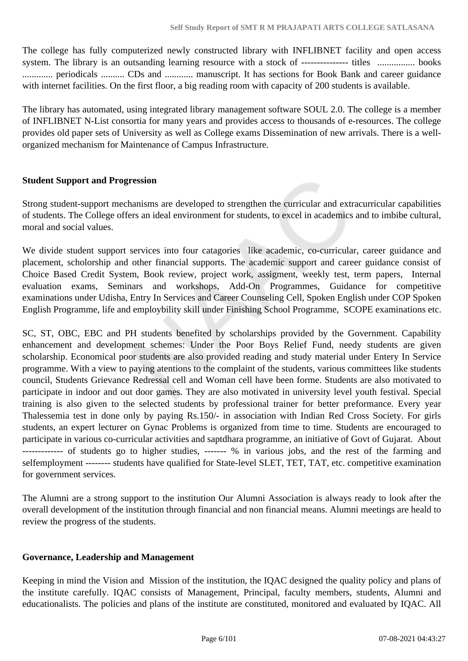The college has fully computerized newly constructed library with INFLIBNET facility and open access system. The library is an outsanding learning resource with a stock of ---------------- titles .................. books ............. periodicals .......... CDs and ............ manuscript. It has sections for Book Bank and career guidance with internet facilities. On the first floor, a big reading room with capacity of 200 students is available.

The library has automated, using integrated library management software SOUL 2.0. The college is a member of INFLIBNET N-List consortia for many years and provides access to thousands of e-resources. The college provides old paper sets of University as well as College exams Dissemination of new arrivals. There is a wellorganized mechanism for Maintenance of Campus Infrastructure.

#### **Student Support and Progression**

Strong student-support mechanisms are developed to strengthen the curricular and extracurricular capabilities of students. The College offers an ideal environment for students, to excel in academics and to imbibe cultural, moral and social values.

We divide student support services into four catagories like academic, co-curricular, career guidance and placement, scholorship and other financial supports. The academic support and career guidance consist of Choice Based Credit System, Book review, project work, assigment, weekly test, term papers, Internal evaluation exams, Seminars and workshops, Add-On Programmes, Guidance for competitive examinations under Udisha, Entry In Services and Career Counseling Cell, Spoken English under COP Spoken English Programme, life and employbility skill under Finishing School Programme, SCOPE examinations etc.

SC, ST, OBC, EBC and PH students benefited by scholarships provided by the Government. Capability enhancement and development schemes: Under the Poor Boys Relief Fund, needy students are given scholarship. Economical poor students are also provided reading and study material under Entery In Service programme. With a view to paying atentions to the complaint of the students, various committees like students council, Students Grievance Redressal cell and Woman cell have been forme. Students are also motivated to participate in indoor and out door games. They are also motivated in university level youth festival. Special training is also given to the selected students by professional trainer for better preformance. Every year Thalessemia test in done only by paying Rs.150/- in association with Indian Red Cross Society. For girls students, an expert lecturer on Gynac Problems is organized from time to time. Students are encouraged to participate in various co-curricular activities and saptdhara programme, an initiative of Govt of Gujarat. About ------------- of students go to higher studies, ------- % in various jobs, and the rest of the farming and selfemployment -------- students have qualified for State-level SLET, TET, TAT, etc. competitive examination for government services.

The Alumni are a strong support to the institution Our Alumni Association is always ready to look after the overall development of the institution through financial and non financial means. Alumni meetings are heald to review the progress of the students.

#### **Governance, Leadership and Management**

Keeping in mind the Vision and Mission of the institution, the IQAC designed the quality policy and plans of the institute carefully. IQAC consists of Management, Principal, faculty members, students, Alumni and educationalists. The policies and plans of the institute are constituted, monitored and evaluated by IQAC. All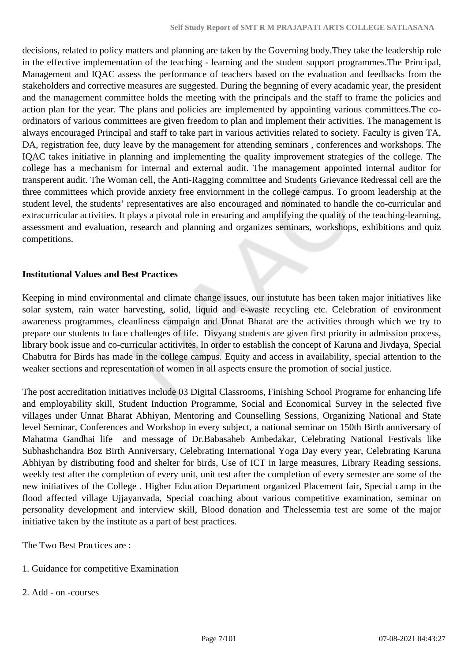decisions, related to policy matters and planning are taken by the Governing body.They take the leadership role in the effective implementation of the teaching - learning and the student support programmes.The Principal, Management and IQAC assess the performance of teachers based on the evaluation and feedbacks from the stakeholders and corrective measures are suggested. During the begnning of every acadamic year, the president and the management committee holds the meeting with the principals and the staff to frame the policies and action plan for the year. The plans and policies are implemented by appointing various committees.The coordinators of various committees are given freedom to plan and implement their activities. The management is always encouraged Principal and staff to take part in various activities related to society. Faculty is given TA, DA, registration fee, duty leave by the management for attending seminars, conferences and workshops. The IQAC takes initiative in planning and implementing the quality improvement strategies of the college. The college has a mechanism for internal and external audit. The management appointed internal auditor for transperent audit. The Woman cell, the Anti-Ragging committee and Students Grievance Redressal cell are the three committees which provide anxiety free enviornment in the college campus. To groom leadership at the student level, the students' representatives are also encouraged and nominated to handle the co-curricular and extracurricular activities. It plays a pivotal role in ensuring and amplifying the quality of the teaching-learning, assessment and evaluation, research and planning and organizes seminars, workshops, exhibitions and quiz competitions.

#### **Institutional Values and Best Practices**

Keeping in mind environmental and climate change issues, our instutute has been taken major initiatives like solar system, rain water harvesting, solid, liquid and e-waste recycling etc. Celebration of environment awareness programmes, cleanliness campaign and Unnat Bharat are the activities through which we try to prepare our students to face challenges of life. Divyang students are given first priority in admission process, library book issue and co-curricular actitivites. In order to establish the concept of Karuna and Jivdaya, Special Chabutra for Birds has made in the college campus. Equity and access in availability, special attention to the weaker sections and representation of women in all aspects ensure the promotion of social justice.

The post accreditation initiatives include 03 Digital Classrooms, Finishing School Programe for enhancing life and employability skill, Student Induction Programme, Social and Economical Survey in the selected five villages under Unnat Bharat Abhiyan, Mentoring and Counselling Sessions, Organizing National and State level Seminar, Conferences and Workshop in every subject, a national seminar on 150th Birth anniversary of Mahatma Gandhai life and message of Dr.Babasaheb Ambedakar, Celebrating National Festivals like Subhashchandra Boz Birth Anniversary, Celebrating International Yoga Day every year, Celebrating Karuna Abhiyan by distributing food and shelter for birds, Use of ICT in large measures, Library Reading sessions, weekly test after the completion of every unit, unit test after the completion of every semester are some of the new initiatives of the College . Higher Education Department organized Placement fair, Special camp in the flood affected village Ujjayanvada, Special coaching about various competitive examination, seminar on personality development and interview skill, Blood donation and Thelessemia test are some of the major initiative taken by the institute as a part of best practices.

The Two Best Practices are :

- 1. Guidance for competitive Examination
- 2. Add on -courses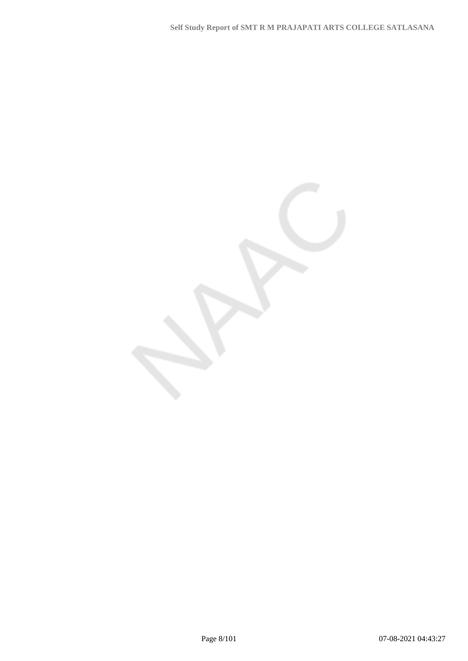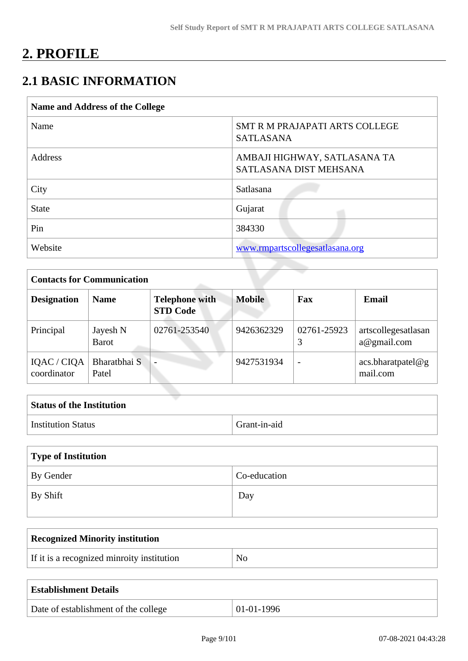## **2. PROFILE**

## **2.1 BASIC INFORMATION**

| Name and Address of the College |                                                        |  |
|---------------------------------|--------------------------------------------------------|--|
| Name                            | SMT R M PRAJAPATI ARTS COLLEGE<br><b>SATLASANA</b>     |  |
| Address                         | AMBAJI HIGHWAY, SATLASANA TA<br>SATLASANA DIST MEHSANA |  |
| City                            | Satlasana                                              |  |
| <b>State</b>                    | Gujarat                                                |  |
| Pin                             | 384330                                                 |  |
| Website                         | www.rmpartscollegesatlasana.org                        |  |
|                                 |                                                        |  |

| <b>Contacts for Communication</b> |                          |                                          |               |                          |                                    |
|-----------------------------------|--------------------------|------------------------------------------|---------------|--------------------------|------------------------------------|
| <b>Designation</b>                | <b>Name</b>              | <b>Telephone with</b><br><b>STD Code</b> | <b>Mobile</b> | Fax                      | <b>Email</b>                       |
| Principal                         | Jayesh N<br><b>Barot</b> | 02761-253540                             | 9426362329    | 02761-25923              | artscollegesatlasan<br>a@gmail.com |
| IQAC / CIQA<br>coordinator        | Bharatbhai S<br>Patel    |                                          | 9427531934    | $\overline{\phantom{0}}$ | acs.bharatpatch@g<br>mail.com      |

| <b>Status of the Institution</b> |              |
|----------------------------------|--------------|
| <b>Institution Status</b>        | Grant-in-aid |

| Type of Institution |              |  |
|---------------------|--------------|--|
| By Gender           | Co-education |  |
| By Shift            | Day          |  |

| <b>Recognized Minority institution</b>     |                |  |
|--------------------------------------------|----------------|--|
| If it is a recognized minroity institution | N <sub>o</sub> |  |
|                                            |                |  |

| <b>Establishment Details</b>         |                |
|--------------------------------------|----------------|
| Date of establishment of the college | $ 01-01-1996 $ |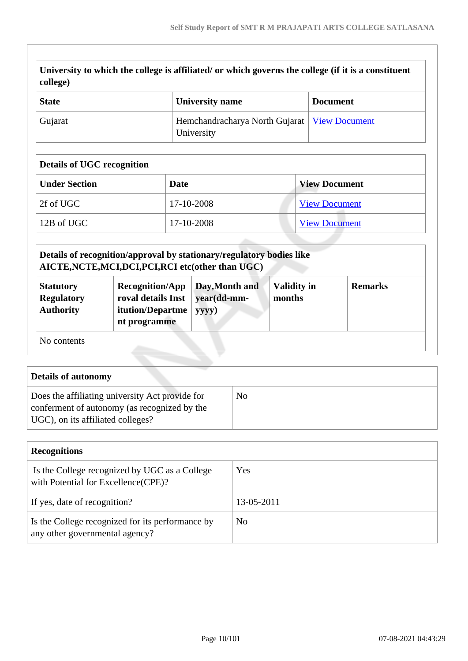|                  | University to which the college is affiliated/ or which governs the college (if it is a constituent |
|------------------|-----------------------------------------------------------------------------------------------------|
| $\vert$ college) |                                                                                                     |

| <b>State</b> | <b>University name</b>                                       | <b>Document</b> |
|--------------|--------------------------------------------------------------|-----------------|
| Gujarat      | Hemchandracharya North Gujarat   View Document<br>University |                 |

## **Details of UGC recognition**

| <b>Under Section</b> | <b>View Document</b><br>Date |                      |
|----------------------|------------------------------|----------------------|
| 2f of UGC            | 17-10-2008                   | <b>View Document</b> |
| 12B of UGC           | 17-10-2008                   | <b>View Document</b> |

|                                                           | Details of recognition/approval by stationary/regulatory bodies like<br>AICTE, NCTE, MCI, DCI, PCI, RCI etc(other than UGC) |                                        |                              |                |
|-----------------------------------------------------------|-----------------------------------------------------------------------------------------------------------------------------|----------------------------------------|------------------------------|----------------|
| <b>Statutory</b><br><b>Regulatory</b><br><b>Authority</b> | <b>Recognition/App</b><br>roval details Inst<br>itution/Departme<br>nt programme                                            | Day, Month and<br>year(dd-mm-<br>yyyy) | <b>Validity in</b><br>months | <b>Remarks</b> |
| No contents                                               |                                                                                                                             |                                        |                              |                |

| Details of autonomy                                                                                                                  |    |  |
|--------------------------------------------------------------------------------------------------------------------------------------|----|--|
| Does the affiliating university Act provide for<br>conferment of autonomy (as recognized by the<br>UGC), on its affiliated colleges? | No |  |

| <b>Recognitions</b>                                                                  |            |  |
|--------------------------------------------------------------------------------------|------------|--|
| Is the College recognized by UGC as a College<br>with Potential for Excellence(CPE)? | Yes        |  |
| If yes, date of recognition?                                                         | 13-05-2011 |  |
| Is the College recognized for its performance by<br>any other governmental agency?   | No         |  |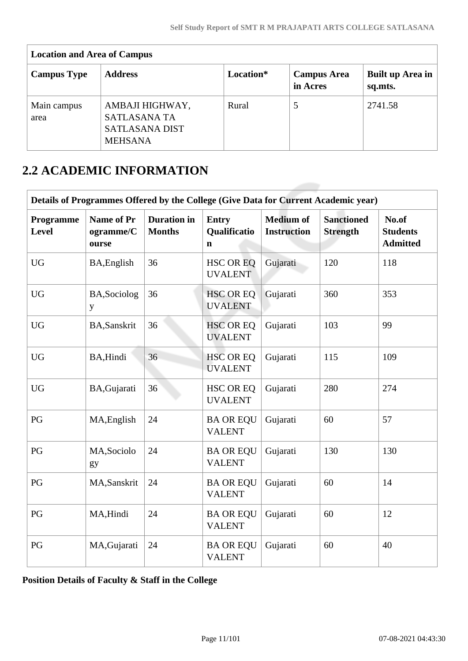| <b>Location and Area of Campus</b> |                                                                            |           |                                |                             |  |  |  |  |  |  |
|------------------------------------|----------------------------------------------------------------------------|-----------|--------------------------------|-----------------------------|--|--|--|--|--|--|
| <b>Campus Type</b>                 | <b>Address</b>                                                             | Location* | <b>Campus Area</b><br>in Acres | Built up Area in<br>sq.mts. |  |  |  |  |  |  |
| Main campus<br>area                | AMBAJI HIGHWAY,<br>SATLASANA TA<br><b>SATLASANA DIST</b><br><b>MEHSANA</b> | Rural     | $\mathcal{L}$                  | 2741.58                     |  |  |  |  |  |  |

## **2.2 ACADEMIC INFORMATION**

|                           |                                         |                                     | Details of Programmes Offered by the College (Give Data for Current Academic year) |                                        |                                      |                                             |
|---------------------------|-----------------------------------------|-------------------------------------|------------------------------------------------------------------------------------|----------------------------------------|--------------------------------------|---------------------------------------------|
| Programme<br><b>Level</b> | <b>Name of Pr</b><br>ogramme/C<br>ourse | <b>Duration</b> in<br><b>Months</b> | <b>Entry</b><br>Qualificatio<br>$\mathbf n$                                        | <b>Medium of</b><br><b>Instruction</b> | <b>Sanctioned</b><br><b>Strength</b> | No.of<br><b>Students</b><br><b>Admitted</b> |
| <b>UG</b>                 | BA, English                             | 36                                  | <b>HSC OR EQ</b><br><b>UVALENT</b>                                                 | Gujarati                               | 120                                  | 118                                         |
| <b>UG</b>                 | BA, Sociolog<br>y                       | 36                                  | <b>HSC OR EQ</b><br><b>UVALENT</b>                                                 | Gujarati                               | 360                                  | 353                                         |
| <b>UG</b>                 | <b>BA,Sanskrit</b>                      | 36                                  | <b>HSC OR EQ</b><br><b>UVALENT</b>                                                 | Gujarati                               | 103                                  | 99                                          |
| <b>UG</b>                 | BA, Hindi                               | 36                                  | HSC OR EQ<br><b>UVALENT</b>                                                        | Gujarati                               | 115                                  | 109                                         |
| <b>UG</b>                 | BA, Gujarati                            | 36                                  | <b>HSC OR EQ</b><br><b>UVALENT</b>                                                 | Gujarati                               | 280                                  | 274                                         |
| PG                        | MA, English                             | 24                                  | <b>BA OR EQU</b><br><b>VALENT</b>                                                  | Gujarati                               | 60                                   | 57                                          |
| PG                        | MA, Sociolo<br>gy                       | 24                                  | <b>BA OR EQU</b><br><b>VALENT</b>                                                  | Gujarati                               | 130                                  | 130                                         |
| PG                        | MA,Sanskrit                             | 24                                  | <b>BA OR EQU</b><br><b>VALENT</b>                                                  | Gujarati                               | 60                                   | 14                                          |
| PG                        | MA, Hindi                               | 24                                  | <b>BA OR EQU</b><br><b>VALENT</b>                                                  | Gujarati                               | 60                                   | 12                                          |
| PG                        | MA, Gujarati                            | 24                                  | <b>BA OR EQU</b><br><b>VALENT</b>                                                  | Gujarati                               | 60                                   | 40                                          |

**Position Details of Faculty & Staff in the College**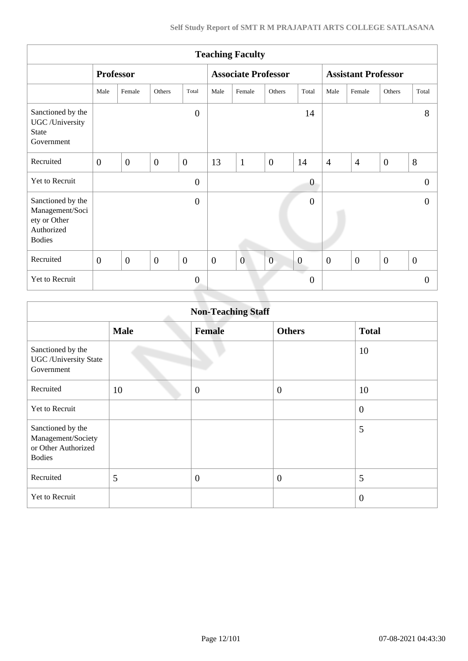|                                                                                     | <b>Teaching Faculty</b> |                  |                |                |                |                            |                |                  |                            |                |                |                |
|-------------------------------------------------------------------------------------|-------------------------|------------------|----------------|----------------|----------------|----------------------------|----------------|------------------|----------------------------|----------------|----------------|----------------|
|                                                                                     |                         | <b>Professor</b> |                |                |                | <b>Associate Professor</b> |                |                  | <b>Assistant Professor</b> |                |                |                |
|                                                                                     | Male                    | Female           | Others         | Total          | Male           | Female                     | Others         | Total            | Male                       | Female         | Others         | Total          |
| Sanctioned by the<br>UGC /University<br><b>State</b><br>Government                  |                         |                  |                | $\overline{0}$ |                |                            |                | 14               |                            |                |                | 8              |
| Recruited                                                                           | $\overline{0}$          | $\overline{0}$   | $\overline{0}$ | $\overline{0}$ | 13             | $\mathbf{1}$               | $\overline{0}$ | 14               | $\overline{4}$             | $\overline{4}$ | $\overline{0}$ | 8              |
| Yet to Recruit                                                                      |                         |                  |                | $\overline{0}$ |                |                            |                | $\theta$         |                            |                |                | $\overline{0}$ |
| Sanctioned by the<br>Management/Soci<br>ety or Other<br>Authorized<br><b>Bodies</b> |                         |                  |                | $\overline{0}$ |                |                            |                | $\boldsymbol{0}$ |                            |                |                | $\theta$       |
| Recruited                                                                           | $\overline{0}$          | $\overline{0}$   | $\overline{0}$ | $\theta$       | $\overline{0}$ | $\overline{0}$             | $\overline{0}$ | $\boldsymbol{0}$ | $\overline{0}$             | $\overline{0}$ | $\overline{0}$ | $\overline{0}$ |
| Yet to Recruit                                                                      |                         |                  |                | $\overline{0}$ |                |                            |                | $\overline{0}$   |                            |                |                | $\Omega$       |
|                                                                                     |                         |                  |                |                |                |                            |                |                  |                            |                |                |                |

|                                                                                 |             | <b>Non-Teaching Staff</b> |                  |                |
|---------------------------------------------------------------------------------|-------------|---------------------------|------------------|----------------|
|                                                                                 | <b>Male</b> | <b>Female</b>             | <b>Others</b>    | <b>Total</b>   |
| Sanctioned by the<br><b>UGC</b> / University State<br>Government                |             |                           |                  | 10             |
| Recruited                                                                       | 10          | $\overline{0}$            | $\boldsymbol{0}$ | 10             |
| Yet to Recruit                                                                  |             |                           |                  | $\theta$       |
| Sanctioned by the<br>Management/Society<br>or Other Authorized<br><b>Bodies</b> |             |                           |                  | 5              |
| Recruited                                                                       | 5           | $\overline{0}$            | $\boldsymbol{0}$ | 5              |
| Yet to Recruit                                                                  |             |                           |                  | $\overline{0}$ |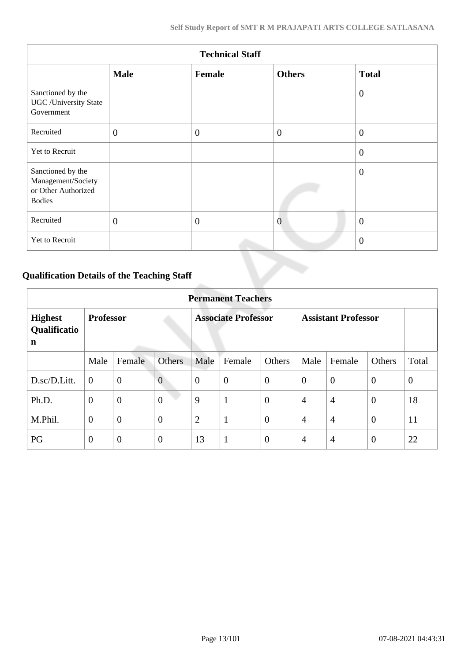|                                                                                 | <b>Technical Staff</b> |              |                |                  |  |  |  |  |  |  |  |
|---------------------------------------------------------------------------------|------------------------|--------------|----------------|------------------|--|--|--|--|--|--|--|
|                                                                                 | <b>Male</b>            | Female       | <b>Others</b>  | <b>Total</b>     |  |  |  |  |  |  |  |
| Sanctioned by the<br>UGC/University State<br>Government                         |                        |              |                | $\theta$         |  |  |  |  |  |  |  |
| Recruited                                                                       | $\mathbf{0}$           | $\theta$     | $\overline{0}$ | $\boldsymbol{0}$ |  |  |  |  |  |  |  |
| Yet to Recruit                                                                  |                        |              |                | $\theta$         |  |  |  |  |  |  |  |
| Sanctioned by the<br>Management/Society<br>or Other Authorized<br><b>Bodies</b> |                        |              |                | $\overline{0}$   |  |  |  |  |  |  |  |
| Recruited                                                                       | $\overline{0}$         | $\mathbf{0}$ | $\overline{0}$ | $\mathbf{0}$     |  |  |  |  |  |  |  |
| Yet to Recruit                                                                  |                        |              |                | $\overline{0}$   |  |  |  |  |  |  |  |

## **Qualification Details of the Teaching Staff**

|                                     | <b>Permanent Teachers</b> |                |                |                |                            |                |                |                            |                |                |  |  |
|-------------------------------------|---------------------------|----------------|----------------|----------------|----------------------------|----------------|----------------|----------------------------|----------------|----------------|--|--|
| <b>Highest</b><br>Qualificatio<br>n | <b>Professor</b>          |                |                |                | <b>Associate Professor</b> |                |                | <b>Assistant Professor</b> |                |                |  |  |
|                                     | Male                      | Female         | <b>Others</b>  | Male           | Female                     | Others         | Male           | Female                     | Others         | Total          |  |  |
| D.sc/D.Litt.                        | $\overline{0}$            | $\mathbf{0}$   | $\overline{0}$ | $\theta$       | $\overline{0}$             | $\theta$       | $\overline{0}$ | $\theta$                   | $\overline{0}$ | $\overline{0}$ |  |  |
| Ph.D.                               | $\overline{0}$            | $\overline{0}$ | $\overline{0}$ | 9              | $\mathbf{1}$               | $\overline{0}$ | $\overline{4}$ | $\overline{4}$             | $\theta$       | 18             |  |  |
| M.Phil.                             | $\boldsymbol{0}$          | $\overline{0}$ | $\overline{0}$ | $\overline{2}$ | 1                          | $\overline{0}$ | $\overline{4}$ | $\overline{4}$             | $\overline{0}$ | 11             |  |  |
| PG                                  | $\theta$                  | $\overline{0}$ | $\theta$       | 13             | $\mathbf{1}$               | $\overline{0}$ | $\overline{4}$ | $\overline{4}$             | $\overline{0}$ | 22             |  |  |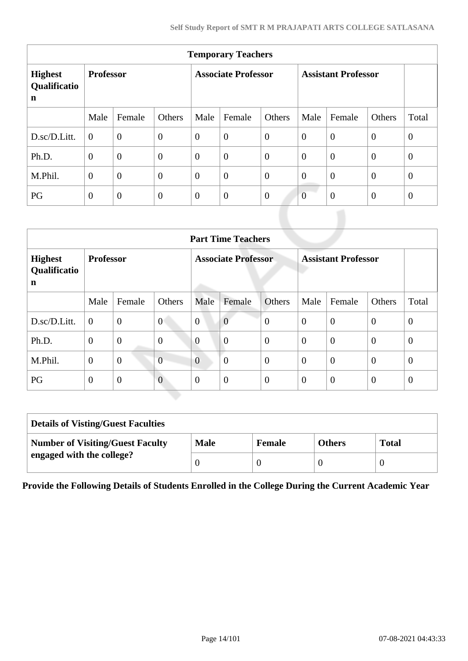| <b>Temporary Teachers</b>           |                  |                  |                  |                            |                |                |                            |                |                |                |  |  |
|-------------------------------------|------------------|------------------|------------------|----------------------------|----------------|----------------|----------------------------|----------------|----------------|----------------|--|--|
| <b>Highest</b><br>Qualificatio<br>n | <b>Professor</b> |                  |                  | <b>Associate Professor</b> |                |                | <b>Assistant Professor</b> |                |                |                |  |  |
|                                     | Male             | Female           | Others           | Male                       | Female         | Others         | Male                       | Female         | Others         | Total          |  |  |
| D.sc/D.Litt.                        | $\theta$         | $\overline{0}$   | $\overline{0}$   | $\overline{0}$             | $\overline{0}$ | $\overline{0}$ | $\overline{0}$             | $\overline{0}$ | $\overline{0}$ | $\overline{0}$ |  |  |
| Ph.D.                               | $\overline{0}$   | $\theta$         | $\boldsymbol{0}$ | $\overline{0}$             | $\overline{0}$ | $\overline{0}$ | $\theta$                   | $\overline{0}$ | $\theta$       | $\overline{0}$ |  |  |
| M.Phil.                             | $\theta$         | $\overline{0}$   | $\overline{0}$   | $\overline{0}$             | $\overline{0}$ | $\overline{0}$ | $\overline{0}$             | $\overline{0}$ | $\theta$       | $\overline{0}$ |  |  |
| PG                                  | $\overline{0}$   | $\boldsymbol{0}$ | $\mathbf{0}$     | $\overline{0}$             | $\overline{0}$ | $\overline{0}$ | $\overline{0}$             | $\theta$       | $\overline{0}$ | $\theta$       |  |  |

|                                     | <b>Part Time Teachers</b> |                |                |                            |                  |                  |                            |                |                |                |  |  |
|-------------------------------------|---------------------------|----------------|----------------|----------------------------|------------------|------------------|----------------------------|----------------|----------------|----------------|--|--|
| <b>Highest</b><br>Qualificatio<br>n | <b>Professor</b>          |                |                | <b>Associate Professor</b> |                  |                  | <b>Assistant Professor</b> |                |                |                |  |  |
|                                     | Male                      | Female         | Others         | Male                       | Female           | Others           | Male                       | Female         | Others         | Total          |  |  |
| D.sc/D.Litt.                        | $\theta$                  | $\overline{0}$ | $\overline{0}$ | $\overline{0}$             | $\overline{0}$   | $\overline{0}$   | $\overline{0}$             | $\overline{0}$ | $\overline{0}$ | $\overline{0}$ |  |  |
| Ph.D.                               | $\overline{0}$            | $\mathbf{0}$   | $\overline{0}$ | $\overline{0}$             | $\overline{0}$   | $\overline{0}$   | $\theta$                   | $\overline{0}$ | $\overline{0}$ | $\theta$       |  |  |
| M.Phil.                             | $\mathbf{0}$              | $\overline{0}$ | $\overline{0}$ | $\overline{0}$             | $\boldsymbol{0}$ | $\overline{0}$   | $\theta$                   | $\overline{0}$ | $\overline{0}$ | $\theta$       |  |  |
| PG                                  | $\mathbf{0}$              | $\overline{0}$ | $\overline{0}$ | $\overline{0}$             | $\overline{0}$   | $\boldsymbol{0}$ | $\overline{0}$             | $\overline{0}$ | $\mathbf{0}$   | $\theta$       |  |  |

| <b>Details of Visting/Guest Faculties</b> |             |        |               |              |  |  |  |  |
|-------------------------------------------|-------------|--------|---------------|--------------|--|--|--|--|
| <b>Number of Visiting/Guest Faculty</b>   | <b>Male</b> | Female | <b>Others</b> | <b>Total</b> |  |  |  |  |
| engaged with the college?                 |             |        |               |              |  |  |  |  |

**Provide the Following Details of Students Enrolled in the College During the Current Academic Year**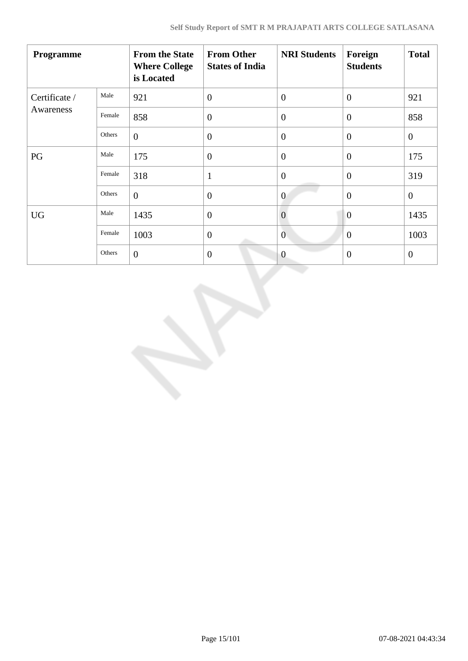| Programme     |        | <b>From the State</b><br><b>Where College</b><br>is Located | <b>From Other</b><br><b>States of India</b> | <b>NRI Students</b> | Foreign<br><b>Students</b> | <b>Total</b>   |
|---------------|--------|-------------------------------------------------------------|---------------------------------------------|---------------------|----------------------------|----------------|
| Certificate / | Male   | 921                                                         | $\overline{0}$                              | $\theta$            | $\overline{0}$             | 921            |
| Awareness     | Female | 858                                                         | $\mathbf{0}$                                | $\theta$            | $\overline{0}$             | 858            |
|               | Others | $\overline{0}$                                              | $\theta$                                    | $\overline{0}$      | $\overline{0}$             | $\overline{0}$ |
| PG            | Male   | 175                                                         | $\overline{0}$                              | $\overline{0}$      | $\overline{0}$             | 175            |
|               | Female | 318                                                         | $\mathbf{1}$                                | $\overline{0}$      | $\overline{0}$             | 319            |
|               | Others | $\overline{0}$                                              | $\overline{0}$                              | $\overline{0}$      | $\overline{0}$             | $\overline{0}$ |
| <b>UG</b>     | Male   | 1435                                                        | $\overline{0}$                              | $\overline{0}$      | $\overline{0}$             | 1435           |
|               | Female | 1003                                                        | $\overline{0}$                              | $\overline{0}$      | $\overline{0}$             | 1003           |
|               | Others | $\overline{0}$                                              | $\overline{0}$                              | $\overline{0}$      | $\mathbf{0}$               | $\mathbf{0}$   |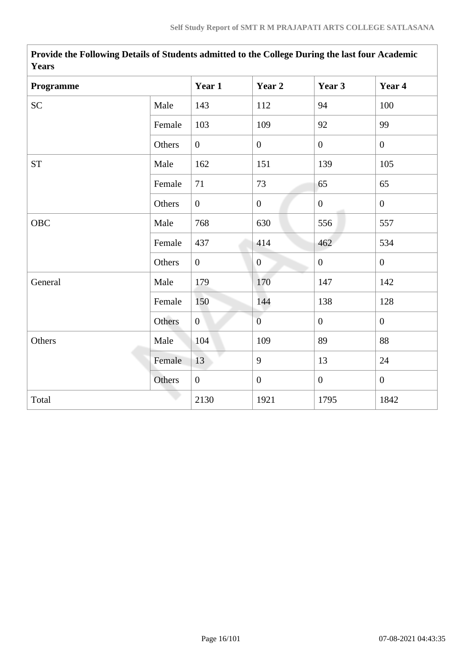| <b>Y</b> ears |        |                  |                  |                  |                |
|---------------|--------|------------------|------------------|------------------|----------------|
| Programme     |        | Year 1           | Year 2           | Year 3           | Year 4         |
| <b>SC</b>     | Male   | 143              | 112              | 94               | 100            |
|               | Female | 103              | 109              | 92               | 99             |
|               | Others | $\boldsymbol{0}$ | $\boldsymbol{0}$ | $\overline{0}$   | $\overline{0}$ |
| ${\cal ST}$   | Male   | 162              | 151              | 139              | 105            |
|               | Female | 71               | 73               | 65               | 65             |
|               | Others | $\overline{0}$   | $\boldsymbol{0}$ | $\mathbf{0}$     | $\mathbf{0}$   |
| <b>OBC</b>    | Male   | 768              | 630              | 556              | 557            |
|               | Female | 437              | 414              | 462              | 534            |
|               | Others | $\overline{0}$   | $\boldsymbol{0}$ | $\boldsymbol{0}$ | $\mathbf{0}$   |
| General       | Male   | 179              | 170              | 147              | 142            |
|               | Female | 150              | 144              | 138              | 128            |
|               | Others | $\overline{0}$   | $\overline{0}$   | $\mathbf{0}$     | $\overline{0}$ |
| Others        | Male   | 104              | 109              | 89               | 88             |
|               | Female | 13               | 9                | 13               | 24             |
|               | Others | $\overline{0}$   | $\boldsymbol{0}$ | $\overline{0}$   | $\mathbf{0}$   |
| Total         |        | 2130             | 1921             | 1795             | 1842           |

**Provide the Following Details of Students admitted to the College During the last four Academic Years**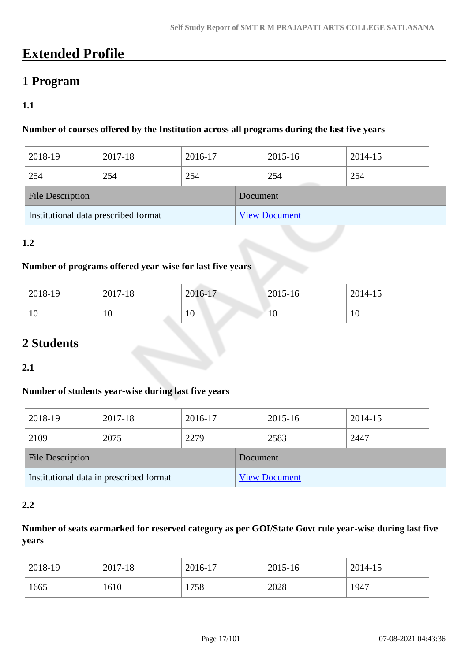## **Extended Profile**

## **1 Program**

## **1.1**

### **Number of courses offered by the Institution across all programs during the last five years**

| 2018-19                              | 2017-18 | 2016-17 |  | 2015-16              | 2014-15 |  |
|--------------------------------------|---------|---------|--|----------------------|---------|--|
| 254                                  | 254     | 254     |  | 254                  | 254     |  |
| <b>File Description</b>              |         |         |  | Document             |         |  |
| Institutional data prescribed format |         |         |  | <b>View Document</b> |         |  |

### **1.2**

#### **Number of programs offered year-wise for last five years**

| 2018-19 | 2017-18           | 2016-17 | $ 2015-16 $ | 2014-15 |
|---------|-------------------|---------|-------------|---------|
| 10      | $1 \Omega$<br>1 U | 10      | 10          | 10      |

## **2 Students**

#### **2.1**

#### **Number of students year-wise during last five years**

| 2018-19                                 | 2017-18 | 2016-17  |                      | 2015-16 | 2014-15 |  |
|-----------------------------------------|---------|----------|----------------------|---------|---------|--|
| 2109                                    | 2075    | 2279     |                      | 2583    | 2447    |  |
| <b>File Description</b>                 |         | Document |                      |         |         |  |
| Institutional data in prescribed format |         |          | <b>View Document</b> |         |         |  |

#### **2.2**

### **Number of seats earmarked for reserved category as per GOI/State Govt rule year-wise during last five years**

| 2018-19 | 2017-18 | 2016-17 | 2015-16 | 2014-15 |
|---------|---------|---------|---------|---------|
| 1665    | 1610    | 1758    | 2028    | 1947    |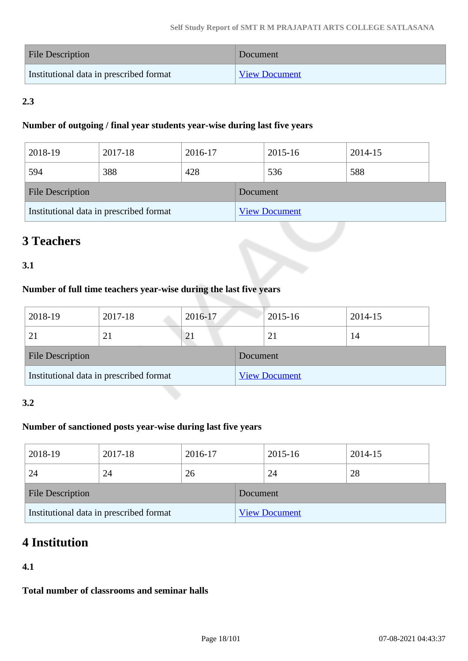| <b>File Description</b>                 | Document             |
|-----------------------------------------|----------------------|
| Institutional data in prescribed format | <b>View Document</b> |

## **2.3**

#### **Number of outgoing / final year students year-wise during last five years**

| 2018-19                                 | 2017-18 | 2016-17  |                      | 2015-16 | 2014-15 |  |
|-----------------------------------------|---------|----------|----------------------|---------|---------|--|
| 594                                     | 388     | 428      |                      | 536     | 588     |  |
| <b>File Description</b>                 |         | Document |                      |         |         |  |
| Institutional data in prescribed format |         |          | <b>View Document</b> |         |         |  |

## **3 Teachers**

## **3.1**

### **Number of full time teachers year-wise during the last five years**

| 2018-19                 | 2017-18                                 | 2016-17  |  | 2015-16              | 2014-15 |
|-------------------------|-----------------------------------------|----------|--|----------------------|---------|
| 21                      | 21                                      | 21       |  | 21                   | 14      |
| <b>File Description</b> |                                         | Document |  |                      |         |
|                         | Institutional data in prescribed format |          |  | <b>View Document</b> |         |

### **3.2**

## **Number of sanctioned posts year-wise during last five years**

| 2018-19                                 | 2017-18 | 2016-17  |                      | 2015-16 | 2014-15 |
|-----------------------------------------|---------|----------|----------------------|---------|---------|
| 24                                      | 24      | 26       |                      | 24      | 28      |
| <b>File Description</b>                 |         | Document |                      |         |         |
| Institutional data in prescribed format |         |          | <b>View Document</b> |         |         |

## **4 Institution**

### **4.1**

**Total number of classrooms and seminar halls**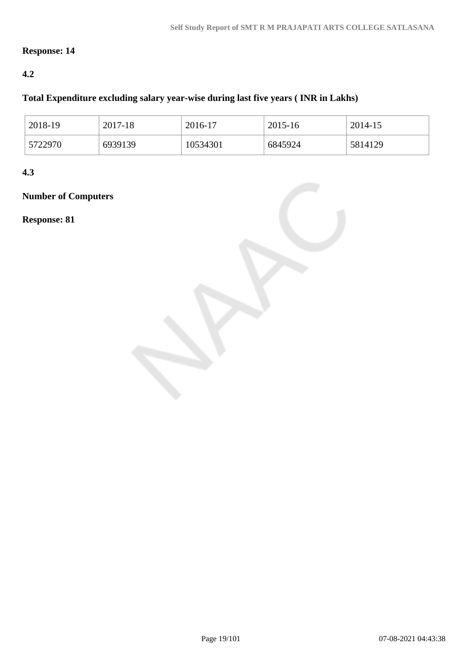## **Response: 14**

### **4.2**

### **Total Expenditure excluding salary year-wise during last five years ( INR in Lakhs)**

| 2018-19 | 2017-18 | 2016-17  | 2015-16 | 2014-15 |
|---------|---------|----------|---------|---------|
| 5722970 | 6939139 | 10534301 | 6845924 | 5814129 |

**4.3**

## **Number of Computers**

#### **Response: 81**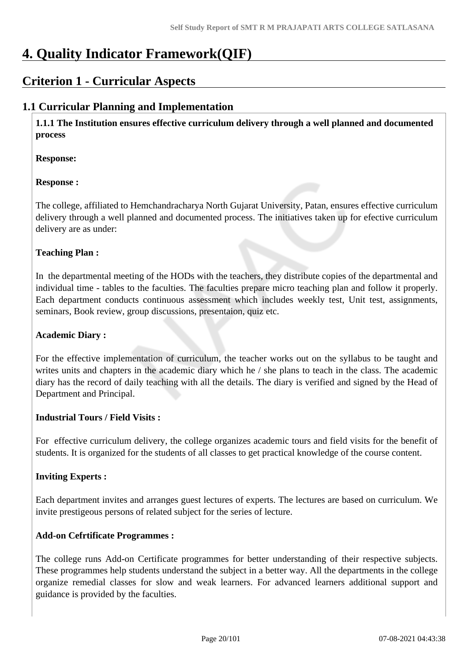## **4. Quality Indicator Framework(QIF)**

## **Criterion 1 - Curricular Aspects**

## **1.1 Curricular Planning and Implementation**

 **1.1.1 The Institution ensures effective curriculum delivery through a well planned and documented process**

#### **Response:**

### **Response :**

The college, affiliated to Hemchandracharya North Gujarat University, Patan, ensures effective curriculum delivery through a well planned and documented process. The initiatives taken up for efective curriculum delivery are as under:

### **Teaching Plan :**

In the departmental meeting of the HODs with the teachers, they distribute copies of the departmental and individual time - tables to the faculties. The faculties prepare micro teaching plan and follow it properly. Each department conducts continuous assessment which includes weekly test, Unit test, assignments, seminars, Book review, group discussions, presentaion, quiz etc.

#### **Academic Diary :**

For the effective implementation of curriculum, the teacher works out on the syllabus to be taught and writes units and chapters in the academic diary which he / she plans to teach in the class. The academic diary has the record of daily teaching with all the details. The diary is verified and signed by the Head of Department and Principal.

#### **Industrial Tours / Field Visits :**

For effective curriculum delivery, the college organizes academic tours and field visits for the benefit of students. It is organized for the students of all classes to get practical knowledge of the course content.

#### **Inviting Experts :**

Each department invites and arranges guest lectures of experts. The lectures are based on curriculum. We invite prestigeous persons of related subject for the series of lecture.

#### **Add-on Cefrtificate Programmes :**

The college runs Add-on Certificate programmes for better understanding of their respective subjects. These programmes help students understand the subject in a better way. All the departments in the college organize remedial classes for slow and weak learners. For advanced learners additional support and guidance is provided by the faculties.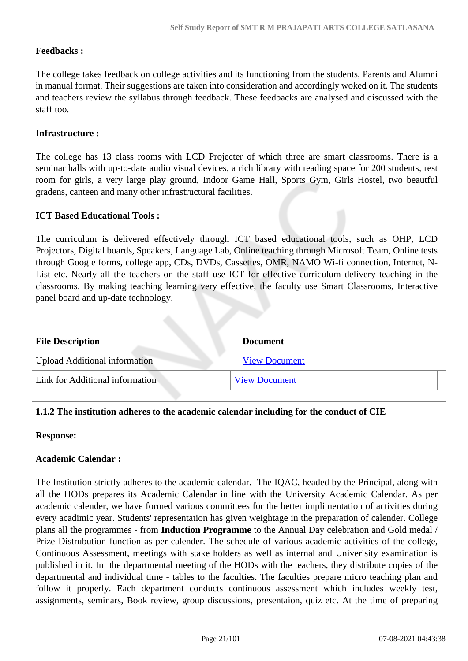### **Feedbacks :**

The college takes feedback on college activities and its functioning from the students, Parents and Alumni in manual format. Their suggestions are taken into consideration and accordingly woked on it. The students and teachers review the syllabus through feedback. These feedbacks are analysed and discussed with the staff too.

#### **Infrastructure :**

The college has 13 class rooms with LCD Projecter of which three are smart classrooms. There is a seminar halls with up-to-date audio visual devices, a rich library with reading space for 200 students, rest room for girls, a very large play ground, Indoor Game Hall, Sports Gym, Girls Hostel, two beautful gradens, canteen and many other infrastructural facilities.

#### **ICT Based Educational Tools :**

The curriculum is delivered effectively through ICT based educational tools, such as OHP, LCD Projectors, Digital boards, Speakers, Language Lab, Online teaching through Microsoft Team, Online tests through Google forms, college app, CDs, DVDs, Cassettes, OMR, NAMO Wi-fi connection, Internet, N-List etc. Nearly all the teachers on the staff use ICT for effective curriculum delivery teaching in the classrooms. By making teaching learning very effective, the faculty use Smart Classrooms, Interactive panel board and up-date technology.

| <b>File Description</b>              | <b>Document</b>      |
|--------------------------------------|----------------------|
| <b>Upload Additional information</b> | <b>View Document</b> |
| Link for Additional information      | <b>View Document</b> |

#### **1.1.2 The institution adheres to the academic calendar including for the conduct of CIE**

#### **Response:**

#### **Academic Calendar :**

The Institution strictly adheres to the academic calendar. The IQAC, headed by the Principal, along with all the HODs prepares its Academic Calendar in line with the University Academic Calendar. As per academic calender, we have formed various committees for the better implimentation of activities during every acadimic year. Students' representation has given weightage in the preparation of calender. College plans all the programmes - from **Induction Programme** to the Annual Day celebration and Gold medal / Prize Distrubution function as per calender. The schedule of various academic activities of the college, Continuous Assessment, meetings with stake holders as well as internal and Univerisity examination is published in it. In the departmental meeting of the HODs with the teachers, they distribute copies of the departmental and individual time - tables to the faculties. The faculties prepare micro teaching plan and follow it properly. Each department conducts continuous assessment which includes weekly test, assignments, seminars, Book review, group discussions, presentaion, quiz etc. At the time of preparing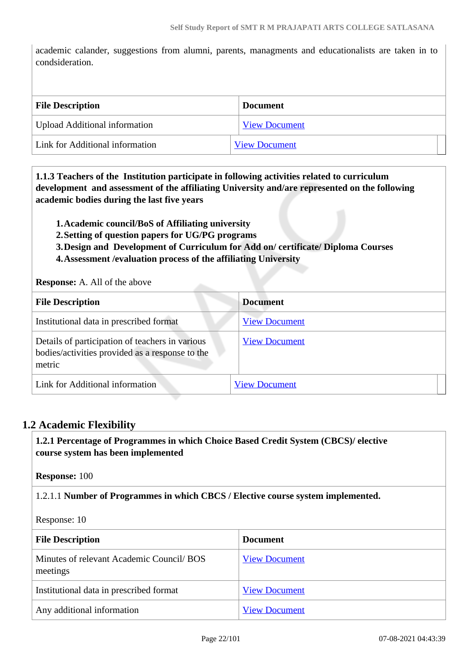academic calander, suggestions from alumni, parents, managments and educationalists are taken in to condsideration.

| <b>File Description</b>         | <b>Document</b>      |
|---------------------------------|----------------------|
| Upload Additional information   | <b>View Document</b> |
| Link for Additional information | <b>View Document</b> |

 **1.1.3 Teachers of the Institution participate in following activities related to curriculum development and assessment of the affiliating University and/are represented on the following academic bodies during the last five years** 

**1.Academic council/BoS of Affiliating university**

- **2.Setting of question papers for UG/PG programs**
- **3.Design and Development of Curriculum for Add on/ certificate/ Diploma Courses**
- **4.Assessment /evaluation process of the affiliating University**

**Response:** A. All of the above

| <b>File Description</b>                                                                                      | <b>Document</b>      |
|--------------------------------------------------------------------------------------------------------------|----------------------|
| Institutional data in prescribed format                                                                      | <b>View Document</b> |
| Details of participation of teachers in various<br>bodies/activities provided as a response to the<br>metric | <b>View Document</b> |
| Link for Additional information                                                                              | <b>View Document</b> |

### **1.2 Academic Flexibility**

 **1.2.1 Percentage of Programmes in which Choice Based Credit System (CBCS)/ elective course system has been implemented** 

**Response:** 100

1.2.1.1 **Number of Programmes in which CBCS / Elective course system implemented.**

Response: 10

| <b>File Description</b>                               | <b>Document</b>      |
|-------------------------------------------------------|----------------------|
| Minutes of relevant Academic Council/ BOS<br>meetings | <b>View Document</b> |
| Institutional data in prescribed format               | <b>View Document</b> |
| Any additional information                            | <b>View Document</b> |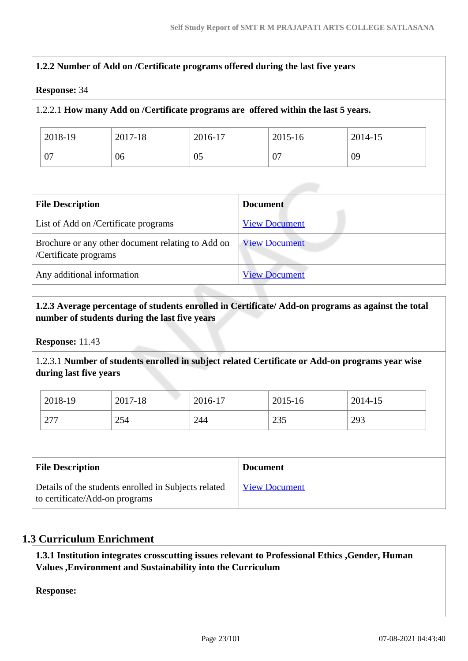| <b>Response: 34</b>                  |                                                   |                      |                                                                                    |         |
|--------------------------------------|---------------------------------------------------|----------------------|------------------------------------------------------------------------------------|---------|
|                                      |                                                   |                      | 1.2.2.1 How many Add on /Certificate programs are offered within the last 5 years. |         |
| 2018-19                              | 2017-18                                           | 2016-17              | $2015 - 16$                                                                        | 2014-15 |
| 07                                   | 06                                                | 05                   | 07                                                                                 | 09      |
|                                      |                                                   |                      |                                                                                    |         |
| <b>File Description</b>              |                                                   |                      | <b>Document</b>                                                                    |         |
| List of Add on /Certificate programs |                                                   | <b>View Document</b> |                                                                                    |         |
| /Certificate programs                | Brochure or any other document relating to Add on |                      | <b>View Document</b>                                                               |         |
| Any additional information           |                                                   | <b>View Document</b> |                                                                                    |         |

## **1.2.3 Average percentage of students enrolled in Certificate/ Add-on programs as against the total number of students during the last five years**

**Response:** 11.43

1.2.3.1 **Number of students enrolled in subject related Certificate or Add-on programs year wise during last five years**

| 2018-19 | 2017-18 | 2016-17 | 2015-16 | 2014-15 |
|---------|---------|---------|---------|---------|
| 277     | 254     | 244     | 235     | 293     |

| <b>File Description</b>                                                                | <b>Document</b>      |
|----------------------------------------------------------------------------------------|----------------------|
| Details of the students enrolled in Subjects related<br>to certificate/Add-on programs | <b>View Document</b> |

## **1.3 Curriculum Enrichment**

 **1.3.1 Institution integrates crosscutting issues relevant to Professional Ethics ,Gender, Human Values ,Environment and Sustainability into the Curriculum**

**Response:**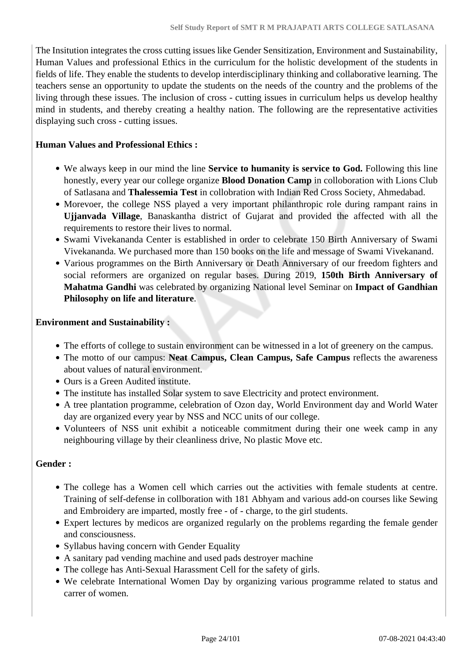The Insitution integrates the cross cutting issues like Gender Sensitization, Environment and Sustainability, Human Values and professional Ethics in the curriculum for the holistic development of the students in fields of life. They enable the students to develop interdisciplinary thinking and collaborative learning. The teachers sense an opportunity to update the students on the needs of the country and the problems of the living through these issues. The inclusion of cross - cutting issues in curriculum helps us develop healthy mind in students, and thereby creating a healthy nation. The following are the representative activities displaying such cross - cutting issues.

### **Human Values and Professional Ethics :**

- We always keep in our mind the line **Service to humanity is service to God.** Following this line honestly, every year our college organize **Blood Donation Camp** in colloboration with Lions Club of Satlasana and **Thalessemia Test** in collobration with Indian Red Cross Society, Ahmedabad.
- Morevoer, the college NSS played a very important philanthropic role during rampant rains in **Ujjanvada Village**, Banaskantha district of Gujarat and provided the affected with all the requirements to restore their lives to normal.
- Swami Vivekananda Center is established in order to celebrate 150 Birth Anniversary of Swami Vivekananda. We purchased more than 150 books on the life and message of Swami Vivekanand.
- Various programmes on the Birth Anniversary or Death Anniversary of our freedom fighters and social reformers are organized on regular bases. During 2019, **150th Birth Anniversary of Mahatma Gandhi** was celebrated by organizing National level Seminar on **Impact of Gandhian Philosophy on life and literature**.

#### **Environment and Sustainability :**

- The efforts of college to sustain environment can be witnessed in a lot of greenery on the campus.
- The motto of our campus: **Neat Campus, Clean Campus, Safe Campus** reflects the awareness about values of natural environment.
- Ours is a Green Audited institute.
- The institute has installed Solar system to save Electricity and protect environment.
- A tree plantation programme, celebration of Ozon day, World Environment day and World Water day are organized every year by NSS and NCC units of our college.
- Volunteers of NSS unit exhibit a noticeable commitment during their one week camp in any neighbouring village by their cleanliness drive, No plastic Move etc.

#### **Gender :**

- The college has a Women cell which carries out the activities with female students at centre. Training of self-defense in collboration with 181 Abhyam and various add-on courses like Sewing and Embroidery are imparted, mostly free - of - charge, to the girl students.
- Expert lectures by medicos are organized regularly on the problems regarding the female gender and consciousness.
- Syllabus having concern with Gender Equality
- A sanitary pad vending machine and used pads destroyer machine
- The college has Anti-Sexual Harassment Cell for the safety of girls.
- We celebrate International Women Day by organizing various programme related to status and carrer of women.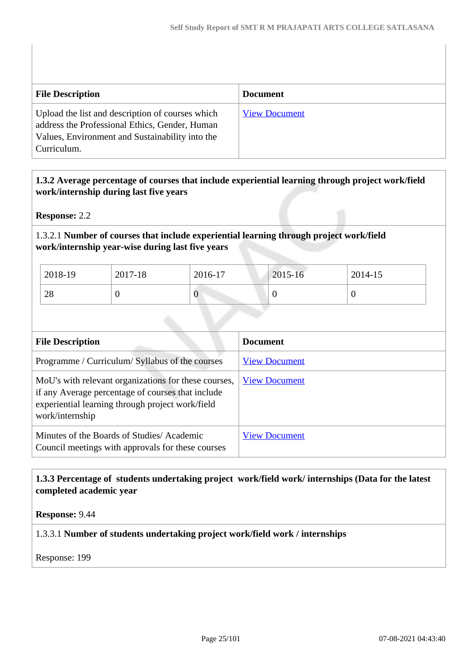| <b>File Description</b>                                                                                                                                              | <b>Document</b>      |
|----------------------------------------------------------------------------------------------------------------------------------------------------------------------|----------------------|
| Upload the list and description of courses which<br>address the Professional Ethics, Gender, Human<br>Values, Environment and Sustainability into the<br>Curriculum. | <b>View Document</b> |

### **1.3.2 Average percentage of courses that include experiential learning through project work/field work/internship during last five years**

**Response:** 2.2

### 1.3.2.1 **Number of courses that include experiential learning through project work/field work/internship year-wise during last five years**

| 2018-19 | 2017-18 | 2016-17 | 2015-16 | 2014-15          |
|---------|---------|---------|---------|------------------|
| 28      |         | v       | ◡       | $\boldsymbol{0}$ |

| <b>File Description</b>                                                                                                                                                          | <b>Document</b>      |
|----------------------------------------------------------------------------------------------------------------------------------------------------------------------------------|----------------------|
| Programme / Curriculum/ Syllabus of the courses                                                                                                                                  | <b>View Document</b> |
| MoU's with relevant organizations for these courses,<br>if any Average percentage of courses that include<br>experiential learning through project work/field<br>work/internship | <b>View Document</b> |
| Minutes of the Boards of Studies/Academic<br>Council meetings with approvals for these courses                                                                                   | <b>View Document</b> |

### **1.3.3 Percentage of students undertaking project work/field work/ internships (Data for the latest completed academic year**

**Response:** 9.44

### 1.3.3.1 **Number of students undertaking project work/field work / internships**

Response: 199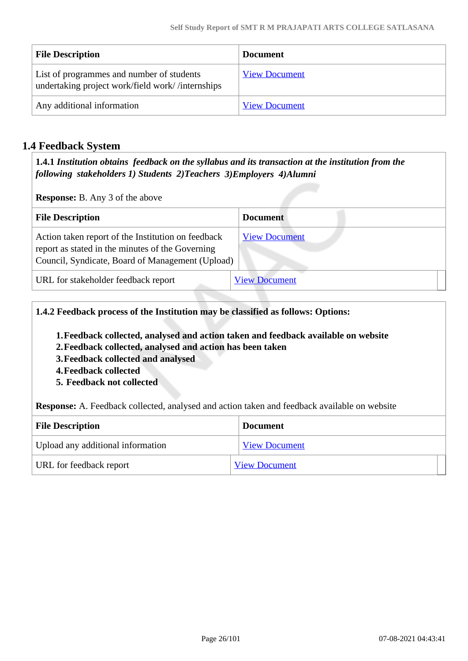| <b>File Description</b>                                                                       | <b>Document</b>      |
|-----------------------------------------------------------------------------------------------|----------------------|
| List of programmes and number of students<br>undertaking project work/field work//internships | <b>View Document</b> |
| Any additional information                                                                    | <b>View Document</b> |

## **1.4 Feedback System**

 **1.4.1** *Institution obtains feedback on the syllabus and its transaction at the institution from the following stakeholders 1) Students 2)Teachers 3)Employers 4)Alumni* 

**Response:** B. Any 3 of the above

| <b>File Description</b>                                                                                                                                    | <b>Document</b>      |
|------------------------------------------------------------------------------------------------------------------------------------------------------------|----------------------|
| Action taken report of the Institution on feedback<br>report as stated in the minutes of the Governing<br>Council, Syndicate, Board of Management (Upload) | <b>View Document</b> |
| URL for stakeholder feedback report                                                                                                                        | <b>View Document</b> |

**1.4.2 Feedback process of the Institution may be classified as follows: Options:**

- **1.Feedback collected, analysed and action taken and feedback available on website**
- **2.Feedback collected, analysed and action has been taken**
- **3.Feedback collected and analysed**
- **4.Feedback collected**
- **5. Feedback not collected**

**Response:** A. Feedback collected, analysed and action taken and feedback available on website

| <b>File Description</b>           | <b>Document</b>      |
|-----------------------------------|----------------------|
| Upload any additional information | <b>View Document</b> |
| URL for feedback report           | <b>View Document</b> |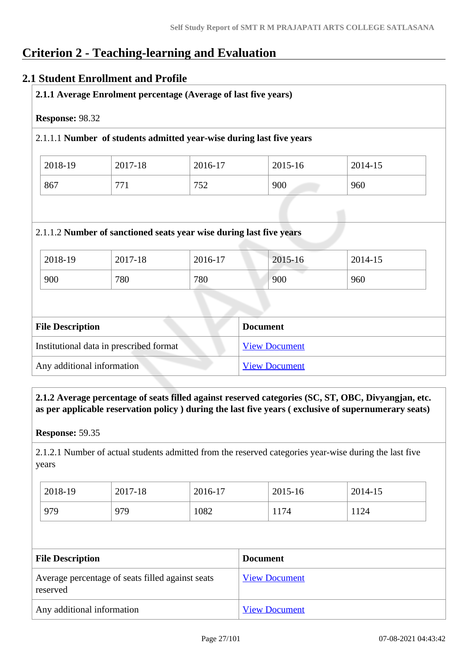## **Criterion 2 - Teaching-learning and Evaluation**

### **2.1 Student Enrollment and Profile**

|                         |         | 2.1.1.1 Number of students admitted year-wise during last five years |                 |         |
|-------------------------|---------|----------------------------------------------------------------------|-----------------|---------|
| 2018-19                 | 2017-18 | 2016-17                                                              | 2015-16         | 2014-15 |
| 867                     | 771     | 752                                                                  | 900             | 960     |
|                         |         | 2.1.1.2 Number of sanctioned seats year wise during last five years  |                 |         |
| 2018-19                 | 2017-18 | 2016-17                                                              | 2015-16         | 2014-15 |
| 900                     | 780     | 780                                                                  | 900             | 960     |
|                         |         |                                                                      |                 |         |
| <b>File Description</b> |         |                                                                      | <b>Document</b> |         |

Any additional information [View Document](https://assessmentonline.naac.gov.in/storage/app/hei/SSR/106996/2.1.1_1627355962_4486.pdf)

 **2.1.2 Average percentage of seats filled against reserved categories (SC, ST, OBC, Divyangjan, etc. as per applicable reservation policy ) during the last five years ( exclusive of supernumerary seats)**

**Response:** 59.35

2.1.2.1 Number of actual students admitted from the reserved categories year-wise during the last five years

| 2018-19 | 2017-18 | 2016-17 | 2015-16 | 2014-15 |
|---------|---------|---------|---------|---------|
| 979     | 979     | 1082    | 1174    | ! 124   |

| <b>File Description</b>                                      | <b>Document</b>      |
|--------------------------------------------------------------|----------------------|
| Average percentage of seats filled against seats<br>reserved | <b>View Document</b> |
| Any additional information                                   | <b>View Document</b> |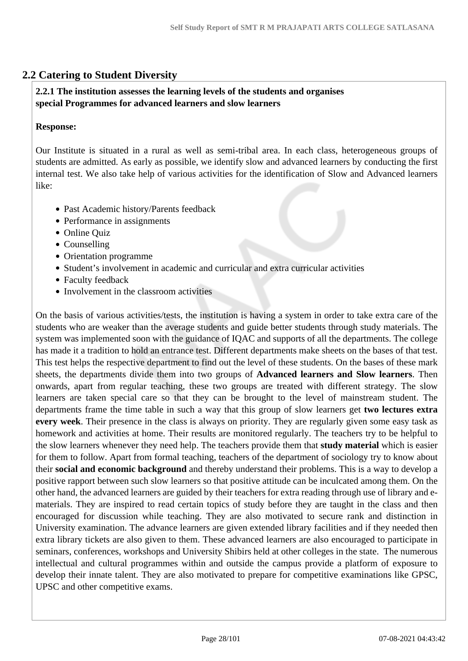## **2.2 Catering to Student Diversity**

#### **2.2.1 The institution assesses the learning levels of the students and organises special Programmes for advanced learners and slow learners**

#### **Response:**

Our Institute is situated in a rural as well as semi-tribal area. In each class, heterogeneous groups of students are admitted. As early as possible, we identify slow and advanced learners by conducting the first internal test. We also take help of various activities for the identification of Slow and Advanced learners like:

- Past Academic history/Parents feedback
- Performance in assignments
- Online Quiz
- Counselling
- Orientation programme
- Student's involvement in academic and curricular and extra curricular activities
- Faculty feedback
- Involvement in the classroom activities

On the basis of various activities/tests, the institution is having a system in order to take extra care of the students who are weaker than the average students and guide better students through study materials. The system was implemented soon with the guidance of IQAC and supports of all the departments. The college has made it a tradition to hold an entrance test. Different departments make sheets on the bases of that test. This test helps the respective department to find out the level of these students. On the bases of these mark sheets, the departments divide them into two groups of **Advanced learners and Slow learners**. Then onwards, apart from regular teaching, these two groups are treated with different strategy. The slow learners are taken special care so that they can be brought to the level of mainstream student. The departments frame the time table in such a way that this group of slow learners get **two lectures extra every week**. Their presence in the class is always on priority. They are regularly given some easy task as homework and activities at home. Their results are monitored regularly. The teachers try to be helpful to the slow learners whenever they need help. The teachers provide them that **study material** which is easier for them to follow. Apart from formal teaching, teachers of the department of sociology try to know about their **social and economic background** and thereby understand their problems. This is a way to develop a positive rapport between such slow learners so that positive attitude can be inculcated among them. On the other hand, the advanced learners are guided by their teachers for extra reading through use of library and ematerials. They are inspired to read certain topics of study before they are taught in the class and then encouraged for discussion while teaching. They are also motivated to secure rank and distinction in University examination. The advance learners are given extended library facilities and if they needed then extra library tickets are also given to them. These advanced learners are also encouraged to participate in seminars, conferences, workshops and University Shibirs held at other colleges in the state. The numerous intellectual and cultural programmes within and outside the campus provide a platform of exposure to develop their innate talent. They are also motivated to prepare for competitive examinations like GPSC, UPSC and other competitive exams.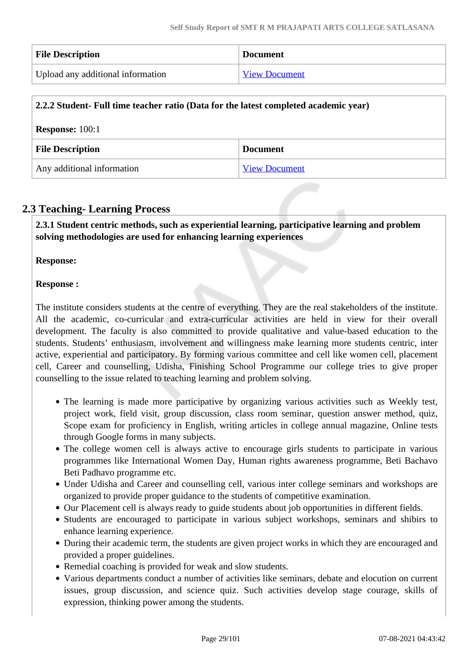| <b>File Description</b>           | <b>Document</b>      |
|-----------------------------------|----------------------|
| Upload any additional information | <b>View Document</b> |

| 2.2.2 Student- Full time teacher ratio (Data for the latest completed academic year) |                      |  |
|--------------------------------------------------------------------------------------|----------------------|--|
| <b>Response:</b> $100:1$                                                             |                      |  |
| <b>File Description</b>                                                              | <b>Document</b>      |  |
| Any additional information                                                           | <b>View Document</b> |  |

### **2.3 Teaching- Learning Process**

 **2.3.1 Student centric methods, such as experiential learning, participative learning and problem solving methodologies are used for enhancing learning experiences**

**Response:** 

#### **Response :**

The institute considers students at the centre of everything. They are the real stakeholders of the institute. All the academic, co-curricular and extra-curricular activities are held in view for their overall development. The faculty is also committed to provide qualitative and value-based education to the students. Students' enthusiasm, involvement and willingness make learning more students centric, inter active, experiential and participatory. By forming various committee and cell like women cell, placement cell, Career and counselling, Udisha, Finishing School Programme our college tries to give proper counselling to the issue related to teaching learning and problem solving.

- The learning is made more participative by organizing various activities such as Weekly test, project work, field visit, group discussion, class room seminar, question answer method, quiz, Scope exam for proficiency in English, writing articles in college annual magazine, Online tests through Google forms in many subjects.
- The college women cell is always active to encourage girls students to participate in various programmes like International Women Day, Human rights awareness programme, Beti Bachavo Beti Padhavo programme etc.
- Under Udisha and Career and counselling cell, various inter college seminars and workshops are organized to provide proper guidance to the students of competitive examination.
- Our Placement cell is always ready to guide students about job opportunities in different fields.
- Students are encouraged to participate in various subject workshops, seminars and shibirs to enhance learning experience.
- During their academic term, the students are given project works in which they are encouraged and provided a proper guidelines.
- Remedial coaching is provided for weak and slow students.
- Various departments conduct a number of activities like seminars, debate and elocution on current issues, group discussion, and science quiz. Such activities develop stage courage, skills of expression, thinking power among the students.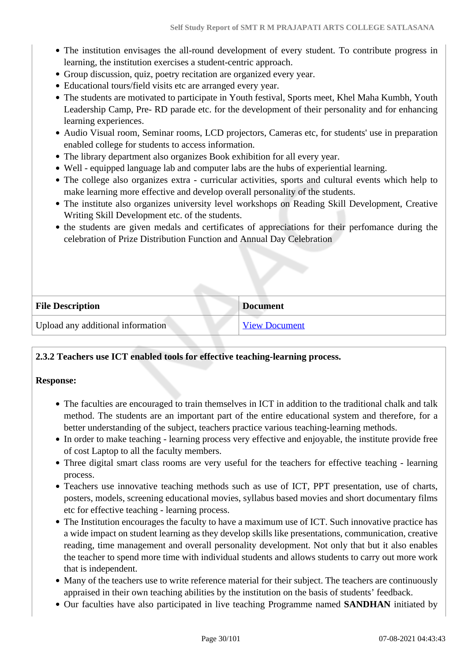- The institution envisages the all-round development of every student. To contribute progress in learning, the institution exercises a student-centric approach.
- Group discussion, quiz, poetry recitation are organized every year.
- Educational tours/field visits etc are arranged every year.
- The students are motivated to participate in Youth festival, Sports meet, Khel Maha Kumbh, Youth Leadership Camp, Pre- RD parade etc. for the development of their personality and for enhancing learning experiences.
- Audio Visual room, Seminar rooms, LCD projectors, Cameras etc, for students' use in preparation enabled college for students to access information.
- The library department also organizes Book exhibition for all every year.
- Well equipped language lab and computer labs are the hubs of experiential learning.
- The college also organizes extra curricular activities, sports and cultural events which help to make learning more effective and develop overall personality of the students.
- The institute also organizes university level workshops on Reading Skill Development, Creative Writing Skill Development etc. of the students.
- the students are given medals and certificates of appreciations for their perfomance during the celebration of Prize Distribution Function and Annual Day Celebration

| <b>File Description</b>           | <b>Document</b>      |
|-----------------------------------|----------------------|
| Upload any additional information | <b>View Document</b> |

### **2.3.2 Teachers use ICT enabled tools for effective teaching-learning process.**

#### **Response:**

- The faculties are encouraged to train themselves in ICT in addition to the traditional chalk and talk method. The students are an important part of the entire educational system and therefore, for a better understanding of the subject, teachers practice various teaching-learning methods.
- In order to make teaching learning process very effective and enjoyable, the institute provide free of cost Laptop to all the faculty members.
- Three digital smart class rooms are very useful for the teachers for effective teaching learning process.
- Teachers use innovative teaching methods such as use of ICT, PPT presentation, use of charts, posters, models, screening educational movies, syllabus based movies and short documentary films etc for effective teaching - learning process.
- The Institution encourages the faculty to have a maximum use of ICT. Such innovative practice has a wide impact on student learning as they develop skills like presentations, communication, creative reading, time management and overall personality development. Not only that but it also enables the teacher to spend more time with individual students and allows students to carry out more work that is independent.
- Many of the teachers use to write reference material for their subject. The teachers are continuously appraised in their own teaching abilities by the institution on the basis of students' feedback.
- Our faculties have also participated in live teaching Programme named **SANDHAN** initiated by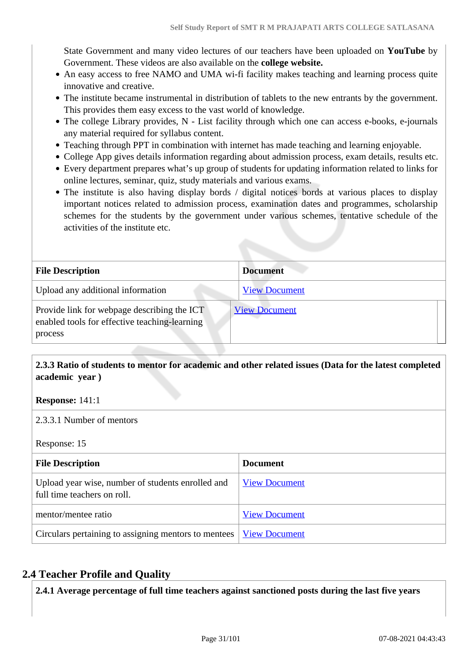State Government and many video lectures of our teachers have been uploaded on **YouTube** by Government. These videos are also available on the **college website.**

- An easy access to free NAMO and UMA wi-fi facility makes teaching and learning process quite innovative and creative.
- The institute became instrumental in distribution of tablets to the new entrants by the government. This provides them easy excess to the vast world of knowledge.
- The college Library provides, N List facility through which one can access e-books, e-journals any material required for syllabus content.
- Teaching through PPT in combination with internet has made teaching and learning enjoyable.
- College App gives details information regarding about admission process, exam details, results etc.
- Every department prepares what's up group of students for updating information related to links for online lectures, seminar, quiz, study materials and various exams.
- The institute is also having display bords / digital notices bords at various places to display important notices related to admission process, examination dates and programmes, scholarship schemes for the students by the government under various schemes, tentative schedule of the activities of the institute etc.

| <b>File Description</b>                                                                                 | <b>Document</b>      |
|---------------------------------------------------------------------------------------------------------|----------------------|
| Upload any additional information                                                                       | <b>View Document</b> |
| Provide link for webpage describing the ICT<br>enabled tools for effective teaching-learning<br>process | <b>View Document</b> |

### **2.3.3 Ratio of students to mentor for academic and other related issues (Data for the latest completed academic year )**

#### **Response:** 141:1

#### 2.3.3.1 Number of mentors

#### Response: 15

| <b>File Description</b>                                                          | <b>Document</b>      |
|----------------------------------------------------------------------------------|----------------------|
| Upload year wise, number of students enrolled and<br>full time teachers on roll. | <b>View Document</b> |
| mentor/mentee ratio                                                              | <b>View Document</b> |
| Circulars pertaining to assigning mentors to mentees   View Document             |                      |

## **2.4 Teacher Profile and Quality**

**2.4.1 Average percentage of full time teachers against sanctioned posts during the last five years**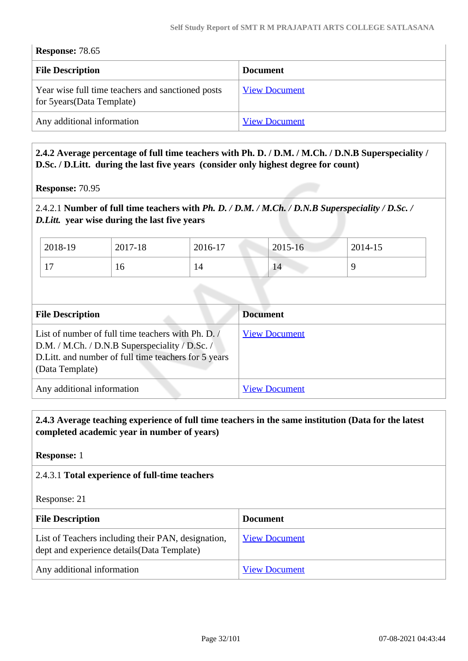| <b>Response: 78.65</b>                                                           |                      |
|----------------------------------------------------------------------------------|----------------------|
| <b>File Description</b>                                                          | <b>Document</b>      |
| Year wise full time teachers and sanctioned posts<br>for 5 years (Data Template) | <b>View Document</b> |
| Any additional information                                                       | <b>View Document</b> |

#### **2.4.2 Average percentage of full time teachers with Ph. D. / D.M. / M.Ch. / D.N.B Superspeciality / D.Sc. / D.Litt. during the last five years (consider only highest degree for count)**

**Response:** 70.95

#### 2.4.2.1 **Number of full time teachers with** *Ph. D. / D.M. / M.Ch. / D.N.B Superspeciality / D.Sc. / D.Litt.* **year wise during the last five years**

| 2018-19        | 2017-18 | 2016-17 | $2015 - 16$ | 2014-15 |
|----------------|---------|---------|-------------|---------|
| $\overline{ }$ | 16      | 14      | 14          |         |

| <b>File Description</b>                                                                                                                                                        | <b>Document</b>      |
|--------------------------------------------------------------------------------------------------------------------------------------------------------------------------------|----------------------|
| List of number of full time teachers with Ph. D.<br>D.M. / M.Ch. / D.N.B Superspeciality / D.Sc. /<br>D. Litt. and number of full time teachers for 5 years<br>(Data Template) | <b>View Document</b> |
| Any additional information                                                                                                                                                     | <b>View Document</b> |

 **2.4.3 Average teaching experience of full time teachers in the same institution (Data for the latest completed academic year in number of years)** 

**Response:** 1

#### 2.4.3.1 **Total experience of full-time teachers**

Response: 21

| <b>File Description</b>                                                                           | <b>Document</b>      |
|---------------------------------------------------------------------------------------------------|----------------------|
| List of Teachers including their PAN, designation,<br>dept and experience details (Data Template) | <b>View Document</b> |
| Any additional information                                                                        | <b>View Document</b> |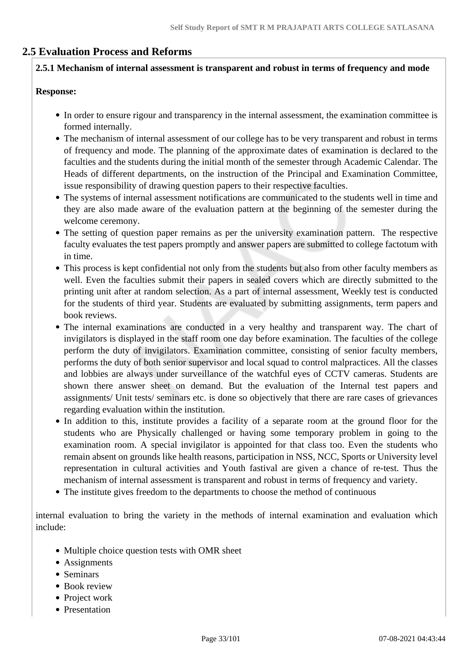### **2.5 Evaluation Process and Reforms**

#### **2.5.1 Mechanism of internal assessment is transparent and robust in terms of frequency and mode**

#### **Response:**

- In order to ensure rigour and transparency in the internal assessment, the examination committee is formed internally.
- The mechanism of internal assessment of our college has to be very transparent and robust in terms of frequency and mode. The planning of the approximate dates of examination is declared to the faculties and the students during the initial month of the semester through Academic Calendar. The Heads of different departments, on the instruction of the Principal and Examination Committee, issue responsibility of drawing question papers to their respective faculties.
- The systems of internal assessment notifications are communicated to the students well in time and they are also made aware of the evaluation pattern at the beginning of the semester during the welcome ceremony.
- The setting of question paper remains as per the university examination pattern. The respective faculty evaluates the test papers promptly and answer papers are submitted to college factotum with in time.
- This process is kept confidential not only from the students but also from other faculty members as well. Even the faculties submit their papers in sealed covers which are directly submitted to the printing unit after at random selection. As a part of internal assessment, Weekly test is conducted for the students of third year. Students are evaluated by submitting assignments, term papers and book reviews.
- The internal examinations are conducted in a very healthy and transparent way. The chart of invigilators is displayed in the staff room one day before examination. The faculties of the college perform the duty of invigilators. Examination committee, consisting of senior faculty members, performs the duty of both senior supervisor and local squad to control malpractices. All the classes and lobbies are always under surveillance of the watchful eyes of CCTV cameras. Students are shown there answer sheet on demand. But the evaluation of the Internal test papers and assignments/ Unit tests/ seminars etc. is done so objectively that there are rare cases of grievances regarding evaluation within the institution.
- In addition to this, institute provides a facility of a separate room at the ground floor for the students who are Physically challenged or having some temporary problem in going to the examination room. A special invigilator is appointed for that class too. Even the students who remain absent on grounds like health reasons, participation in NSS, NCC, Sports or University level representation in cultural activities and Youth fastival are given a chance of re-test. Thus the mechanism of internal assessment is transparent and robust in terms of frequency and variety.
- The institute gives freedom to the departments to choose the method of continuous

internal evaluation to bring the variety in the methods of internal examination and evaluation which include:

- Multiple choice question tests with OMR sheet
- Assignments
- Seminars
- Book review
- Project work
- Presentation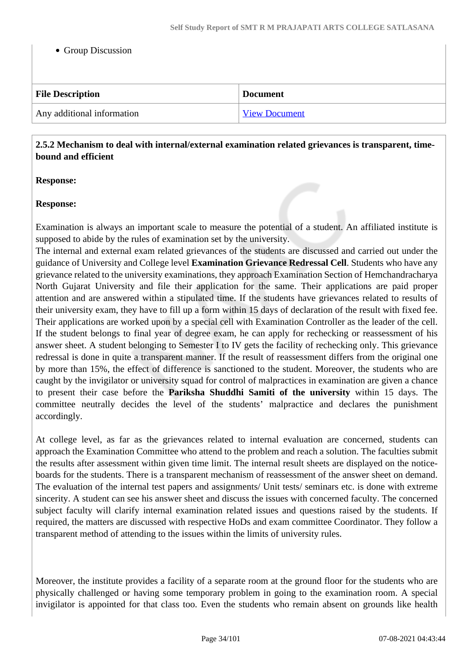• Group Discussion

| <b>File Description</b>    | <b>Document</b>      |
|----------------------------|----------------------|
| Any additional information | <b>View Document</b> |

#### **2.5.2 Mechanism to deal with internal/external examination related grievances is transparent, timebound and efficient**

#### **Response:**

#### **Response:**

Examination is always an important scale to measure the potential of a student. An affiliated institute is supposed to abide by the rules of examination set by the university.

The internal and external exam related grievances of the students are discussed and carried out under the guidance of University and College level **Examination Grievance Redressal Cell**. Students who have any grievance related to the university examinations, they approach Examination Section of Hemchandracharya North Gujarat University and file their application for the same. Their applications are paid proper attention and are answered within a stipulated time. If the students have grievances related to results of their university exam, they have to fill up a form within 15 days of declaration of the result with fixed fee. Their applications are worked upon by a special cell with Examination Controller as the leader of the cell. If the student belongs to final year of degree exam, he can apply for rechecking or reassessment of his answer sheet. A student belonging to Semester I to IV gets the facility of rechecking only. This grievance redressal is done in quite a transparent manner. If the result of reassessment differs from the original one by more than 15%, the effect of difference is sanctioned to the student. Moreover, the students who are caught by the invigilator or university squad for control of malpractices in examination are given a chance to present their case before the **Pariksha Shuddhi Samiti of the university** within 15 days. The committee neutrally decides the level of the students' malpractice and declares the punishment accordingly.

At college level, as far as the grievances related to internal evaluation are concerned, students can approach the Examination Committee who attend to the problem and reach a solution. The faculties submit the results after assessment within given time limit. The internal result sheets are displayed on the noticeboards for the students. There is a transparent mechanism of reassessment of the answer sheet on demand. The evaluation of the internal test papers and assignments/ Unit tests/ seminars etc. is done with extreme sincerity. A student can see his answer sheet and discuss the issues with concerned faculty. The concerned subject faculty will clarify internal examination related issues and questions raised by the students. If required, the matters are discussed with respective HoDs and exam committee Coordinator. They follow a transparent method of attending to the issues within the limits of university rules.

Moreover, the institute provides a facility of a separate room at the ground floor for the students who are physically challenged or having some temporary problem in going to the examination room. A special invigilator is appointed for that class too. Even the students who remain absent on grounds like health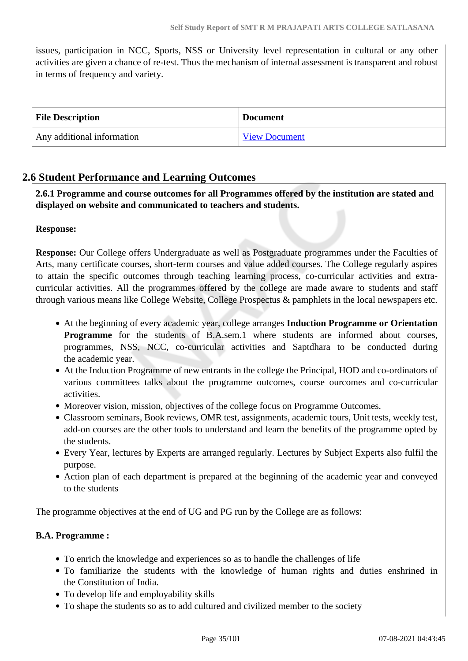issues, participation in NCC, Sports, NSS or University level representation in cultural or any other activities are given a chance of re-test. Thus the mechanism of internal assessment is transparent and robust in terms of frequency and variety.

| <b>File Description</b>    | <b>Document</b>      |
|----------------------------|----------------------|
| Any additional information | <b>View Document</b> |

### **2.6 Student Performance and Learning Outcomes**

 **2.6.1 Programme and course outcomes for all Programmes offered by the institution are stated and displayed on website and communicated to teachers and students.**

#### **Response:**

**Response:** Our College offers Undergraduate as well as Postgraduate programmes under the Faculties of Arts, many certificate courses, short-term courses and value added courses. The College regularly aspires to attain the specific outcomes through teaching learning process, co-curricular activities and extracurricular activities. All the programmes offered by the college are made aware to students and staff through various means like College Website, College Prospectus & pamphlets in the local newspapers etc.

- At the beginning of every academic year, college arranges **Induction Programme or Orientation Programme** for the students of B.A.sem.1 where students are informed about courses, programmes, NSS, NCC, co-curricular activities and Saptdhara to be conducted during the academic year.
- At the Induction Programme of new entrants in the college the Principal, HOD and co-ordinators of various committees talks about the programme outcomes, course ourcomes and co-curricular activities.
- Moreover vision, mission, objectives of the college focus on Programme Outcomes.
- Classroom seminars, Book reviews, OMR test, assignments, academic tours, Unit tests, weekly test, add-on courses are the other tools to understand and learn the benefits of the programme opted by the students.
- Every Year, lectures by Experts are arranged regularly. Lectures by Subject Experts also fulfil the purpose.
- Action plan of each department is prepared at the beginning of the academic year and conveyed to the students

The programme objectives at the end of UG and PG run by the College are as follows:

#### **B.A. Programme :**

- To enrich the knowledge and experiences so as to handle the challenges of life
- To familiarize the students with the knowledge of human rights and duties enshrined in the Constitution of India.
- To develop life and employability skills
- To shape the students so as to add cultured and civilized member to the society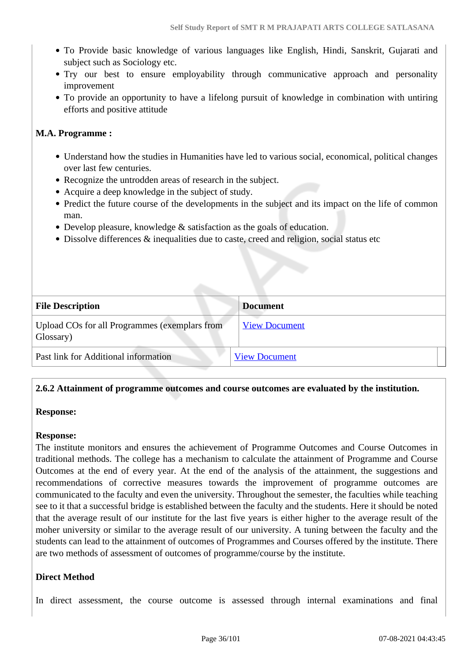- To Provide basic knowledge of various languages like English, Hindi, Sanskrit, Gujarati and subject such as Sociology etc.
- Try our best to ensure employability through communicative approach and personality improvement
- To provide an opportunity to have a lifelong pursuit of knowledge in combination with untiring efforts and positive attitude

#### **M.A. Programme :**

- Understand how the studies in Humanities have led to various social, economical, political changes over last few centuries.
- Recognize the untrodden areas of research in the subject.
- Acquire a deep knowledge in the subject of study.
- Predict the future course of the developments in the subject and its impact on the life of common man.
- Develop pleasure, knowledge & satisfaction as the goals of education.
- Dissolve differences & inequalities due to caste, creed and religion, social status etc

| <b>File Description</b>                                    | <b>Document</b>      |
|------------------------------------------------------------|----------------------|
| Upload COs for all Programmes (exemplars from<br>Glossary) | <b>View Document</b> |
| Past link for Additional information                       | <b>View Document</b> |

#### **2.6.2 Attainment of programme outcomes and course outcomes are evaluated by the institution.**

#### **Response:**

#### **Response:**

The institute monitors and ensures the achievement of Programme Outcomes and Course Outcomes in traditional methods. The college has a mechanism to calculate the attainment of Programme and Course Outcomes at the end of every year. At the end of the analysis of the attainment, the suggestions and recommendations of corrective measures towards the improvement of programme outcomes are communicated to the faculty and even the university. Throughout the semester, the faculties while teaching see to it that a successful bridge is established between the faculty and the students. Here it should be noted that the average result of our institute for the last five years is either higher to the average result of the moher university or similar to the average result of our university. A tuning between the faculty and the students can lead to the attainment of outcomes of Programmes and Courses offered by the institute. There are two methods of assessment of outcomes of programme/course by the institute.

#### **Direct Method**

In direct assessment, the course outcome is assessed through internal examinations and final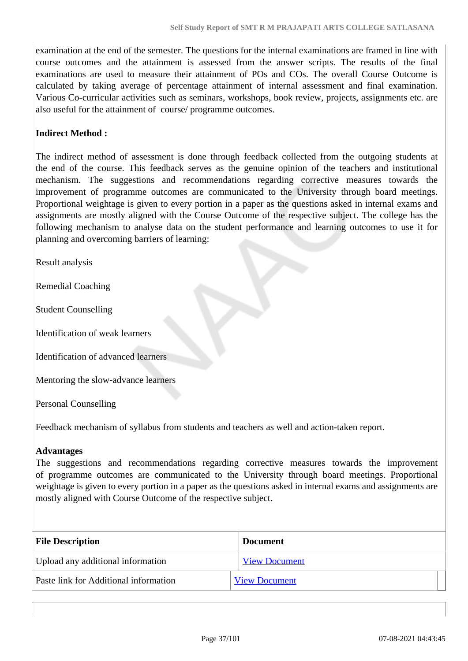examination at the end of the semester. The questions for the internal examinations are framed in line with course outcomes and the attainment is assessed from the answer scripts. The results of the final examinations are used to measure their attainment of POs and COs. The overall Course Outcome is calculated by taking average of percentage attainment of internal assessment and final examination. Various Co-curricular activities such as seminars, workshops, book review, projects, assignments etc. are also useful for the attainment of course/ programme outcomes.

### **Indirect Method :**

The indirect method of assessment is done through feedback collected from the outgoing students at the end of the course. This feedback serves as the genuine opinion of the teachers and institutional mechanism. The suggestions and recommendations regarding corrective measures towards the improvement of programme outcomes are communicated to the University through board meetings. Proportional weightage is given to every portion in a paper as the questions asked in internal exams and assignments are mostly aligned with the Course Outcome of the respective subject. The college has the following mechanism to analyse data on the student performance and learning outcomes to use it for planning and overcoming barriers of learning:

Result analysis

Remedial Coaching

Student Counselling

Identification of weak learners

Identification of advanced learners

Mentoring the slow-advance learners

Personal Counselling

Feedback mechanism of syllabus from students and teachers as well and action-taken report.

#### **Advantages**

The suggestions and recommendations regarding corrective measures towards the improvement of programme outcomes are communicated to the University through board meetings. Proportional weightage is given to every portion in a paper as the questions asked in internal exams and assignments are mostly aligned with Course Outcome of the respective subject.

| <b>File Description</b>               | <b>Document</b>      |
|---------------------------------------|----------------------|
| Upload any additional information     | <b>View Document</b> |
| Paste link for Additional information | <b>View Document</b> |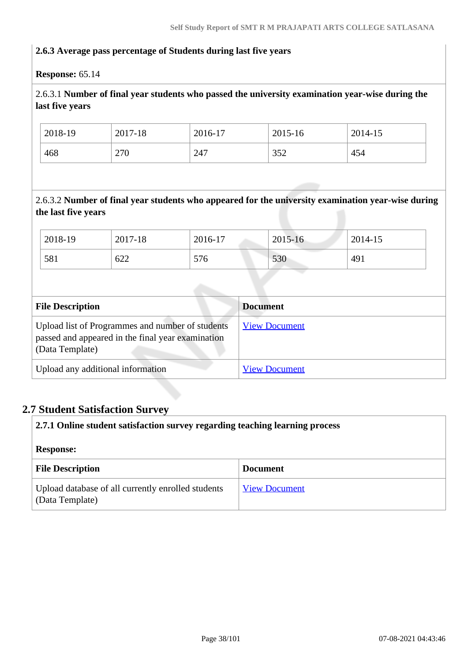## **2.6.3 Average pass percentage of Students during last five years**

## **Response:** 65.14

## 2.6.3.1 **Number of final year students who passed the university examination year-wise during the last five years**

| 2018-19 | 2017-18 | 2016-17 | 2015-16 | 2014-15 |
|---------|---------|---------|---------|---------|
| 468     | 270     | 247     | 352     | 454     |

2.6.3.2 **Number of final year students who appeared for the university examination year-wise during the last five years**

| 2018-19 | 2017-18 | 2016-17 | 2015-16 | 2014-15 |
|---------|---------|---------|---------|---------|
| 581     | 622     | 576     | 530     | 491     |

| <b>File Description</b>                                                                                                  | <b>Document</b>      |
|--------------------------------------------------------------------------------------------------------------------------|----------------------|
| Upload list of Programmes and number of students<br>passed and appeared in the final year examination<br>(Data Template) | <b>View Document</b> |
| Upload any additional information                                                                                        | <b>View Document</b> |

# **2.7 Student Satisfaction Survey**

| 2.7.1 Online student satisfaction survey regarding teaching learning process |                      |  |  |
|------------------------------------------------------------------------------|----------------------|--|--|
| <b>Response:</b>                                                             |                      |  |  |
| <b>File Description</b>                                                      | <b>Document</b>      |  |  |
| Upload database of all currently enrolled students<br>(Data Template)        | <b>View Document</b> |  |  |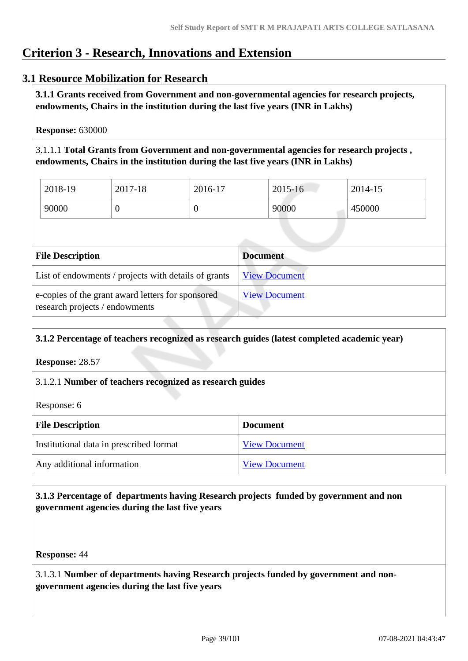# **Criterion 3 - Research, Innovations and Extension**

## **3.1 Resource Mobilization for Research**

 **3.1.1 Grants received from Government and non-governmental agencies for research projects, endowments, Chairs in the institution during the last five years (INR in Lakhs)** 

**Response:** 630000

3.1.1.1 **Total Grants from Government and non-governmental agencies for research projects , endowments, Chairs in the institution during the last five years (INR in Lakhs)**

| 2018-19 | 2017-18 | 2016-17 | 2015-16 | 2014-15 |
|---------|---------|---------|---------|---------|
| 90000   | ν       |         | 90000   | 450000  |

| <b>File Description</b>                                                             | <b>Document</b>      |
|-------------------------------------------------------------------------------------|----------------------|
| List of endowments / projects with details of grants                                | <b>View Document</b> |
| e-copies of the grant award letters for sponsored<br>research projects / endowments | <b>View Document</b> |

### **3.1.2 Percentage of teachers recognized as research guides (latest completed academic year)**

**Response:** 28.57

### 3.1.2.1 **Number of teachers recognized as research guides**

Response: 6

| <b>File Description</b>                 | <b>Document</b>      |
|-----------------------------------------|----------------------|
| Institutional data in prescribed format | <b>View Document</b> |
| Any additional information              | <b>View Document</b> |

## **3.1.3 Percentage of departments having Research projects funded by government and non government agencies during the last five years**

**Response:** 44

3.1.3.1 **Number of departments having Research projects funded by government and nongovernment agencies during the last five years**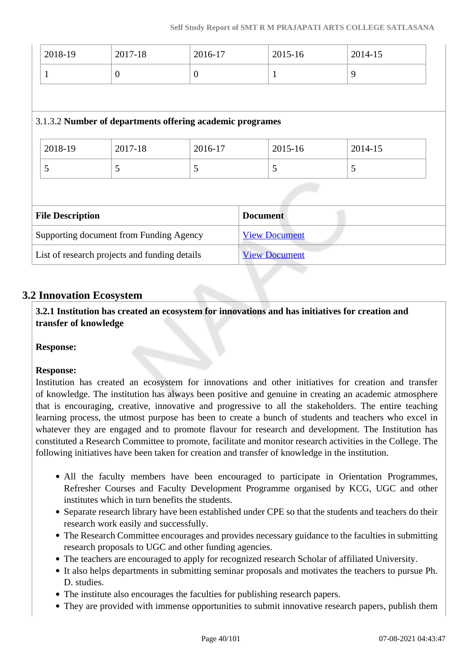| 2018-19                                       | 2017-18  | 2016-17                                                   | 2015-16              | 2014-15 |
|-----------------------------------------------|----------|-----------------------------------------------------------|----------------------|---------|
| $\mathbf{1}$                                  | $\theta$ | $\overline{0}$                                            | $\mathbf{1}$         | 9       |
|                                               |          |                                                           |                      |         |
|                                               |          | 3.1.3.2 Number of departments offering academic programes |                      |         |
|                                               |          |                                                           |                      |         |
| 2018-19                                       | 2017-18  | 2016-17                                                   | 2015-16              | 2014-15 |
| 5                                             | 5        | 5                                                         | 5                    | 5       |
|                                               |          |                                                           |                      |         |
|                                               |          |                                                           |                      |         |
| <b>File Description</b>                       |          |                                                           | <b>Document</b>      |         |
| Supporting document from Funding Agency       |          |                                                           | <b>View Document</b> |         |
| List of research projects and funding details |          |                                                           | <b>View Document</b> |         |
|                                               |          |                                                           |                      |         |

## **3.2 Innovation Ecosystem**

 **3.2.1 Institution has created an ecosystem for innovations and has initiatives for creation and transfer of knowledge**

**Response:** 

### **Response:**

Institution has created an ecosystem for innovations and other initiatives for creation and transfer of knowledge. The institution has always been positive and genuine in creating an academic atmosphere that is encouraging, creative, innovative and progressive to all the stakeholders. The entire teaching learning process, the utmost purpose has been to create a bunch of students and teachers who excel in whatever they are engaged and to promote flavour for research and development. The Institution has constituted a Research Committee to promote, facilitate and monitor research activities in the College. The following initiatives have been taken for creation and transfer of knowledge in the institution.

- All the faculty members have been encouraged to participate in Orientation Programmes, Refresher Courses and Faculty Development Programme organised by KCG, UGC and other institutes which in turn benefits the students.
- Separate research library have been established under CPE so that the students and teachers do their research work easily and successfully.
- The Research Committee encourages and provides necessary guidance to the faculties in submitting research proposals to UGC and other funding agencies.
- The teachers are encouraged to apply for recognized research Scholar of affiliated University.
- It also helps departments in submitting seminar proposals and motivates the teachers to pursue Ph. D. studies.
- The institute also encourages the faculties for publishing research papers.
- They are provided with immense opportunities to submit innovative research papers, publish them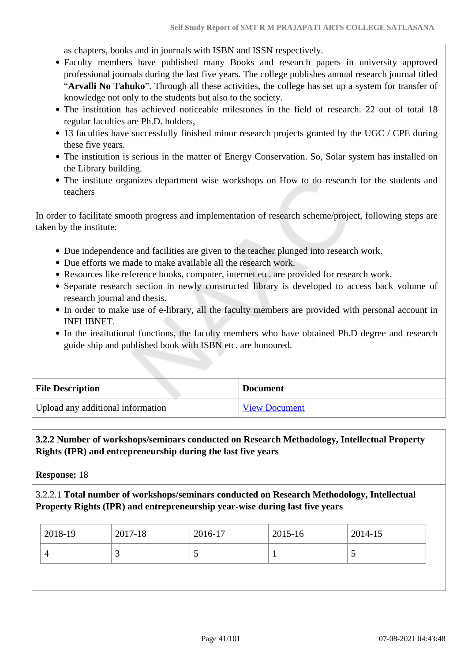as chapters, books and in journals with ISBN and ISSN respectively.

- Faculty members have published many Books and research papers in university approved professional journals during the last five years. The college publishes annual research journal titled "**Arvalli No Tahuko**". Through all these activities, the college has set up a system for transfer of knowledge not only to the students but also to the society.
- The institution has achieved noticeable milestones in the field of research. 22 out of total 18 regular faculties are Ph.D. holders,
- 13 faculties have successfully finished minor research projects granted by the UGC / CPE during these five years.
- The institution is serious in the matter of Energy Conservation. So, Solar system has installed on the Library building.
- The institute organizes department wise workshops on How to do research for the students and teachers

In order to facilitate smooth progress and implementation of research scheme/project, following steps are taken by the institute:

- Due independence and facilities are given to the teacher plunged into research work.
- Due efforts we made to make available all the research work.
- Resources like reference books, computer, internet etc. are provided for research work.
- Separate research section in newly constructed library is developed to access back volume of research journal and thesis.
- In order to make use of e-library, all the faculty members are provided with personal account in INFLIBNET.
- In the institutional functions, the faculty members who have obtained Ph.D degree and research guide ship and published book with ISBN etc. are honoured.

| <b>File Description</b>           | <b>Document</b>      |
|-----------------------------------|----------------------|
| Upload any additional information | <b>View Document</b> |

### **3.2.2 Number of workshops/seminars conducted on Research Methodology, Intellectual Property Rights (IPR) and entrepreneurship during the last five years**

**Response:** 18

3.2.2.1 **Total number of workshops/seminars conducted on Research Methodology, Intellectual Property Rights (IPR) and entrepreneurship year-wise during last five years** 

| 2017-18<br>2018-19<br>2016-17 | 2015-16 | 2014-15              |
|-------------------------------|---------|----------------------|
| ۰.                            |         | $\ddot{\phantom{1}}$ |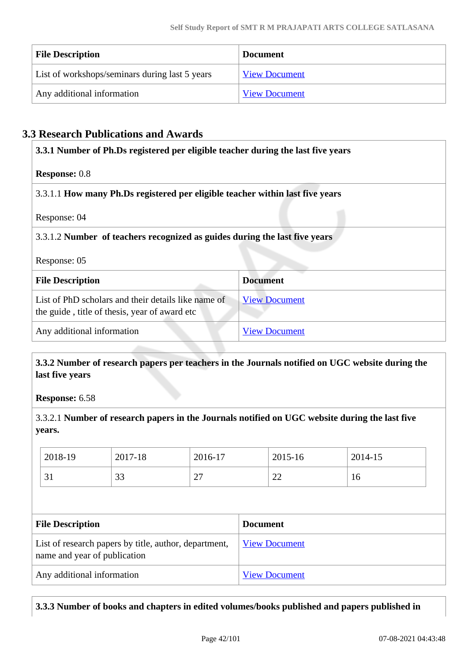| <b>File Description</b>                        | <b>Document</b>      |
|------------------------------------------------|----------------------|
| List of workshops/seminars during last 5 years | <b>View Document</b> |
| Any additional information                     | <b>View Document</b> |

# **3.3 Research Publications and Awards**

| 3.3.1 Number of Ph.Ds registered per eligible teacher during the last five years                     |                      |
|------------------------------------------------------------------------------------------------------|----------------------|
| <b>Response:</b> 0.8                                                                                 |                      |
| 3.3.1.1 How many Ph.Ds registered per eligible teacher within last five years                        |                      |
| Response: 04                                                                                         |                      |
| 3.3.1.2 Number of teachers recognized as guides during the last five years                           |                      |
| Response: 05                                                                                         |                      |
| <b>File Description</b>                                                                              | <b>Document</b>      |
| List of PhD scholars and their details like name of<br>the guide, title of thesis, year of award etc | <b>View Document</b> |
| Any additional information                                                                           | <b>View Document</b> |

## **3.3.2 Number of research papers per teachers in the Journals notified on UGC website during the last five years**

**Response:** 6.58

3.3.2.1 **Number of research papers in the Journals notified on UGC website during the last five years.**

| 2018-19 | 2017-18      | 2016-17            | 2015-16      | 2014-15 |
|---------|--------------|--------------------|--------------|---------|
| IJ      | $\cap$<br>IJ | $\sim$<br>$\sim$ 1 | $\sim$<br>∠∠ | 10      |

| <b>File Description</b>                                                               | Document             |
|---------------------------------------------------------------------------------------|----------------------|
| List of research papers by title, author, department,<br>name and year of publication | <b>View Document</b> |
| Any additional information                                                            | <b>View Document</b> |

# **3.3.3 Number of books and chapters in edited volumes/books published and papers published in**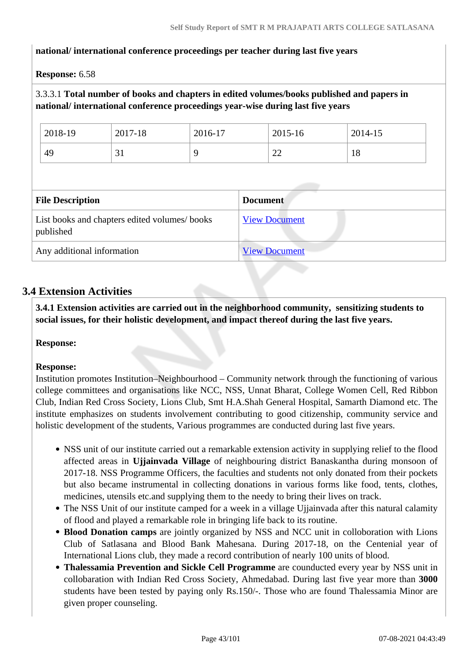### **national/ international conference proceedings per teacher during last five years**

### **Response:** 6.58

## 3.3.3.1 **Total number of books and chapters in edited volumes/books published and papers in national/ international conference proceedings year-wise during last five years**

| 2018-19 | 2017-18 | 2016-17 | 2015-16      | 2014-15 |
|---------|---------|---------|--------------|---------|
| 49      | ◡▴      |         | $\cap$<br>∠∠ | 10      |

| <b>File Description</b>                                   | <b>Document</b>      |
|-----------------------------------------------------------|----------------------|
| List books and chapters edited volumes/books<br>published | <b>View Document</b> |
| Any additional information                                | <b>View Document</b> |

# **3.4 Extension Activities**

 **3.4.1 Extension activities are carried out in the neighborhood community, sensitizing students to social issues, for their holistic development, and impact thereof during the last five years.**

### **Response:**

### **Response:**

Institution promotes Institution–Neighbourhood – Community network through the functioning of various college committees and organisations like NCC, NSS, Unnat Bharat, College Women Cell, Red Ribbon Club, Indian Red Cross Society, Lions Club, Smt H.A.Shah General Hospital, Samarth Diamond etc. The institute emphasizes on students involvement contributing to good citizenship, community service and holistic development of the students, Various programmes are conducted during last five years.

- NSS unit of our institute carried out a remarkable extension activity in supplying relief to the flood affected areas in **Ujjainvada Village** of neighbouring district Banaskantha during monsoon of 2017-18. NSS Programme Officers, the faculties and students not only donated from their pockets but also became instrumental in collecting donations in various forms like food, tents, clothes, medicines, utensils etc.and supplying them to the needy to bring their lives on track.
- The NSS Unit of our institute camped for a week in a village Ujjainvada after this natural calamity of flood and played a remarkable role in bringing life back to its routine.
- **Blood Donation camps** are jointly organized by NSS and NCC unit in colloboration with Lions Club of Satlasana and Blood Bank Mahesana. During 2017-18, on the Centenial year of International Lions club, they made a record contribution of nearly 100 units of blood.
- **Thalessamia Prevention and Sickle Cell Programme** are counducted every year by NSS unit in collobaration with Indian Red Cross Society, Ahmedabad. During last five year more than **3000** students have been tested by paying only Rs.150/-. Those who are found Thalessamia Minor are given proper counseling.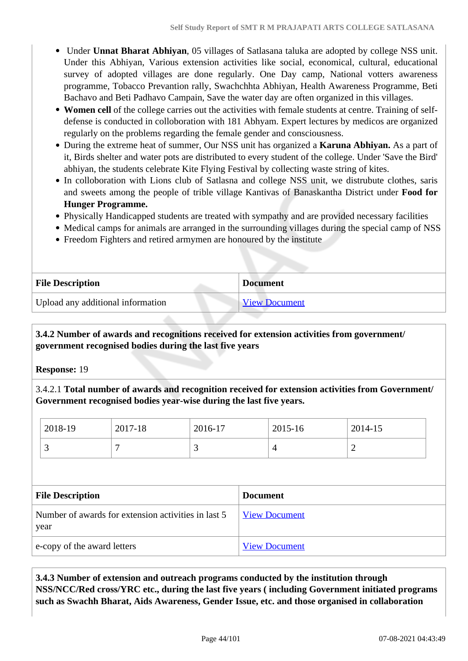- Under **Unnat Bharat Abhiyan**, 05 villages of Satlasana taluka are adopted by college NSS unit. Under this Abhiyan, Various extension activities like social, economical, cultural, educational survey of adopted villages are done regularly. One Day camp, National votters awareness programme, Tobacco Prevantion rally, Swachchhta Abhiyan, Health Awareness Programme, Beti Bachavo and Beti Padhavo Campain, Save the water day are often organized in this villages.
- **Women cell** of the college carries out the activities with female students at centre. Training of selfdefense is conducted in colloboration with 181 Abhyam. Expert lectures by medicos are organized regularly on the problems regarding the female gender and consciousness.
- During the extreme heat of summer, Our NSS unit has organized a **Karuna Abhiyan.** As a part of it, Birds shelter and water pots are distributed to every student of the college. Under 'Save the Bird' abhiyan, the students celebrate Kite Flying Festival by collecting waste string of kites.
- In colloboration with Lions club of Satlasna and college NSS unit, we distrubute clothes, saris and sweets among the people of trible village Kantivas of Banaskantha District under **Food for Hunger Programme.**
- Physically Handicapped students are treated with sympathy and are provided necessary facilities
- Medical camps for animals are arranged in the surrounding villages during the special camp of NSS
- Freedom Fighters and retired armymen are honoured by the institute

| <b>File Description</b>           | <b>Document</b> |
|-----------------------------------|-----------------|
| Upload any additional information | View Document   |

 **3.4.2 Number of awards and recognitions received for extension activities from government/ government recognised bodies during the last five years**

**Response:** 19

3.4.2.1 **Total number of awards and recognition received for extension activities from Government/ Government recognised bodies year-wise during the last five years.**

|      | 2018-19                     | 2017-18                                             | 2016-17 |                 | 2015-16              | 2014-15 |
|------|-----------------------------|-----------------------------------------------------|---------|-----------------|----------------------|---------|
|      | 3                           | 7                                                   | 3       |                 | $\overline{4}$       | 2       |
|      |                             |                                                     |         |                 |                      |         |
|      | <b>File Description</b>     |                                                     |         | <b>Document</b> |                      |         |
| year |                             | Number of awards for extension activities in last 5 |         |                 | <b>View Document</b> |         |
|      | e-copy of the award letters |                                                     |         |                 | <b>View Document</b> |         |

 **3.4.3 Number of extension and outreach programs conducted by the institution through NSS/NCC/Red cross/YRC etc., during the last five years ( including Government initiated programs such as Swachh Bharat, Aids Awareness, Gender Issue, etc. and those organised in collaboration**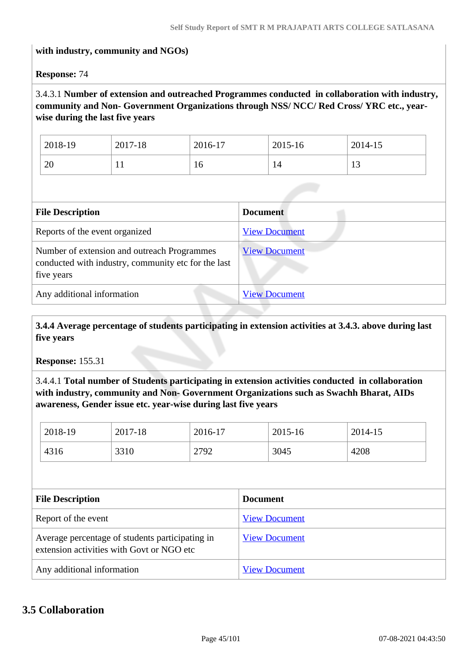#### **with industry, community and NGOs)**

### **Response:** 74

## 3.4.3.1 **Number of extension and outreached Programmes conducted in collaboration with industry, community and Non- Government Organizations through NSS/ NCC/ Red Cross/ YRC etc., yearwise during the last five years**

| 2018-19 | 2017-18      | 2016-17 | 2015-16 | 2014-15       |
|---------|--------------|---------|---------|---------------|
| 20      | $\mathbf{r}$ | 10      | 14      | $\sim$<br>1 J |

| <b>File Description</b>                                                                                          | <b>Document</b>      |
|------------------------------------------------------------------------------------------------------------------|----------------------|
| Reports of the event organized                                                                                   | <b>View Document</b> |
| Number of extension and outreach Programmes<br>conducted with industry, community etc for the last<br>five years | <b>View Document</b> |
| Any additional information                                                                                       | <b>View Document</b> |

## **3.4.4 Average percentage of students participating in extension activities at 3.4.3. above during last five years**

**Response:** 155.31

3.4.4.1 **Total number of Students participating in extension activities conducted in collaboration with industry, community and Non- Government Organizations such as Swachh Bharat, AIDs awareness, Gender issue etc. year-wise during last five years**

| 2018-19 | 2017-18 | 2016-17 | 2015-16 | 2014-15 |
|---------|---------|---------|---------|---------|
| 4316    | 3310    | 2792    | 3045    | 4208    |

| <b>File Description</b>                                                                      | <b>Document</b>      |
|----------------------------------------------------------------------------------------------|----------------------|
| Report of the event                                                                          | <b>View Document</b> |
| Average percentage of students participating in<br>extension activities with Govt or NGO etc | <b>View Document</b> |
| Any additional information                                                                   | <b>View Document</b> |

## **3.5 Collaboration**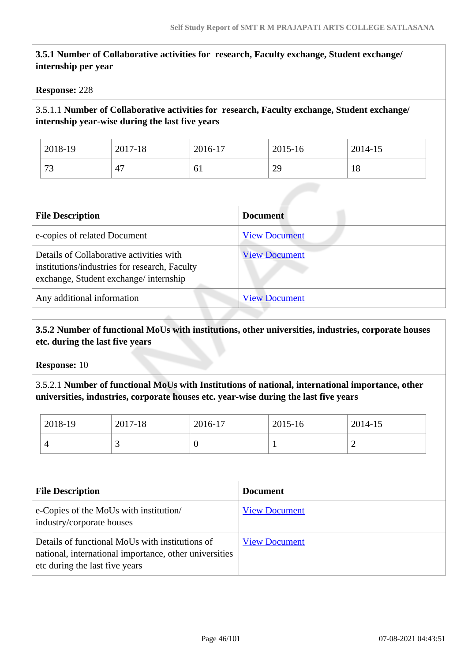| <b>Response: 228</b>    |                                                 |         |                                                                                              |         |
|-------------------------|-------------------------------------------------|---------|----------------------------------------------------------------------------------------------|---------|
|                         | internship year-wise during the last five years |         | 3.5.1.1 Number of Collaborative activities for research, Faculty exchange, Student exchange/ |         |
| 2018-19                 | 2017-18                                         | 2016-17 | 2015-16                                                                                      | 2014-15 |
| 73                      | 47                                              | 61      | 29                                                                                           | 18      |
|                         |                                                 |         |                                                                                              |         |
| <b>File Description</b> |                                                 |         | <b>Document</b>                                                                              |         |
|                         | e-copies of related Document                    |         | <b>View Document</b>                                                                         |         |
|                         |                                                 |         |                                                                                              |         |

| Details of Collaborative activities with      | <b>View Document</b> |
|-----------------------------------------------|----------------------|
| institutions/industries for research, Faculty |                      |
| exchange, Student exchange/internship         |                      |
| Any additional information                    | <b>View Document</b> |

 **3.5.2 Number of functional MoUs with institutions, other universities, industries, corporate houses etc. during the last five years** 

**Response:** 10

3.5.2.1 **Number of functional MoUs with Institutions of national, international importance, other universities, industries, corporate houses etc. year-wise during the last five years**

| 2018-19 | 2017-18 | 2016-17 | 2015-16 | 2014-15 |
|---------|---------|---------|---------|---------|
|         |         | ◡       | . .     | ∼       |

| <b>File Description</b>                                                                                                                     | <b>Document</b>      |
|---------------------------------------------------------------------------------------------------------------------------------------------|----------------------|
| e-Copies of the MoUs with institution/<br>industry/corporate houses                                                                         | <b>View Document</b> |
| Details of functional MoUs with institutions of<br>national, international importance, other universities<br>etc during the last five years | <b>View Document</b> |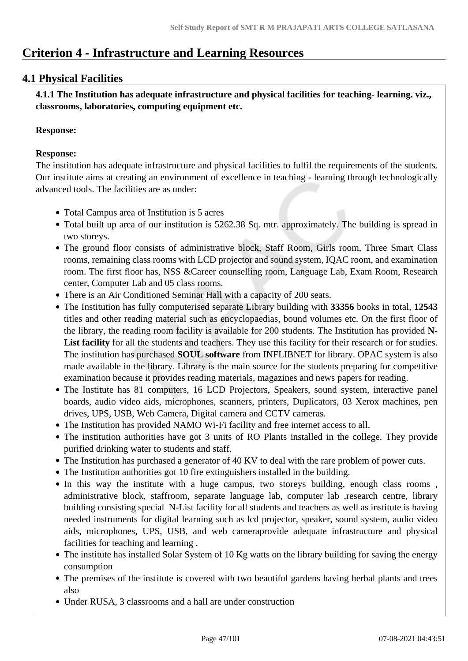# **Criterion 4 - Infrastructure and Learning Resources**

## **4.1 Physical Facilities**

 **4.1.1 The Institution has adequate infrastructure and physical facilities for teaching- learning. viz., classrooms, laboratories, computing equipment etc.** 

### **Response:**

### **Response:**

The institution has adequate infrastructure and physical facilities to fulfil the requirements of the students. Our institute aims at creating an environment of excellence in teaching - learning through technologically advanced tools. The facilities are as under:

- Total Campus area of Institution is 5 acres
- Total built up area of our institution is 5262.38 Sq. mtr. approximately. The building is spread in two storeys.
- The ground floor consists of administrative block, Staff Room, Girls room, Three Smart Class rooms, remaining class rooms with LCD projector and sound system, IQAC room, and examination room. The first floor has, NSS &Career counselling room, Language Lab, Exam Room, Research center, Computer Lab and 05 class rooms.
- There is an Air Conditioned Seminar Hall with a capacity of 200 seats.
- The Institution has fully computerised separate Library building with **33356** books in total, **12543** titles and other reading material such as encyclopaedias, bound volumes etc. On the first floor of the library, the reading room facility is available for 200 students. The Institution has provided **N-**List facility for all the students and teachers. They use this facility for their research or for studies. The institution has purchased **SOUL software** from INFLIBNET for library. OPAC system is also made available in the library. Library is the main source for the students preparing for competitive examination because it provides reading materials, magazines and news papers for reading.
- The Institute has 81 computers, 16 LCD Projectors, Speakers, sound system, interactive panel boards, audio video aids, microphones, scanners, printers, Duplicators, 03 Xerox machines, pen drives, UPS, USB, Web Camera, Digital camera and CCTV cameras.
- The Institution has provided NAMO Wi-Fi facility and free internet access to all.
- The institution authorities have got 3 units of RO Plants installed in the college. They provide purified drinking water to students and staff.
- The Institution has purchased a generator of 40 KV to deal with the rare problem of power cuts.
- The Institution authorities got 10 fire extinguishers installed in the building.
- In this way the institute with a huge campus, two storeys building, enough class rooms, administrative block, staffroom, separate language lab, computer lab ,research centre, library building consisting special N-List facility for all students and teachers as well as institute is having needed instruments for digital learning such as lcd projector, speaker, sound system, audio video aids, microphones, UPS, USB, and web cameraprovide adequate infrastructure and physical facilities for teaching and learning .
- The institute has installed Solar System of 10 Kg watts on the library building for saving the energy consumption
- The premises of the institute is covered with two beautiful gardens having herbal plants and trees also
- Under RUSA, 3 classrooms and a hall are under construction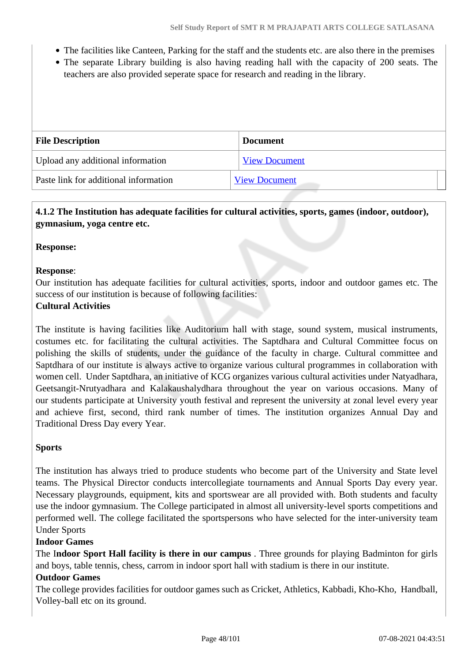- The facilities like Canteen, Parking for the staff and the students etc. are also there in the premises
- The separate Library building is also having reading hall with the capacity of 200 seats. The teachers are also provided seperate space for research and reading in the library.

| <b>File Description</b>               | <b>Document</b>      |
|---------------------------------------|----------------------|
| Upload any additional information     | <b>View Document</b> |
| Paste link for additional information | <b>View Document</b> |

## **4.1.2 The Institution has adequate facilities for cultural activities, sports, games (indoor, outdoor), gymnasium, yoga centre etc.**

**Response:** 

### **Response**:

Our institution has adequate facilities for cultural activities, sports, indoor and outdoor games etc. The success of our institution is because of following facilities:

### **Cultural Activities**

The institute is having facilities like Auditorium hall with stage, sound system, musical instruments, costumes etc. for facilitating the cultural activities. The Saptdhara and Cultural Committee focus on polishing the skills of students, under the guidance of the faculty in charge. Cultural committee and Saptdhara of our institute is always active to organize various cultural programmes in collaboration with women cell. Under Saptdhara, an initiative of KCG organizes various cultural activities under Natyadhara, Geetsangit-Nrutyadhara and Kalakaushalydhara throughout the year on various occasions. Many of our students participate at University youth festival and represent the university at zonal level every year and achieve first, second, third rank number of times. The institution organizes Annual Day and Traditional Dress Day every Year.

### **Sports**

The institution has always tried to produce students who become part of the University and State level teams. The Physical Director conducts intercollegiate tournaments and Annual Sports Day every year. Necessary playgrounds, equipment, kits and sportswear are all provided with. Both students and faculty use the indoor gymnasium. The College participated in almost all university-level sports competitions and performed well. The college facilitated the sportspersons who have selected for the inter-university team Under Sports

### **Indoor Games**

The I**ndoor Sport Hall facility is there in our campus** . Three grounds for playing Badminton for girls and boys, table tennis, chess, carrom in indoor sport hall with stadium is there in our institute.

### **Outdoor Games**

The college provides facilities for outdoor games such as Cricket, Athletics, Kabbadi, Kho-Kho, Handball, Volley-ball etc on its ground.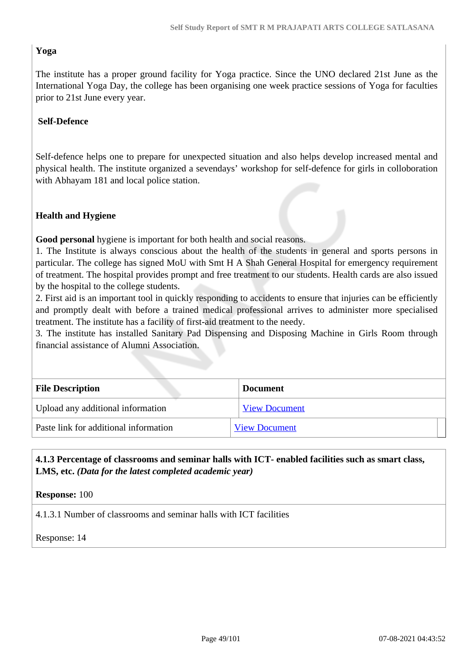## **Yoga**

The institute has a proper ground facility for Yoga practice. Since the UNO declared 21st June as the International Yoga Day, the college has been organising one week practice sessions of Yoga for faculties prior to 21st June every year.

### **Self-Defence**

Self-defence helps one to prepare for unexpected situation and also helps develop increased mental and physical health. The institute organized a sevendays' workshop for self-defence for girls in colloboration with Abhayam 181 and local police station.

### **Health and Hygiene**

**Good personal** hygiene is important for both health and social reasons.

1. The Institute is always conscious about the health of the students in general and sports persons in particular. The college has signed MoU with Smt H A Shah General Hospital for emergency requirement of treatment. The hospital provides prompt and free treatment to our students. Health cards are also issued by the hospital to the college students.

2. First aid is an important tool in quickly responding to accidents to ensure that injuries can be efficiently and promptly dealt with before a trained medical professional arrives to administer more specialised treatment. The institute has a facility of first-aid treatment to the needy.

3. The institute has installed Sanitary Pad Dispensing and Disposing Machine in Girls Room through financial assistance of Alumni Association.

| <b>File Description</b>               | <b>Document</b>      |
|---------------------------------------|----------------------|
| Upload any additional information     | <b>View Document</b> |
| Paste link for additional information | <b>View Document</b> |

 **4.1.3 Percentage of classrooms and seminar halls with ICT- enabled facilities such as smart class, LMS, etc.** *(Data for the latest completed academic year)*

**Response:** 100

4.1.3.1 Number of classrooms and seminar halls with ICT facilities

Response: 14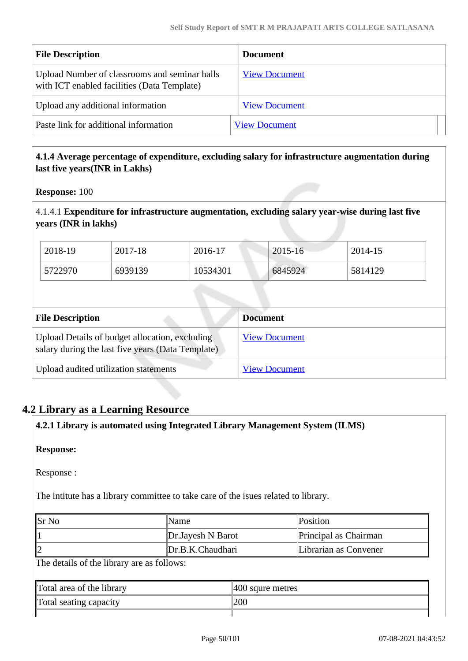| <b>File Description</b>                                                                      | <b>Document</b>      |
|----------------------------------------------------------------------------------------------|----------------------|
| Upload Number of classrooms and seminar halls<br>with ICT enabled facilities (Data Template) | <b>View Document</b> |
| Upload any additional information                                                            | <b>View Document</b> |
| Paste link for additional information                                                        | <b>View Document</b> |

### **4.1.4 Average percentage of expenditure, excluding salary for infrastructure augmentation during last five years(INR in Lakhs)**

**Response:** 100

4.1.4.1 **Expenditure for infrastructure augmentation, excluding salary year-wise during last five years (INR in lakhs)**

| 2018-19 | 2017-18 | 2016-17  | $2015 - 16$ | 2014-15 |
|---------|---------|----------|-------------|---------|
| 5722970 | 6939139 | 10534301 | 6845924     | 5814129 |

| <b>File Description</b>                                                                             | <b>Document</b>      |
|-----------------------------------------------------------------------------------------------------|----------------------|
| Upload Details of budget allocation, excluding<br>salary during the last five years (Data Template) | <b>View Document</b> |
| Upload audited utilization statements                                                               | <b>View Document</b> |

# **4.2 Library as a Learning Resource**

**4.2.1 Library is automated using Integrated Library Management System (ILMS)**

**Response:** 

Response :

The intitute has a library committee to take care of the isues related to library.

| $\operatorname{Sr}\operatorname{No}$ | Name                        | <b>Position</b>       |
|--------------------------------------|-----------------------------|-----------------------|
|                                      | $\Delta$ Dr. Jayesh N Barot | Principal as Chairman |
| 12                                   | Dr.B.K.Chaudhari            | Librarian as Convener |

The details of the library are as follows:

| Total area of the library | $ 400 \text{ square metres} $ |
|---------------------------|-------------------------------|
| Total seating capacity    | 200                           |
|                           |                               |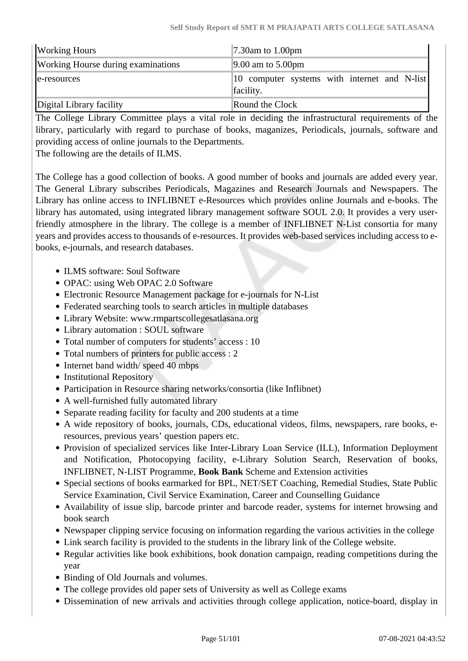| <b>Working Hours</b>                      | $\parallel$ 7.30am to 1.00pm                              |
|-------------------------------------------|-----------------------------------------------------------|
| <b>Working Hourse during examinations</b> | $\vert 9.00$ am to 5.00pm                                 |
| e-resources                               | 10 computer systems with internet and N-list<br>facility. |
|                                           |                                                           |
| Digital Library facility                  | Round the Clock                                           |

The College Library Committee plays a vital role in deciding the infrastructural requirements of the library, particularly with regard to purchase of books, maganizes, Periodicals, journals, software and providing access of online journals to the Departments.

The following are the details of ILMS.

The College has a good collection of books. A good number of books and journals are added every year. The General Library subscribes Periodicals, Magazines and Research Journals and Newspapers. The Library has online access to INFLIBNET e-Resources which provides online Journals and e-books. The library has automated, using integrated library management software SOUL 2.0. It provides a very userfriendly atmosphere in the library. The college is a member of INFLIBNET N-List consortia for many years and provides access to thousands of e-resources. It provides web-based services including access to ebooks, e-journals, and research databases.

- ILMS software: Soul Software
- OPAC: using Web OPAC 2.0 Software
- Electronic Resource Management package for e-journals for N-List
- Federated searching tools to search articles in multiple databases
- Library Website: www.rmpartscollegesatlasana.org
- Library automation : SOUL software
- Total number of computers for students' access : 10
- Total numbers of printers for public access : 2
- Internet band width/ speed 40 mbps
- Institutional Repository
- Participation in Resource sharing networks/consortia (like Inflibnet)
- A well-furnished fully automated library
- Separate reading facility for faculty and 200 students at a time
- A wide repository of books, journals, CDs, educational videos, films, newspapers, rare books, eresources, previous years' question papers etc.
- Provision of specialized services like Inter-Library Loan Service (ILL), Information Deployment and Notification, Photocopying facility, e-Library Solution Search, Reservation of books, INFLIBNET, N-LIST Programme, **Book Bank** Scheme and Extension activities
- Special sections of books earmarked for BPL, NET/SET Coaching, Remedial Studies, State Public Service Examination, Civil Service Examination, Career and Counselling Guidance
- Availability of issue slip, barcode printer and barcode reader, systems for internet browsing and book search
- Newspaper clipping service focusing on information regarding the various activities in the college
- Link search facility is provided to the students in the library link of the College website.
- Regular activities like book exhibitions, book donation campaign, reading competitions during the year
- Binding of Old Journals and volumes.
- The college provides old paper sets of University as well as College exams
- Dissemination of new arrivals and activities through college application, notice-board, display in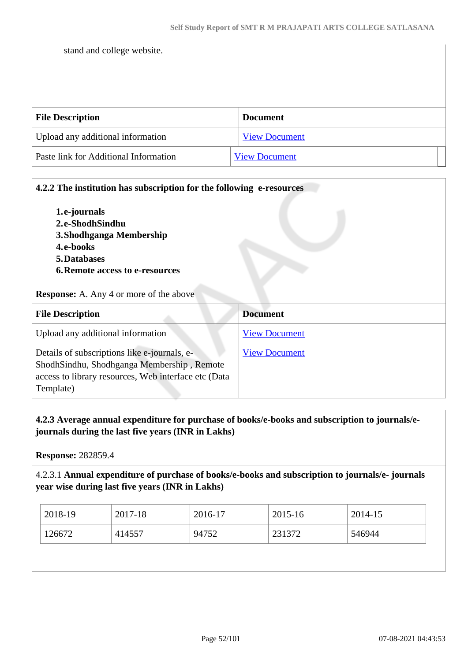stand and college website.

| <b>File Description</b>               | <b>Document</b>      |
|---------------------------------------|----------------------|
| Upload any additional information     | <b>View Document</b> |
| Paste link for Additional Information | <b>View Document</b> |

| 4.2.2 The institution has subscription for the following e-resources                                                                                                                       |                      |  |
|--------------------------------------------------------------------------------------------------------------------------------------------------------------------------------------------|----------------------|--|
| 1.e-journals<br>2.e-ShodhSindhu<br>3. Shodhganga Membership<br>4.e-books<br><b>5.Databases</b><br><b>6. Remote access to e-resources</b><br><b>Response:</b> A. Any 4 or more of the above |                      |  |
| <b>File Description</b>                                                                                                                                                                    | <b>Document</b>      |  |
| Upload any additional information                                                                                                                                                          | <b>View Document</b> |  |
| Details of subscriptions like e-journals, e-<br>ShodhSindhu, Shodhganga Membership, Remote<br>access to library resources, Web interface etc (Data<br>Template)                            | <b>View Document</b> |  |

## **4.2.3 Average annual expenditure for purchase of books/e-books and subscription to journals/ejournals during the last five years (INR in Lakhs)**

**Response:** 282859.4

4.2.3.1 **Annual expenditure of purchase of books/e-books and subscription to journals/e- journals year wise during last five years (INR in Lakhs)**

| 2018-19 | 2017-18 | 2016-17 | 2015-16 | 2014-15 |
|---------|---------|---------|---------|---------|
| 126672  | 414557  | 94752   | 231372  | 546944  |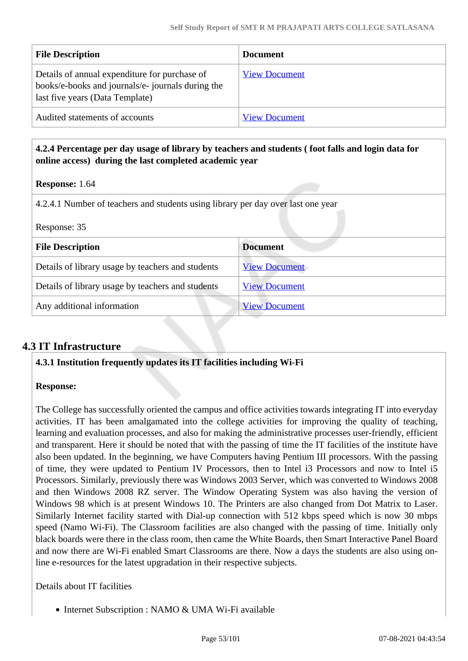| <b>File Description</b>                                                                                                               | Document             |
|---------------------------------------------------------------------------------------------------------------------------------------|----------------------|
| Details of annual expenditure for purchase of<br>books/e-books and journals/e- journals during the<br>last five years (Data Template) | <b>View Document</b> |
| Audited statements of accounts                                                                                                        | <b>View Document</b> |

### **4.2.4 Percentage per day usage of library by teachers and students ( foot falls and login data for online access) during the last completed academic year**

### **Response:** 1.64

4.2.4.1 Number of teachers and students using library per day over last one year

| Response: 35                                      |                      |  |
|---------------------------------------------------|----------------------|--|
| <b>File Description</b>                           | <b>Document</b>      |  |
| Details of library usage by teachers and students | <b>View Document</b> |  |
| Details of library usage by teachers and students | <b>View Document</b> |  |
| Any additional information                        | <b>View Document</b> |  |

# **4.3 IT Infrastructure**

## **4.3.1 Institution frequently updates its IT facilities including Wi-Fi**

### **Response:**

The College has successfully oriented the campus and office activities towards integrating IT into everyday activities. IT has been amalgamated into the college activities for improving the quality of teaching, learning and evaluation processes, and also for making the administrative processes user-friendly, efficient and transparent. Here it should be noted that with the passing of time the IT facilities of the institute have also been updated. In the beginning, we have Computers having Pentium III processors. With the passing of time, they were updated to Pentium IV Processors, then to Intel i3 Processors and now to Intel i5 Processors. Similarly, previously there was Windows 2003 Server, which was converted to Windows 2008 and then Windows 2008 RZ server. The Window Operating System was also having the version of Windows 98 which is at present Windows 10. The Printers are also changed from Dot Matrix to Laser. Similarly Internet facility started with Dial-up connection with 512 kbps speed which is now 30 mbps speed (Namo Wi-Fi). The Classroom facilities are also changed with the passing of time. Initially only black boards were there in the class room, then came the White Boards, then Smart Interactive Panel Board and now there are Wi-Fi enabled Smart Classrooms are there. Now a days the students are also using online e-resources for the latest upgradation in their respective subjects.

### Details about IT facilities

• Internet Subscription : NAMO & UMA Wi-Fi available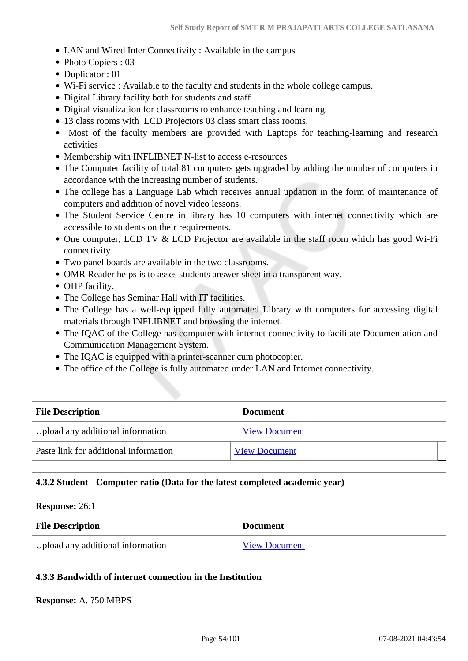- LAN and Wired Inter Connectivity : Available in the campus
- Photo Copiers : 03
- Duplicator : 01
- Wi-Fi service : Available to the faculty and students in the whole college campus.
- Digital Library facility both for students and staff
- Digital visualization for classrooms to enhance teaching and learning.
- 13 class rooms with LCD Projectors 03 class smart class rooms.
- Most of the faculty members are provided with Laptops for teaching-learning and research activities
- Membership with INFLIBNET N-list to access e-resources
- The Computer facility of total 81 computers gets upgraded by adding the number of computers in accordance with the increasing number of students.
- The college has a Language Lab which receives annual updation in the form of maintenance of computers and addition of novel video lessons.
- The Student Service Centre in library has 10 computers with internet connectivity which are accessible to students on their requirements.
- One computer, LCD TV & LCD Projector are available in the staff room which has good Wi-Fi connectivity.
- Two panel boards are available in the two classrooms.
- OMR Reader helps is to asses students answer sheet in a transparent way.
- OHP facility.
- The College has Seminar Hall with IT facilities.
- The College has a well-equipped fully automated Library with computers for accessing digital materials through INFLIBNET and browsing the internet.
- The IQAC of the College has computer with internet connectivity to facilitate Documentation and Communication Management System.
- The IOAC is equipped with a printer-scanner cum photocopier.
- The office of the College is fully automated under LAN and Internet connectivity.

| <b>File Description</b>               | <b>Document</b>      |
|---------------------------------------|----------------------|
| Upload any additional information     | <b>View Document</b> |
| Paste link for additional information | <b>View Document</b> |

### **4.3.2 Student - Computer ratio (Data for the latest completed academic year)**

#### **Response:** 26:1

| <b>File Description</b>           | <b>Document</b>      |
|-----------------------------------|----------------------|
| Upload any additional information | <b>View Document</b> |

### **4.3.3 Bandwidth of internet connection in the Institution**

### **Response:** A. ?50 MBPS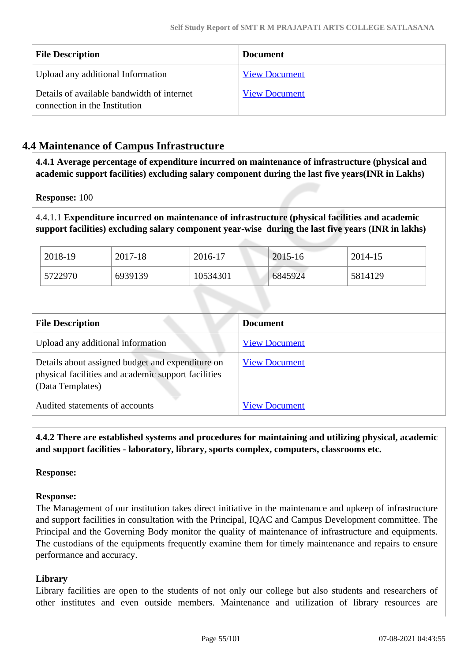| <b>File Description</b>                                                     | <b>Document</b>      |
|-----------------------------------------------------------------------------|----------------------|
| Upload any additional Information                                           | <b>View Document</b> |
| Details of available bandwidth of internet<br>connection in the Institution | <b>View Document</b> |

# **4.4 Maintenance of Campus Infrastructure**

 **4.4.1 Average percentage of expenditure incurred on maintenance of infrastructure (physical and academic support facilities) excluding salary component during the last five years(INR in Lakhs)**

**Response:** 100

4.4.1.1 **Expenditure incurred on maintenance of infrastructure (physical facilities and academic support facilities) excluding salary component year-wise during the last five years (INR in lakhs)**

| 2018-19 | 2017-18 | 2016-17  | 2015-16 | 2014-15 |
|---------|---------|----------|---------|---------|
| 5722970 | 6939139 | 10534301 | 6845924 | 5814129 |

| <b>File Description</b>                                                                                                     | <b>Document</b>      |
|-----------------------------------------------------------------------------------------------------------------------------|----------------------|
| Upload any additional information                                                                                           | <b>View Document</b> |
| Details about assigned budget and expenditure on<br>physical facilities and academic support facilities<br>(Data Templates) | <b>View Document</b> |
| Audited statements of accounts                                                                                              | <b>View Document</b> |

 **4.4.2 There are established systems and procedures for maintaining and utilizing physical, academic and support facilities - laboratory, library, sports complex, computers, classrooms etc.**

**Response:** 

### **Response:**

The Management of our institution takes direct initiative in the maintenance and upkeep of infrastructure and support facilities in consultation with the Principal, IQAC and Campus Development committee. The Principal and the Governing Body monitor the quality of maintenance of infrastructure and equipments. The custodians of the equipments frequently examine them for timely maintenance and repairs to ensure performance and accuracy.

### **Library**

Library facilities are open to the students of not only our college but also students and researchers of other institutes and even outside members. Maintenance and utilization of library resources are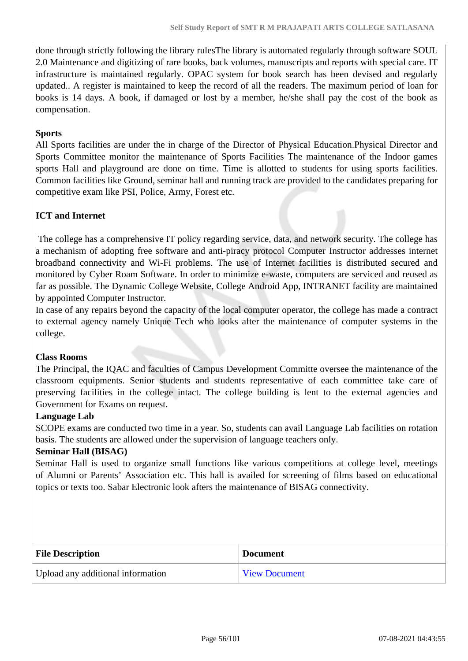done through strictly following the library rulesThe library is automated regularly through software SOUL 2.0 Maintenance and digitizing of rare books, back volumes, manuscripts and reports with special care. IT infrastructure is maintained regularly. OPAC system for book search has been devised and regularly updated.. A register is maintained to keep the record of all the readers. The maximum period of loan for books is 14 days. A book, if damaged or lost by a member, he/she shall pay the cost of the book as compensation.

### **Sports**

All Sports facilities are under the in charge of the Director of Physical Education.Physical Director and Sports Committee monitor the maintenance of Sports Facilities The maintenance of the Indoor games sports Hall and playground are done on time. Time is allotted to students for using sports facilities. Common facilities like Ground, seminar hall and running track are provided to the candidates preparing for competitive exam like PSI, Police, Army, Forest etc.

## **ICT and Internet**

 The college has a comprehensive IT policy regarding service, data, and network security. The college has a mechanism of adopting free software and anti-piracy protocol Computer Instructor addresses internet broadband connectivity and Wi-Fi problems. The use of Internet facilities is distributed secured and monitored by Cyber Roam Software. In order to minimize e-waste, computers are serviced and reused as far as possible. The Dynamic College Website, College Android App, INTRANET facility are maintained by appointed Computer Instructor.

In case of any repairs beyond the capacity of the local computer operator, the college has made a contract to external agency namely Unique Tech who looks after the maintenance of computer systems in the college.

### **Class Rooms**

The Principal, the IQAC and faculties of Campus Development Committe oversee the maintenance of the classroom equipments. Senior students and students representative of each committee take care of preserving facilities in the college intact. The college building is lent to the external agencies and Government for Exams on request.

### **Language Lab**

SCOPE exams are conducted two time in a year. So, students can avail Language Lab facilities on rotation basis. The students are allowed under the supervision of language teachers only.

### **Seminar Hall (BISAG)**

Seminar Hall is used to organize small functions like various competitions at college level, meetings of Alumni or Parents' Association etc. This hall is availed for screening of films based on educational topics or texts too. Sabar Electronic look afters the maintenance of BISAG connectivity.

| <b>File Description</b>           | <b>Document</b>      |
|-----------------------------------|----------------------|
| Upload any additional information | <b>View Document</b> |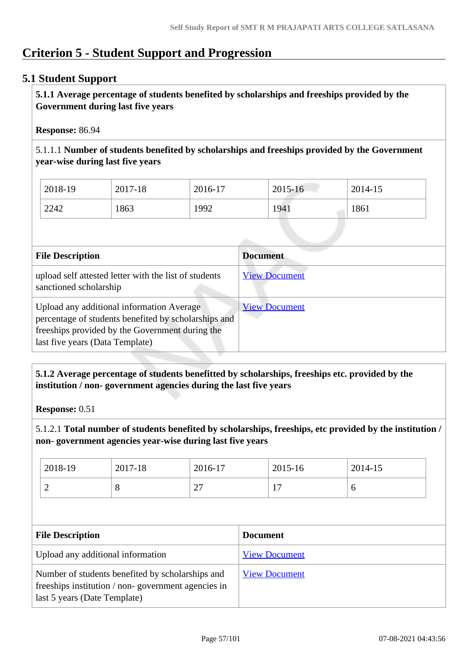# **Criterion 5 - Student Support and Progression**

## **5.1 Student Support**

 **5.1.1 Average percentage of students benefited by scholarships and freeships provided by the Government during last five years** 

**Response:** 86.94

5.1.1.1 **Number of students benefited by scholarships and freeships provided by the Government year-wise during last five years**

| 2018-19 | 2017-18 | 2016-17 | $2015 - 16$ | 2014-15 |
|---------|---------|---------|-------------|---------|
| 2242    | 1863    | 1992    | 1941        | 1861    |

| <b>File Description</b>                                                                                                                                                                 | <b>Document</b>      |
|-----------------------------------------------------------------------------------------------------------------------------------------------------------------------------------------|----------------------|
| upload self attested letter with the list of students<br>sanctioned scholarship                                                                                                         | <b>View Document</b> |
| Upload any additional information Average<br>percentage of students benefited by scholarships and<br>freeships provided by the Government during the<br>last five years (Data Template) | <b>View Document</b> |

## **5.1.2 Average percentage of students benefitted by scholarships, freeships etc. provided by the institution / non- government agencies during the last five years**

**Response:** 0.51

5.1.2.1 **Total number of students benefited by scholarships, freeships, etc provided by the institution / non- government agencies year-wise during last five years**

| 2018-19 | 2017-18 | 2016-17                            | 2015-16  | 2014-15 |
|---------|---------|------------------------------------|----------|---------|
| ∼       | v       | $\sim$<br>$\overline{\phantom{a}}$ | -<br>. . | O       |

| <b>File Description</b>                                                                                                                | <b>Document</b>      |
|----------------------------------------------------------------------------------------------------------------------------------------|----------------------|
| Upload any additional information                                                                                                      | <b>View Document</b> |
| Number of students benefited by scholarships and<br>freeships institution / non-government agencies in<br>last 5 years (Date Template) | <b>View Document</b> |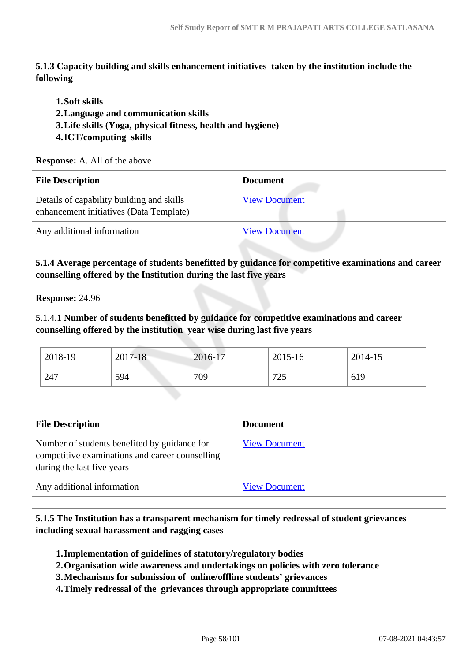**5.1.3 Capacity building and skills enhancement initiatives taken by the institution include the following**

### **1.Soft skills**

**2.Language and communication skills** 

**3.Life skills (Yoga, physical fitness, health and hygiene)**

## **4.ICT/computing skills**

**Response:** A. All of the above

| <b>File Description</b>                                                              | <b>Document</b>      |
|--------------------------------------------------------------------------------------|----------------------|
| Details of capability building and skills<br>enhancement initiatives (Data Template) | <b>View Document</b> |
| Any additional information                                                           | <b>View Document</b> |

## **5.1.4 Average percentage of students benefitted by guidance for competitive examinations and career counselling offered by the Institution during the last five years**

**Response:** 24.96

5.1.4.1 **Number of students benefitted by guidance for competitive examinations and career counselling offered by the institution year wise during last five years**

| 2018-19 | 2017-18 | 2016-17 | 2015-16     | 2014-15 |
|---------|---------|---------|-------------|---------|
| 247     | 594     | 709     | ワつく<br>ل کے | 619     |

| <b>File Description</b>                                                                                                       | <b>Document</b>      |
|-------------------------------------------------------------------------------------------------------------------------------|----------------------|
| Number of students benefited by guidance for<br>competitive examinations and career counselling<br>during the last five years | <b>View Document</b> |
| Any additional information                                                                                                    | <b>View Document</b> |

 **5.1.5 The Institution has a transparent mechanism for timely redressal of student grievances including sexual harassment and ragging cases**

**1.Implementation of guidelines of statutory/regulatory bodies**

**2.Organisation wide awareness and undertakings on policies with zero tolerance**

- **3.Mechanisms for submission of online/offline students' grievances**
- **4.Timely redressal of the grievances through appropriate committees**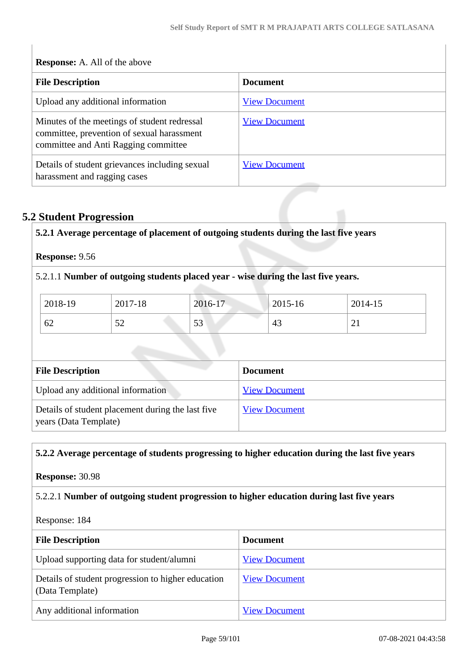| <b>Response:</b> A. All of the above                                                                                               |                      |  |  |
|------------------------------------------------------------------------------------------------------------------------------------|----------------------|--|--|
| <b>File Description</b>                                                                                                            | <b>Document</b>      |  |  |
| Upload any additional information                                                                                                  | <b>View Document</b> |  |  |
| Minutes of the meetings of student redressal<br>committee, prevention of sexual harassment<br>committee and Anti Ragging committee | <b>View Document</b> |  |  |
| Details of student grievances including sexual<br>harassment and ragging cases                                                     | <b>View Document</b> |  |  |

## **5.2 Student Progression**

|                         |                                                   |         | 5.2.1 Average percentage of placement of outgoing students during the last five years |         |  |
|-------------------------|---------------------------------------------------|---------|---------------------------------------------------------------------------------------|---------|--|
| <b>Response: 9.56</b>   |                                                   |         |                                                                                       |         |  |
|                         |                                                   |         | 5.2.1.1 Number of outgoing students placed year - wise during the last five years.    |         |  |
| 2018-19                 | 2017-18                                           | 2016-17 | 2015-16                                                                               | 2014-15 |  |
| 62                      | 52                                                | 53      | 43                                                                                    | 21      |  |
|                         |                                                   |         |                                                                                       |         |  |
| <b>File Description</b> |                                                   |         | <b>Document</b>                                                                       |         |  |
|                         | Upload any additional information                 |         | <b>View Document</b>                                                                  |         |  |
| years (Data Template)   | Details of student placement during the last five |         | <b>View Document</b>                                                                  |         |  |

## **5.2.2 Average percentage of students progressing to higher education during the last five years**

**Response:** 30.98

# 5.2.2.1 **Number of outgoing student progression to higher education during last five years**

Response: 184

| <b>File Description</b>                                               | <b>Document</b>      |
|-----------------------------------------------------------------------|----------------------|
| Upload supporting data for student/alumni                             | <b>View Document</b> |
| Details of student progression to higher education<br>(Data Template) | <b>View Document</b> |
| Any additional information                                            | <b>View Document</b> |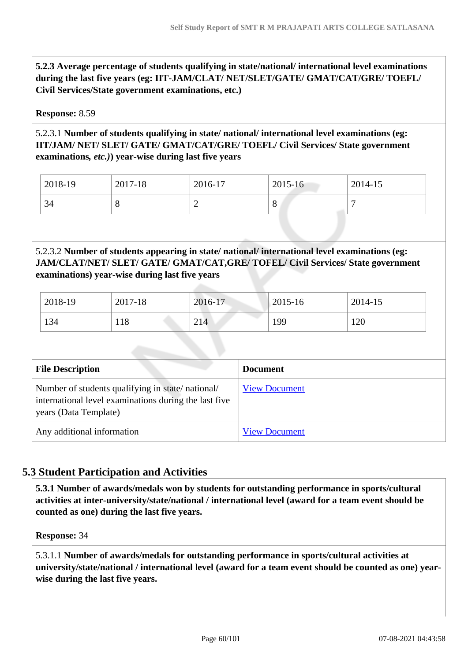**5.2.3 Average percentage of students qualifying in state/national/ international level examinations during the last five years (eg: IIT-JAM/CLAT/ NET/SLET/GATE/ GMAT/CAT/GRE/ TOEFL/ Civil Services/State government examinations, etc.)**

### **Response:** 8.59

## 5.2.3.1 **Number of students qualifying in state/ national/ international level examinations (eg: IIT/JAM/ NET/ SLET/ GATE/ GMAT/CAT/GRE/ TOEFL/ Civil Services/ State government examinations***, etc.)***) year-wise during last five years**

| 2018-19 | 2017-18 | 2016-17 | 2015-16 | 2014-15 |
|---------|---------|---------|---------|---------|
| 34      | $\circ$ | ∼       | v       |         |

## 5.2.3.2 **Number of students appearing in state/ national/ international level examinations (eg: JAM/CLAT/NET/ SLET/ GATE/ GMAT/CAT,GRE/ TOFEL/ Civil Services/ State government examinations) year-wise during last five years**

| 2018-19 | 2017-18 | 2016-17 | $2015 - 16$ | 2014-15 |
|---------|---------|---------|-------------|---------|
| 134     | 118     | 214     | 199         | 120     |

| <b>File Description</b>                                                                                                            | <b>Document</b>      |
|------------------------------------------------------------------------------------------------------------------------------------|----------------------|
| Number of students qualifying in state/national/<br>international level examinations during the last five<br>years (Data Template) | <b>View Document</b> |
| Any additional information                                                                                                         | <b>View Document</b> |

# **5.3 Student Participation and Activities**

 **5.3.1 Number of awards/medals won by students for outstanding performance in sports/cultural activities at inter-university/state/national / international level (award for a team event should be counted as one) during the last five years.**

**Response:** 34

5.3.1.1 **Number of awards/medals for outstanding performance in sports/cultural activities at university/state/national / international level (award for a team event should be counted as one) yearwise during the last five years.**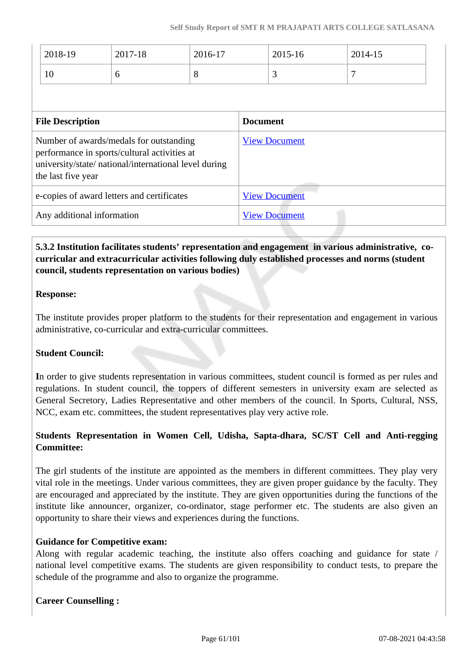| 2018-19 | 2017-18 | 2016-17 | 2015-16 | 2014-15 |
|---------|---------|---------|---------|---------|
| 10      | ◡       | ັ       | ັ       |         |

| <b>File Description</b>                                                                                                                                                | <b>Document</b>      |
|------------------------------------------------------------------------------------------------------------------------------------------------------------------------|----------------------|
| Number of awards/medals for outstanding<br>performance in sports/cultural activities at<br>university/state/ national/international level during<br>the last five year | <b>View Document</b> |
| e-copies of award letters and certificates                                                                                                                             | <b>View Document</b> |
| Any additional information                                                                                                                                             | <b>View Document</b> |

## **5.3.2 Institution facilitates students' representation and engagement in various administrative, cocurricular and extracurricular activities following duly established processes and norms (student council, students representation on various bodies)**

### **Response:**

The institute provides proper platform to the students for their representation and engagement in various administrative, co-curricular and extra-curricular committees.

### **Student Council:**

**I**n order to give students representation in various committees, student council is formed as per rules and regulations. In student council, the toppers of different semesters in university exam are selected as General Secretory, Ladies Representative and other members of the council. In Sports, Cultural, NSS, NCC, exam etc. committees, the student representatives play very active role.

## **Students Representation in Women Cell, Udisha, Sapta-dhara, SC/ST Cell and Anti-regging Committee:**

The girl students of the institute are appointed as the members in different committees. They play very vital role in the meetings. Under various committees, they are given proper guidance by the faculty. They are encouraged and appreciated by the institute. They are given opportunities during the functions of the institute like announcer, organizer, co-ordinator, stage performer etc. The students are also given an opportunity to share their views and experiences during the functions.

### **Guidance for Competitive exam:**

Along with regular academic teaching, the institute also offers coaching and guidance for state / national level competitive exams. The students are given responsibility to conduct tests, to prepare the schedule of the programme and also to organize the programme.

**Career Counselling :**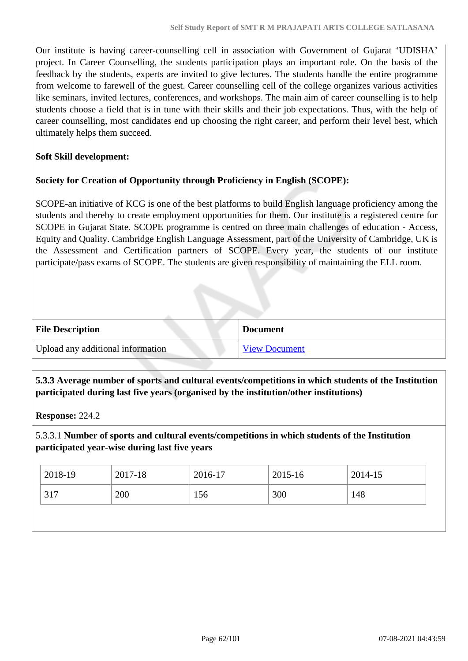Our institute is having career-counselling cell in association with Government of Gujarat 'UDISHA' project. In Career Counselling, the students participation plays an important role. On the basis of the feedback by the students, experts are invited to give lectures. The students handle the entire programme from welcome to farewell of the guest. Career counselling cell of the college organizes various activities like seminars, invited lectures, conferences, and workshops. The main aim of career counselling is to help students choose a field that is in tune with their skills and their job expectations. Thus, with the help of career counselling, most candidates end up choosing the right career, and perform their level best, which ultimately helps them succeed.

### **Soft Skill development:**

### **Society for Creation of Opportunity through Proficiency in English (SCOPE):**

SCOPE-an initiative of KCG is one of the best platforms to build English language proficiency among the students and thereby to create employment opportunities for them. Our institute is a registered centre for SCOPE in Gujarat State. SCOPE programme is centred on three main challenges of education - Access, Equity and Quality. Cambridge English Language Assessment, part of the University of Cambridge, UK is the Assessment and Certification partners of SCOPE. Every year, the students of our institute participate/pass exams of SCOPE. The students are given responsibility of maintaining the ELL room.

| <b>File Description</b>           | <b>Document</b>      |
|-----------------------------------|----------------------|
| Upload any additional information | <b>View Document</b> |

 **5.3.3 Average number of sports and cultural events/competitions in which students of the Institution participated during last five years (organised by the institution/other institutions)**

**Response:** 224.2

5.3.3.1 **Number of sports and cultural events/competitions in which students of the Institution participated year-wise during last five years**

|                          | 2015-16<br>2014-15 |
|--------------------------|--------------------|
| 300<br>317<br>200<br>156 | 148                |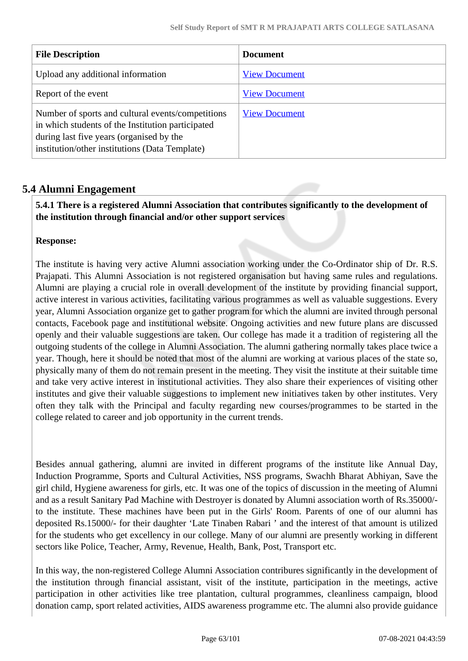| <b>File Description</b>                                                                                                                                                                              | <b>Document</b>      |
|------------------------------------------------------------------------------------------------------------------------------------------------------------------------------------------------------|----------------------|
| Upload any additional information                                                                                                                                                                    | <b>View Document</b> |
| Report of the event                                                                                                                                                                                  | <b>View Document</b> |
| Number of sports and cultural events/competitions<br>in which students of the Institution participated<br>during last five years (organised by the<br>institution/other institutions (Data Template) | <b>View Document</b> |

# **5.4 Alumni Engagement**

 **5.4.1 There is a registered Alumni Association that contributes significantly to the development of the institution through financial and/or other support services**

## **Response:**

The institute is having very active Alumni association working under the Co-Ordinator ship of Dr. R.S. Prajapati. This Alumni Association is not registered organisation but having same rules and regulations. Alumni are playing a crucial role in overall development of the institute by providing financial support, active interest in various activities, facilitating various programmes as well as valuable suggestions. Every year, Alumni Association organize get to gather program for which the alumni are invited through personal contacts, Facebook page and institutional website. Ongoing activities and new future plans are discussed openly and their valuable suggestions are taken. Our college has made it a tradition of registering all the outgoing students of the college in Alumni Association. The alumni gathering normally takes place twice a year. Though, here it should be noted that most of the alumni are working at various places of the state so, physically many of them do not remain present in the meeting. They visit the institute at their suitable time and take very active interest in institutional activities. They also share their experiences of visiting other institutes and give their valuable suggestions to implement new initiatives taken by other institutes. Very often they talk with the Principal and faculty regarding new courses/programmes to be started in the college related to career and job opportunity in the current trends.

Besides annual gathering, alumni are invited in different programs of the institute like Annual Day, Induction Programme, Sports and Cultural Activities, NSS programs, Swachh Bharat Abhiyan, Save the girl child, Hygiene awareness for girls, etc. It was one of the topics of discussion in the meeting of Alumni and as a result Sanitary Pad Machine with Destroyer is donated by Alumni association worth of Rs.35000/ to the institute. These machines have been put in the Girls' Room. Parents of one of our alumni has deposited Rs.15000/- for their daughter 'Late Tinaben Rabari ' and the interest of that amount is utilized for the students who get excellency in our college. Many of our alumni are presently working in different sectors like Police, Teacher, Army, Revenue, Health, Bank, Post, Transport etc.

In this way, the non-registered College Alumni Association contribures significantly in the development of the institution through financial assistant, visit of the institute, participation in the meetings, active participation in other activities like tree plantation, cultural programmes, cleanliness campaign, blood donation camp, sport related activities, AIDS awareness programme etc. The alumni also provide guidance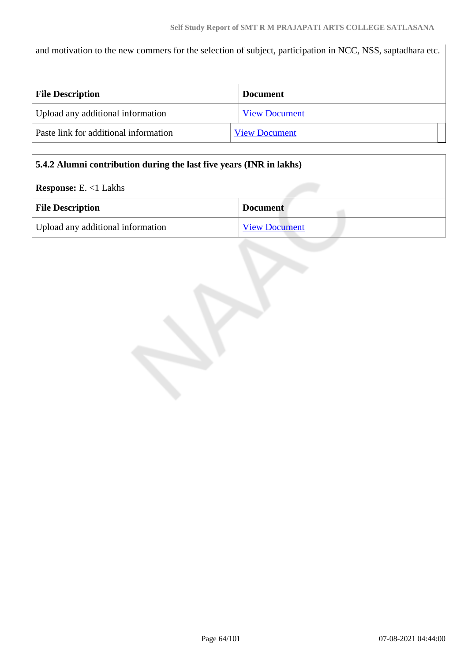and motivation to the new commers for the selection of subject, participation in NCC, NSS, saptadhara etc.

| <b>File Description</b>               | <b>Document</b>      |
|---------------------------------------|----------------------|
| Upload any additional information     | <b>View Document</b> |
| Paste link for additional information | <b>View Document</b> |

| 5.4.2 Alumni contribution during the last five years (INR in lakhs) |                      |
|---------------------------------------------------------------------|----------------------|
| <b>Response:</b> E. $<1$ Lakhs                                      |                      |
| <b>File Description</b>                                             | <b>Document</b>      |
| Upload any additional information                                   | <b>View Document</b> |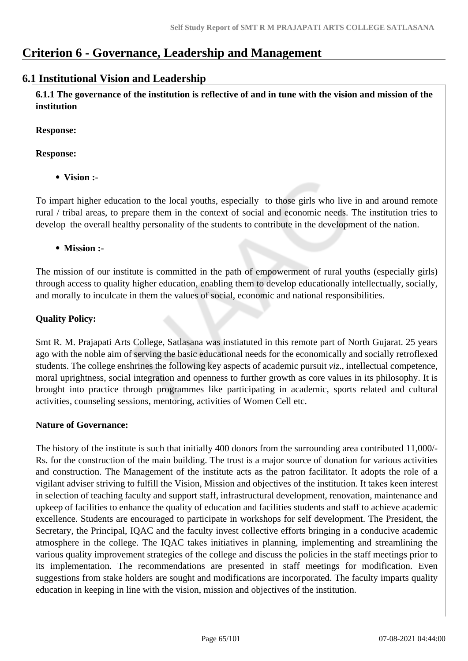# **Criterion 6 - Governance, Leadership and Management**

## **6.1 Institutional Vision and Leadership**

 **6.1.1 The governance of the institution is reflective of and in tune with the vision and mission of the institution**

**Response:** 

**Response:**

**Vision :-** 

To impart higher education to the local youths, especially to those girls who live in and around remote rural / tribal areas, to prepare them in the context of social and economic needs. The institution tries to develop the overall healthy personality of the students to contribute in the development of the nation.

## **Mission :-**

The mission of our institute is committed in the path of empowerment of rural youths (especially girls) through access to quality higher education, enabling them to develop educationally intellectually, socially, and morally to inculcate in them the values of social, economic and national responsibilities.

## **Quality Policy:**

Smt R. M. Prajapati Arts College, Satlasana was instiatuted in this remote part of North Gujarat. 25 years ago with the noble aim of serving the basic educational needs for the economically and socially retroflexed students. The college enshrines the following key aspects of academic pursuit *viz*., intellectual competence, moral uprightness, social integration and openness to further growth as core values in its philosophy. It is brought into practice through programmes like participating in academic, sports related and cultural activities, counseling sessions, mentoring, activities of Women Cell etc.

### **Nature of Governance:**

The history of the institute is such that initially 400 donors from the surrounding area contributed 11,000/- Rs. for the construction of the main building. The trust is a major source of donation for various activities and construction. The Management of the institute acts as the patron facilitator. It adopts the role of a vigilant adviser striving to fulfill the Vision, Mission and objectives of the institution. It takes keen interest in selection of teaching faculty and support staff, infrastructural development, renovation, maintenance and upkeep of facilities to enhance the quality of education and facilities students and staff to achieve academic excellence. Students are encouraged to participate in workshops for self development. The President, the Secretary, the Principal, IQAC and the faculty invest collective efforts bringing in a conducive academic atmosphere in the college. The IQAC takes initiatives in planning, implementing and streamlining the various quality improvement strategies of the college and discuss the policies in the staff meetings prior to its implementation. The recommendations are presented in staff meetings for modification. Even suggestions from stake holders are sought and modifications are incorporated. The faculty imparts quality education in keeping in line with the vision, mission and objectives of the institution.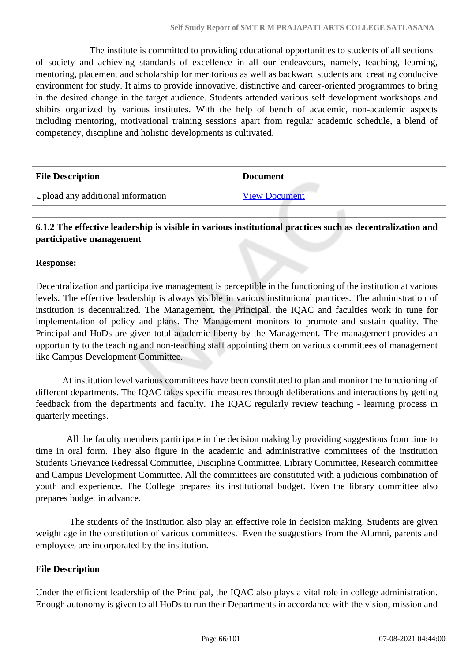The institute is committed to providing educational opportunities to students of all sections of society and achieving standards of excellence in all our endeavours, namely, teaching, learning, mentoring, placement and scholarship for meritorious as well as backward students and creating conducive environment for study. It aims to provide innovative, distinctive and career-oriented programmes to bring in the desired change in the target audience. Students attended various self development workshops and shibirs organized by various institutes. With the help of bench of academic, non-academic aspects including mentoring, motivational training sessions apart from regular academic schedule, a blend of competency, discipline and holistic developments is cultivated.

| <b>File Description</b>           | <b>Document</b>      |
|-----------------------------------|----------------------|
| Upload any additional information | <b>View Document</b> |

## **6.1.2 The effective leadership is visible in various institutional practices such as decentralization and participative management**

### **Response:**

Decentralization and participative management is perceptible in the functioning of the institution at various levels. The effective leadership is always visible in various institutional practices. The administration of institution is decentralized. The Management, the Principal, the IQAC and faculties work in tune for implementation of policy and plans. The Management monitors to promote and sustain quality. The Principal and HoDs are given total academic liberty by the Management. The management provides an opportunity to the teaching and non-teaching staff appointing them on various committees of management like Campus Development Committee.

 At institution level various committees have been constituted to plan and monitor the functioning of different departments. The IQAC takes specific measures through deliberations and interactions by getting feedback from the departments and faculty. The IQAC regularly review teaching - learning process in quarterly meetings.

 All the faculty members participate in the decision making by providing suggestions from time to time in oral form. They also figure in the academic and administrative committees of the institution Students Grievance Redressal Committee, Discipline Committee, Library Committee, Research committee and Campus Development Committee. All the committees are constituted with a judicious combination of youth and experience. The College prepares its institutional budget. Even the library committee also prepares budget in advance.

 The students of the institution also play an effective role in decision making. Students are given weight age in the constitution of various committees. Even the suggestions from the Alumni, parents and employees are incorporated by the institution.

## **File Description**

Under the efficient leadership of the Principal, the IQAC also plays a vital role in college administration. Enough autonomy is given to all HoDs to run their Departments in accordance with the vision, mission and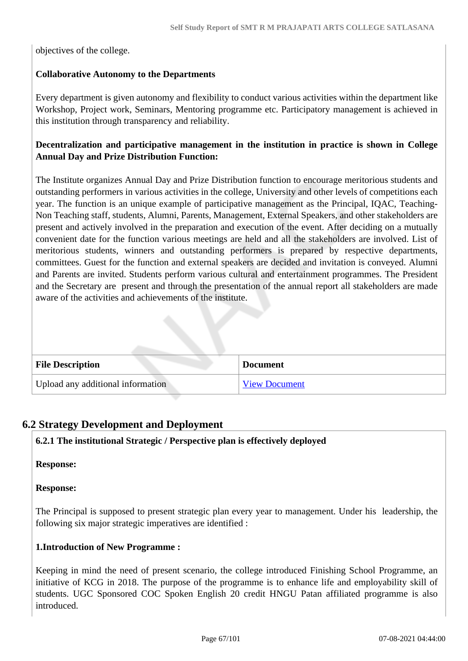objectives of the college.

### **Collaborative Autonomy to the Departments**

Every department is given autonomy and flexibility to conduct various activities within the department like Workshop, Project work, Seminars, Mentoring programme etc. Participatory management is achieved in this institution through transparency and reliability.

## **Decentralization and participative management in the institution in practice is shown in College Annual Day and Prize Distribution Function:**

The Institute organizes Annual Day and Prize Distribution function to encourage meritorious students and outstanding performers in various activities in the college, University and other levels of competitions each year. The function is an unique example of participative management as the Principal, IQAC, Teaching-Non Teaching staff, students, Alumni, Parents, Management, External Speakers, and other stakeholders are present and actively involved in the preparation and execution of the event. After deciding on a mutually convenient date for the function various meetings are held and all the stakeholders are involved. List of meritorious students, winners and outstanding performers is prepared by respective departments, committees. Guest for the function and external speakers are decided and invitation is conveyed. Alumni and Parents are invited. Students perform various cultural and entertainment programmes. The President and the Secretary are present and through the presentation of the annual report all stakeholders are made aware of the activities and achievements of the institute.

| <b>File Description</b>           | <b>Document</b>      |
|-----------------------------------|----------------------|
| Upload any additional information | <b>View Document</b> |

## **6.2 Strategy Development and Deployment**

### **6.2.1 The institutional Strategic / Perspective plan is effectively deployed**

**Response:** 

### **Response:**

The Principal is supposed to present strategic plan every year to management. Under his leadership, the following six major strategic imperatives are identified :

### **1.Introduction of New Programme :**

Keeping in mind the need of present scenario, the college introduced Finishing School Programme, an initiative of KCG in 2018. The purpose of the programme is to enhance life and employability skill of students. UGC Sponsored COC Spoken English 20 credit HNGU Patan affiliated programme is also introduced.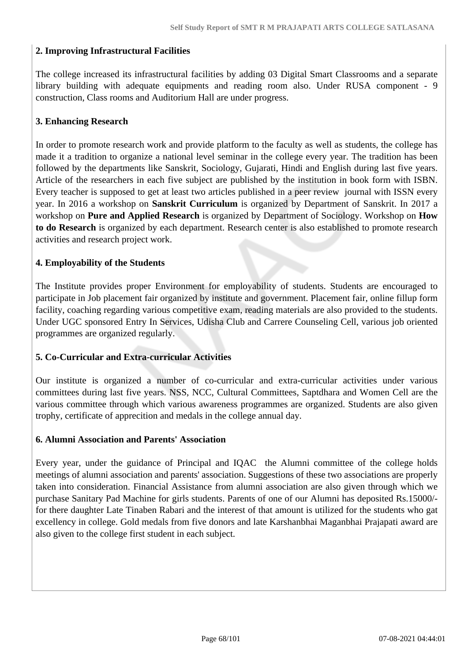## **2. Improving Infrastructural Facilities**

The college increased its infrastructural facilities by adding 03 Digital Smart Classrooms and a separate library building with adequate equipments and reading room also. Under RUSA component - 9 construction, Class rooms and Auditorium Hall are under progress.

## **3. Enhancing Research**

In order to promote research work and provide platform to the faculty as well as students, the college has made it a tradition to organize a national level seminar in the college every year. The tradition has been followed by the departments like Sanskrit, Sociology, Gujarati, Hindi and English during last five years. Article of the researchers in each five subject are published by the institution in book form with ISBN. Every teacher is supposed to get at least two articles published in a peer review journal with ISSN every year. In 2016 a workshop on **Sanskrit Curriculum** is organized by Department of Sanskrit. In 2017 a workshop on **Pure and Applied Research** is organized by Department of Sociology. Workshop on **How to do Research** is organized by each department. Research center is also established to promote research activities and research project work.

### **4. Employability of the Students**

The Institute provides proper Environment for employability of students. Students are encouraged to participate in Job placement fair organized by institute and government. Placement fair, online fillup form facility, coaching regarding various competitive exam, reading materials are also provided to the students. Under UGC sponsored Entry In Services, Udisha Club and Carrere Counseling Cell, various job oriented programmes are organized regularly.

### **5. Co-Curricular and Extra-curricular Activities**

Our institute is organized a number of co-curricular and extra-curricular activities under various committees during last five years. NSS, NCC, Cultural Committees, Saptdhara and Women Cell are the various committee through which various awareness programmes are organized. Students are also given trophy, certificate of apprecition and medals in the college annual day.

### **6. Alumni Association and Parents' Association**

Every year, under the guidance of Principal and IQAC the Alumni committee of the college holds meetings of alumni association and parents' association. Suggestions of these two associations are properly taken into consideration. Financial Assistance from alumni association are also given through which we purchase Sanitary Pad Machine for girls students. Parents of one of our Alumni has deposited Rs.15000/ for there daughter Late Tinaben Rabari and the interest of that amount is utilized for the students who gat excellency in college. Gold medals from five donors and late Karshanbhai Maganbhai Prajapati award are also given to the college first student in each subject.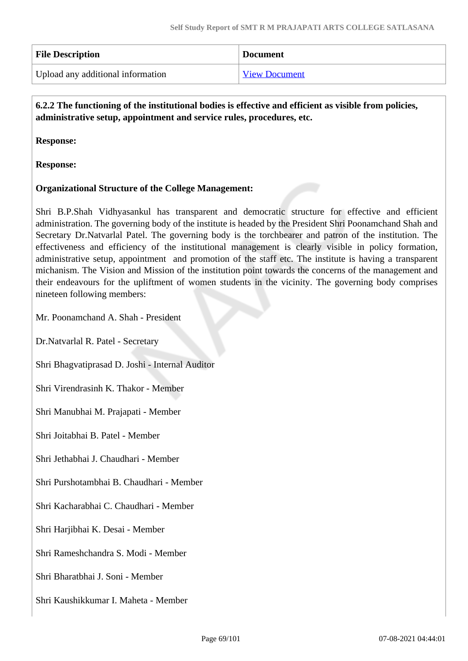| <b>File Description</b>           | <b>Document</b>      |
|-----------------------------------|----------------------|
| Upload any additional information | <b>View Document</b> |

## **6.2.2 The functioning of the institutional bodies is effective and efficient as visible from policies, administrative setup, appointment and service rules, procedures, etc.**

**Response:** 

**Response:**

### **Organizational Structure of the College Management:**

Shri B.P.Shah Vidhyasankul has transparent and democratic structure for effective and efficient administration. The governing body of the institute is headed by the President Shri Poonamchand Shah and Secretary Dr.Natvarlal Patel. The governing body is the torchbearer and patron of the institution. The effectiveness and efficiency of the institutional management is clearly visible in policy formation, administrative setup, appointment and promotion of the staff etc. The institute is having a transparent michanism. The Vision and Mission of the institution point towards the concerns of the management and their endeavours for the upliftment of women students in the vicinity. The governing body comprises nineteen following members:

Mr. Poonamchand A. Shah - President

Dr.Natvarlal R. Patel - Secretary

Shri Bhagvatiprasad D. Joshi - Internal Auditor

Shri Virendrasinh K. Thakor - Member

Shri Manubhai M. Prajapati - Member

Shri Joitabhai B. Patel - Member

Shri Jethabhai J. Chaudhari - Member

Shri Purshotambhai B. Chaudhari - Member

Shri Kacharabhai C. Chaudhari - Member

Shri Harjibhai K. Desai - Member

Shri Rameshchandra S. Modi - Member

Shri Bharatbhai J. Soni - Member

Shri Kaushikkumar I. Maheta - Member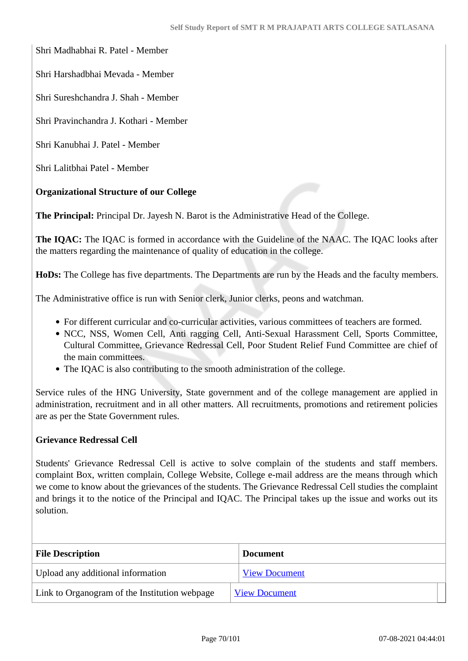### Shri Madhabhai R. Patel - Member

Shri Harshadbhai Mevada - Member

Shri Sureshchandra J. Shah - Member

Shri Pravinchandra J. Kothari - Member

Shri Kanubhai J. Patel - Member

Shri Lalitbhai Patel - Member

### **Organizational Structure of our College**

**The Principal:** Principal Dr. Jayesh N. Barot is the Administrative Head of the College.

**The IQAC:** The IQAC is formed in accordance with the Guideline of the NAAC. The IQAC looks after the matters regarding the maintenance of quality of education in the college.

**HoDs:** The College has five departments. The Departments are run by the Heads and the faculty members.

The Administrative office is run with Senior clerk, Junior clerks, peons and watchman.

- For different curricular and co-curricular activities, various committees of teachers are formed.
- NCC, NSS, Women Cell, Anti ragging Cell, Anti-Sexual Harassment Cell, Sports Committee, Cultural Committee, Grievance Redressal Cell, Poor Student Relief Fund Committee are chief of the main committees.
- The IQAC is also contributing to the smooth administration of the college.

Service rules of the HNG University, State government and of the college management are applied in administration, recruitment and in all other matters. All recruitments, promotions and retirement policies are as per the State Government rules.

### **Grievance Redressal Cell**

Students' Grievance Redressal Cell is active to solve complain of the students and staff members. complaint Box, written complain, College Website, College e-mail address are the means through which we come to know about the grievances of the students. The Grievance Redressal Cell studies the complaint and brings it to the notice of the Principal and IQAC. The Principal takes up the issue and works out its solution.

| <b>File Description</b>                       | <b>Document</b>      |
|-----------------------------------------------|----------------------|
| Upload any additional information             | <b>View Document</b> |
| Link to Organogram of the Institution webpage | <b>View Document</b> |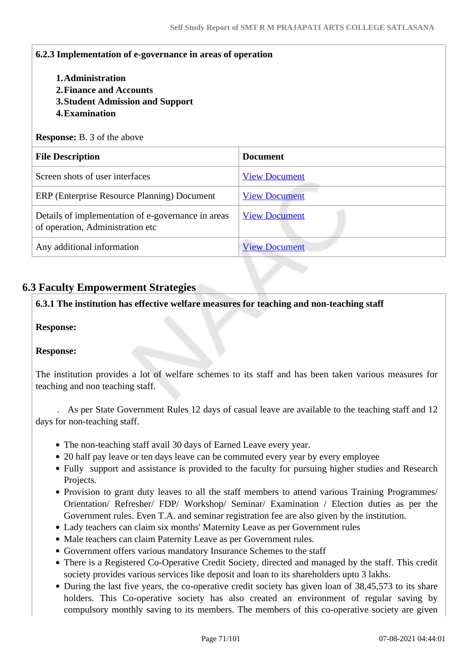| 6.2.3 Implementation of e-governance in areas of operation<br>1. Administration<br>2. Finance and Accounts<br>3. Student Admission and Support<br>4. Examination |                      |
|------------------------------------------------------------------------------------------------------------------------------------------------------------------|----------------------|
| <b>Response:</b> B. 3 of the above                                                                                                                               |                      |
| <b>File Description</b>                                                                                                                                          | <b>Document</b>      |
| Screen shots of user interfaces                                                                                                                                  | <b>View Document</b> |
| ERP (Enterprise Resource Planning) Document                                                                                                                      | <b>View Document</b> |
| Details of implementation of e-governance in areas<br>of operation, Administration etc                                                                           | <b>View Document</b> |
| Any additional information                                                                                                                                       | <b>View Document</b> |

# **6.3 Faculty Empowerment Strategies**

### **6.3.1 The institution has effective welfare measures for teaching and non-teaching staff**

### **Response:**

### **Response:**

The institution provides a lot of welfare schemes to its staff and has been taken various measures for teaching and non teaching staff.

 . As per State Government Rules 12 days of casual leave are available to the teaching staff and 12 days for non-teaching staff.

- The non-teaching staff avail 30 days of Earned Leave every year.
- 20 half pay leave or ten days leave can be commuted every year by every employee
- Fully support and assistance is provided to the faculty for pursuing higher studies and Research Projects.
- Provision to grant duty leaves to all the staff members to attend various Training Programmes/ Orientation/ Refresher/ FDP/ Workshop/ Seminar/ Examination / Election duties as per the Government rules. Even T.A. and seminar registration fee are also given by the institution.
- Lady teachers can claim six months' Maternity Leave as per Government rules
- Male teachers can claim Paternity Leave as per Government rules.
- Government offers various mandatory Insurance Schemes to the staff
- There is a Registered Co-Operative Credit Society, directed and managed by the staff. This credit society provides various services like deposit and loan to its shareholders upto 3 lakhs.
- During the last five years, the co-operative credit society has given loan of 38,45,573 to its share holders. This Co-operative society has also created an environment of regular saving by compulsory monthly saving to its members. The members of this co-operative society are given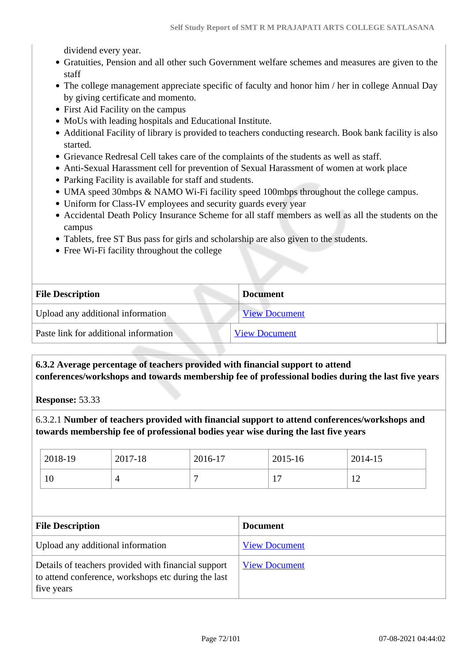dividend every year.

- Gratuities, Pension and all other such Government welfare schemes and measures are given to the staff
- The college management appreciate specific of faculty and honor him / her in college Annual Day by giving certificate and momento.
- First Aid Facility on the campus
- MoUs with leading hospitals and Educational Institute.
- Additional Facility of library is provided to teachers conducting research. Book bank facility is also started.
- Grievance Redresal Cell takes care of the complaints of the students as well as staff.
- Anti-Sexual Harassment cell for prevention of Sexual Harassment of women at work place
- Parking Facility is available for staff and students.
- UMA speed 30mbps & NAMO Wi-Fi facility speed 100mbps throughout the college campus.
- Uniform for Class-IV employees and security guards every year
- Accidental Death Policy Insurance Scheme for all staff members as well as all the students on the campus
- Tablets, free ST Bus pass for girls and scholarship are also given to the students.
- Free Wi-Fi facility throughout the college

| <b>File Description</b>               | <b>Document</b>      |
|---------------------------------------|----------------------|
| Upload any additional information     | <b>View Document</b> |
| Paste link for additional information | <b>View Document</b> |
|                                       |                      |

### **6.3.2 Average percentage of teachers provided with financial support to attend conferences/workshops and towards membership fee of professional bodies during the last five years**

**Response:** 53.33

6.3.2.1 **Number of teachers provided with financial support to attend conferences/workshops and towards membership fee of professional bodies year wise during the last five years**

| 2018-19 | 2017-18 | 2016-17 | 2015-16  | 2014-15 |
|---------|---------|---------|----------|---------|
| 10      |         | −       | -<br>. . | ∸∸      |

| <b>File Description</b>                                                                                                  | <b>Document</b>      |  |  |  |
|--------------------------------------------------------------------------------------------------------------------------|----------------------|--|--|--|
| Upload any additional information                                                                                        | <b>View Document</b> |  |  |  |
| Details of teachers provided with financial support<br>to attend conference, workshops etc during the last<br>five years | <b>View Document</b> |  |  |  |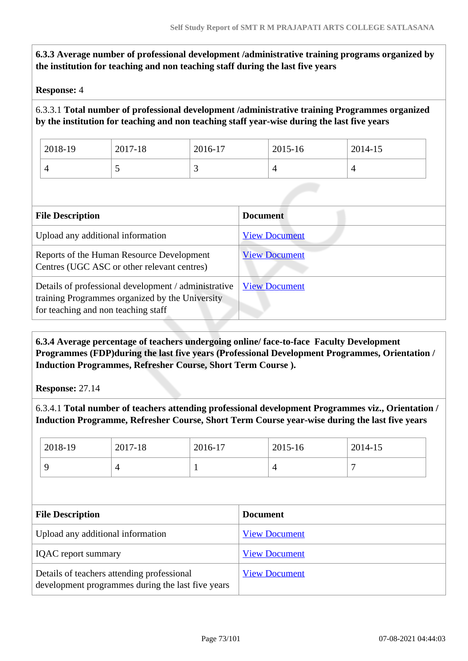## **6.3.3 Average number of professional development /administrative training programs organized by the institution for teaching and non teaching staff during the last five years**

## **Response:** 4

## 6.3.3.1 **Total number of professional development /administrative training Programmes organized by the institution for teaching and non teaching staff year-wise during the last five years**

| 2018-19 | 2017-18  | 2016-17 | 2015-16 | 2014-15  |
|---------|----------|---------|---------|----------|
|         | $\sim$ . | ັ       |         | $\prime$ |

| <b>File Description</b>                                                                                                                        | <b>Document</b>      |
|------------------------------------------------------------------------------------------------------------------------------------------------|----------------------|
| Upload any additional information                                                                                                              | <b>View Document</b> |
| Reports of the Human Resource Development<br>Centres (UGC ASC or other relevant centres)                                                       | <b>View Document</b> |
| Details of professional development / administrative<br>training Programmes organized by the University<br>for teaching and non teaching staff | <b>View Document</b> |

 **6.3.4 Average percentage of teachers undergoing online/ face-to-face Faculty Development Programmes (FDP)during the last five years (Professional Development Programmes, Orientation / Induction Programmes, Refresher Course, Short Term Course ).**

#### **Response:** 27.14

6.3.4.1 **Total number of teachers attending professional development Programmes viz., Orientation / Induction Programme, Refresher Course, Short Term Course year-wise during the last five years**

| 2018-19                           | 2017-18 | 2016-17 |                      | 2015-16 | 2014-15 |  |
|-----------------------------------|---------|---------|----------------------|---------|---------|--|
| 9                                 | 4       | 1       | $\overline{4}$       |         | 7       |  |
|                                   |         |         |                      |         |         |  |
| <b>File Description</b>           |         |         | <b>Document</b>      |         |         |  |
| Upload any additional information |         |         | <b>View Document</b> |         |         |  |
| <b>IQAC</b> report summary        |         |         | <b>View Document</b> |         |         |  |
|                                   |         |         |                      |         |         |  |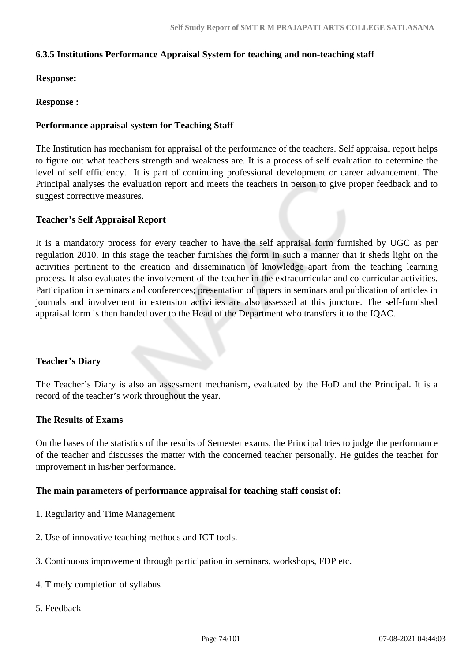## **6.3.5 Institutions Performance Appraisal System for teaching and non-teaching staff**

**Response:** 

#### **Response :**

#### **Performance appraisal system for Teaching Staff**

The Institution has mechanism for appraisal of the performance of the teachers. Self appraisal report helps to figure out what teachers strength and weakness are. It is a process of self evaluation to determine the level of self efficiency. It is part of continuing professional development or career advancement. The Principal analyses the evaluation report and meets the teachers in person to give proper feedback and to suggest corrective measures.

## **Teacher's Self Appraisal Report**

It is a mandatory process for every teacher to have the self appraisal form furnished by UGC as per regulation 2010. In this stage the teacher furnishes the form in such a manner that it sheds light on the activities pertinent to the creation and dissemination of knowledge apart from the teaching learning process. It also evaluates the involvement of the teacher in the extracurricular and co-curricular activities. Participation in seminars and conferences; presentation of papers in seminars and publication of articles in journals and involvement in extension activities are also assessed at this juncture. The self-furnished appraisal form is then handed over to the Head of the Department who transfers it to the IQAC.

#### **Teacher's Diary**

The Teacher's Diary is also an assessment mechanism, evaluated by the HoD and the Principal. It is a record of the teacher's work throughout the year.

#### **The Results of Exams**

On the bases of the statistics of the results of Semester exams, the Principal tries to judge the performance of the teacher and discusses the matter with the concerned teacher personally. He guides the teacher for improvement in his/her performance.

## **The main parameters of performance appraisal for teaching staff consist of:**

- 1. Regularity and Time Management
- 2. Use of innovative teaching methods and ICT tools.
- 3. Continuous improvement through participation in seminars, workshops, FDP etc.
- 4. Timely completion of syllabus
- 5. Feedback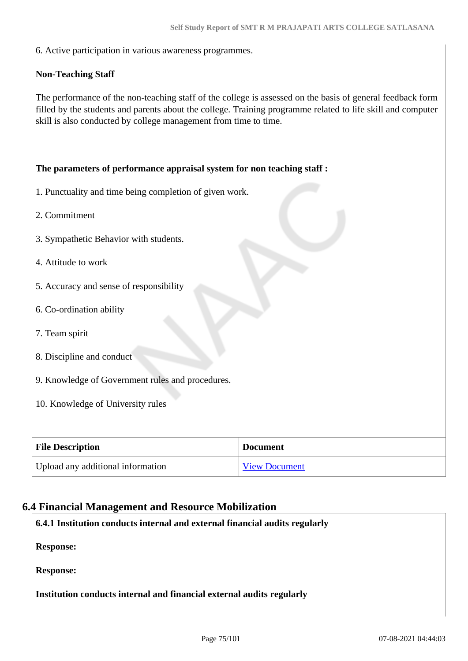6. Active participation in various awareness programmes.

## **Non-Teaching Staff**

The performance of the non-teaching staff of the college is assessed on the basis of general feedback form filled by the students and parents about the college. Training programme related to life skill and computer skill is also conducted by college management from time to time.

## **The parameters of performance appraisal system for non teaching staff :**

- 1. Punctuality and time being completion of given work.
- 2. Commitment
- 3. Sympathetic Behavior with students.
- 4. Attitude to work
- 5. Accuracy and sense of responsibility
- 6. Co-ordination ability
- 7. Team spirit
- 8. Discipline and conduct
- 9. Knowledge of Government rules and procedures.
- 10. Knowledge of University rules

| <b>File Description</b>           | <b>Document</b>      |
|-----------------------------------|----------------------|
| Upload any additional information | <b>View Document</b> |

## **6.4 Financial Management and Resource Mobilization**

 **6.4.1 Institution conducts internal and external financial audits regularly Response: Response:**

## **Institution conducts internal and financial external audits regularly**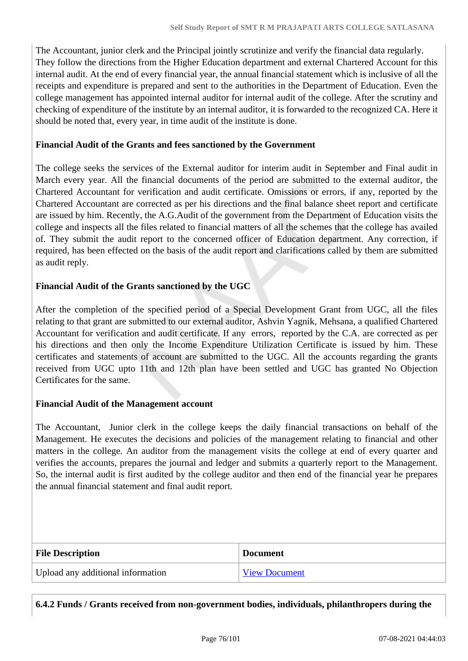The Accountant, junior clerk and the Principal jointly scrutinize and verify the financial data regularly. They follow the directions from the Higher Education department and external Chartered Account for this internal audit. At the end of every financial year, the annual financial statement which is inclusive of all the receipts and expenditure is prepared and sent to the authorities in the Department of Education. Even the college management has appointed internal auditor for internal audit of the college. After the scrutiny and checking of expenditure of the institute by an internal auditor, it is forwarded to the recognized CA. Here it should be noted that, every year, in time audit of the institute is done.

#### **Financial Audit of the Grants and fees sanctioned by the Government**

The college seeks the services of the External auditor for interim audit in September and Final audit in March every year. All the financial documents of the period are submitted to the external auditor, the Chartered Accountant for verification and audit certificate. Omissions or errors, if any, reported by the Chartered Accountant are corrected as per his directions and the final balance sheet report and certificate are issued by him. Recently, the A.G.Audit of the government from the Department of Education visits the college and inspects all the files related to financial matters of all the schemes that the college has availed of. They submit the audit report to the concerned officer of Education department. Any correction, if required, has been effected on the basis of the audit report and clarifications called by them are submitted as audit reply.

#### **Financial Audit of the Grants sanctioned by the UGC**

After the completion of the specified period of a Special Development Grant from UGC, all the files relating to that grant are submitted to our external auditor, Ashvin Yagnik, Mehsana, a qualified Chartered Accountant for verification and audit certificate. If any errors, reported by the C.A. are corrected as per his directions and then only the Income Expenditure Utilization Certificate is issued by him. These certificates and statements of account are submitted to the UGC. All the accounts regarding the grants received from UGC upto 11th and 12th plan have been settled and UGC has granted No Objection Certificates for the same.

#### **Financial Audit of the Management account**

The Accountant, Junior clerk in the college keeps the daily financial transactions on behalf of the Management. He executes the decisions and policies of the management relating to financial and other matters in the college. An auditor from the management visits the college at end of every quarter and verifies the accounts, prepares the journal and ledger and submits a quarterly report to the Management. So, the internal audit is first audited by the college auditor and then end of the financial year he prepares the annual financial statement and final audit report.

| <b>File Description</b>           | <b>Document</b>      |
|-----------------------------------|----------------------|
| Upload any additional information | <b>View Document</b> |

**6.4.2 Funds / Grants received from non-government bodies, individuals, philanthropers during the**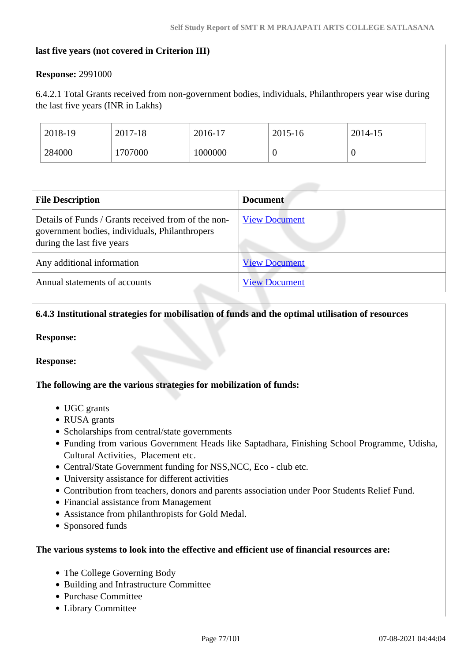## **last five years (not covered in Criterion III)**

## **Response:** 2991000

6.4.2.1 Total Grants received from non-government bodies, individuals, Philanthropers year wise during the last five years (INR in Lakhs)

| 2018-19 | 2017-18 | 2016-17 | 2015-16 | 2014-15 |
|---------|---------|---------|---------|---------|
| 284000  | 707000  | 1000000 |         | ◡       |

| <b>File Description</b>                                                                                                             | <b>Document</b>      |
|-------------------------------------------------------------------------------------------------------------------------------------|----------------------|
| Details of Funds / Grants received from of the non-<br>government bodies, individuals, Philanthropers<br>during the last five years | <b>View Document</b> |
| Any additional information                                                                                                          | <b>View Document</b> |
| Annual statements of accounts                                                                                                       | <b>View Document</b> |

#### **6.4.3 Institutional strategies for mobilisation of funds and the optimal utilisation of resources**

**Response:** 

**Response:**

#### **The following are the various strategies for mobilization of funds:**

- UGC grants
- RUSA grants
- Scholarships from central/state governments
- Funding from various Government Heads like Saptadhara, Finishing School Programme, Udisha, Cultural Activities, Placement etc.
- Central/State Government funding for NSS,NCC, Eco club etc.
- University assistance for different activities
- Contribution from teachers, donors and parents association under Poor Students Relief Fund.
- Financial assistance from Management
- Assistance from philanthropists for Gold Medal.
- Sponsored funds

#### **The various systems to look into the effective and efficient use of financial resources are:**

- The College Governing Body
- Building and Infrastructure Committee
- Purchase Committee
- Library Committee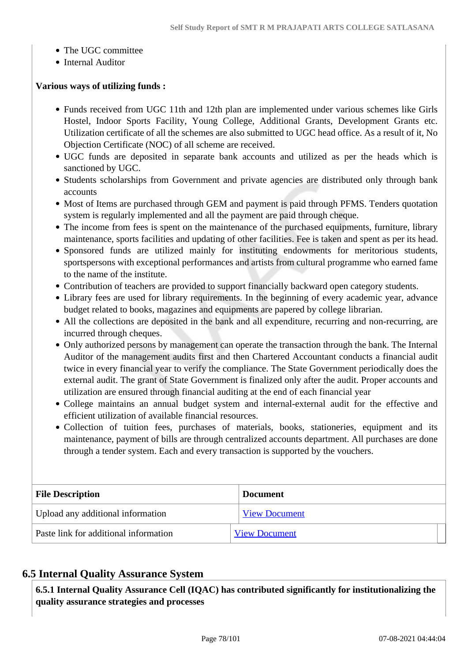- The UGC committee
- Internal Auditor

#### **Various ways of utilizing funds :**

- Funds received from UGC 11th and 12th plan are implemented under various schemes like Girls Hostel, Indoor Sports Facility, Young College, Additional Grants, Development Grants etc. Utilization certificate of all the schemes are also submitted to UGC head office. As a result of it, No Objection Certificate (NOC) of all scheme are received.
- UGC funds are deposited in separate bank accounts and utilized as per the heads which is sanctioned by UGC.
- Students scholarships from Government and private agencies are distributed only through bank accounts
- Most of Items are purchased through GEM and payment is paid through PFMS. Tenders quotation system is regularly implemented and all the payment are paid through cheque.
- The income from fees is spent on the maintenance of the purchased equipments, furniture, library maintenance, sports facilities and updating of other facilities. Fee is taken and spent as per its head.
- Sponsored funds are utilized mainly for instituting endowments for meritorious students, sportspersons with exceptional performances and artists from cultural programme who earned fame to the name of the institute.
- Contribution of teachers are provided to support financially backward open category students.
- Library fees are used for library requirements. In the beginning of every academic year, advance budget related to books, magazines and equipments are papered by college librarian.
- All the collections are deposited in the bank and all expenditure, recurring and non-recurring, are incurred through cheques.
- Only authorized persons by management can operate the transaction through the bank. The Internal Auditor of the management audits first and then Chartered Accountant conducts a financial audit twice in every financial year to verify the compliance. The State Government periodically does the external audit. The grant of State Government is finalized only after the audit. Proper accounts and utilization are ensured through financial auditing at the end of each financial year
- College maintains an annual budget system and internal-external audit for the effective and efficient utilization of available financial resources.
- Collection of tuition fees, purchases of materials, books, stationeries, equipment and its maintenance, payment of bills are through centralized accounts department. All purchases are done through a tender system. Each and every transaction is supported by the vouchers.

| <b>File Description</b>               | <b>Document</b>      |  |  |
|---------------------------------------|----------------------|--|--|
| Upload any additional information     | <b>View Document</b> |  |  |
| Paste link for additional information | <b>View Document</b> |  |  |

## **6.5 Internal Quality Assurance System**

 **6.5.1 Internal Quality Assurance Cell (IQAC) has contributed significantly for institutionalizing the quality assurance strategies and processes**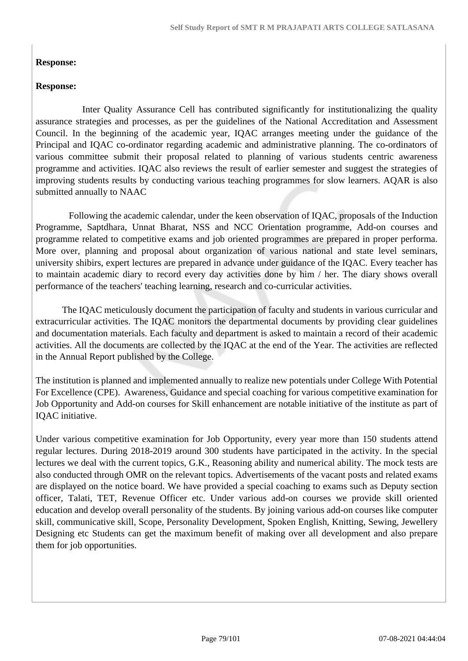## **Response:**

## **Response:**

 Inter Quality Assurance Cell has contributed significantly for institutionalizing the quality assurance strategies and processes, as per the guidelines of the National Accreditation and Assessment Council. In the beginning of the academic year, IQAC arranges meeting under the guidance of the Principal and IQAC co-ordinator regarding academic and administrative planning. The co-ordinators of various committee submit their proposal related to planning of various students centric awareness programme and activities. IQAC also reviews the result of earlier semester and suggest the strategies of improving students results by conducting various teaching programmes for slow learners. AQAR is also submitted annually to NAAC

 Following the academic calendar, under the keen observation of IQAC, proposals of the Induction Programme, Saptdhara, Unnat Bharat, NSS and NCC Orientation programme, Add-on courses and programme related to competitive exams and job oriented programmes are prepared in proper performa. More over, planning and proposal about organization of various national and state level seminars, university shibirs, expert lectures are prepared in advance under guidance of the IQAC. Every teacher has to maintain academic diary to record every day activities done by him / her. The diary shows overall performance of the teachers' teaching learning, research and co-curricular activities.

 The IQAC meticulously document the participation of faculty and students in various curricular and extracurricular activities. The IQAC monitors the departmental documents by providing clear guidelines and documentation materials. Each faculty and department is asked to maintain a record of their academic activities. All the documents are collected by the IQAC at the end of the Year. The activities are reflected in the Annual Report published by the College.

The institution is planned and implemented annually to realize new potentials under College With Potential For Excellence (CPE). Awareness, Guidance and special coaching for various competitive examination for Job Opportunity and Add-on courses for Skill enhancement are notable initiative of the institute as part of IQAC initiative.

Under various competitive examination for Job Opportunity, every year more than 150 students attend regular lectures. During 2018-2019 around 300 students have participated in the activity. In the special lectures we deal with the current topics, G.K., Reasoning ability and numerical ability. The mock tests are also conducted through OMR on the relevant topics. Advertisements of the vacant posts and related exams are displayed on the notice board. We have provided a special coaching to exams such as Deputy section officer, Talati, TET, Revenue Officer etc. Under various add-on courses we provide skill oriented education and develop overall personality of the students. By joining various add-on courses like computer skill, communicative skill, Scope, Personality Development, Spoken English, Knitting, Sewing, Jewellery Designing etc Students can get the maximum benefit of making over all development and also prepare them for job opportunities.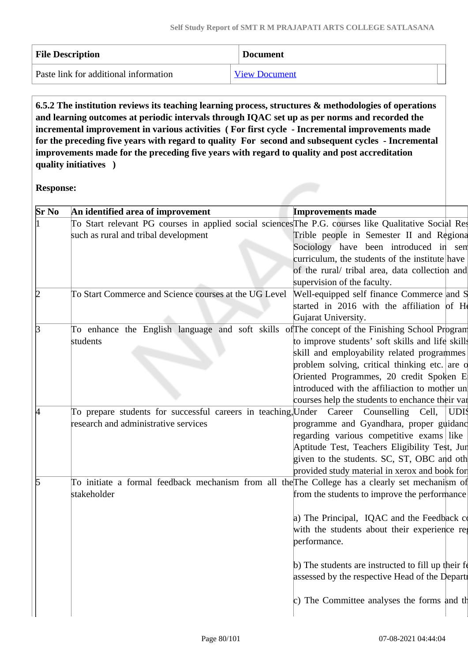| <b>File Description</b>               | <b>Document</b>      |
|---------------------------------------|----------------------|
| Paste link for additional information | <b>View Document</b> |

 **6.5.2 The institution reviews its teaching learning process, structures & methodologies of operations and learning outcomes at periodic intervals through IQAC set up as per norms and recorded the incremental improvement in various activities ( For first cycle - Incremental improvements made for the preceding five years with regard to quality For second and subsequent cycles - Incremental improvements made for the preceding five years with regard to quality and post accreditation quality initiatives )** 

**Response:** 

| <b>Sr No</b> | An identified area of improvement                                                                    | <b>Improvements made</b>                             |             |
|--------------|------------------------------------------------------------------------------------------------------|------------------------------------------------------|-------------|
|              | To Start relevant PG courses in applied social sciences The P.G. courses like Qualitative Social Res |                                                      |             |
|              | such as rural and tribal development                                                                 | Trible people in Semester II and Regiona             |             |
|              |                                                                                                      | Sociology have been introduced in sen                |             |
|              |                                                                                                      | curriculum, the students of the institute have       |             |
|              |                                                                                                      | of the rural/ tribal area, data collection and       |             |
|              |                                                                                                      | supervision of the faculty.                          |             |
| 12           | To Start Commerce and Science courses at the UG Level                                                | Well-equipped self finance Commerce and S            |             |
|              |                                                                                                      | started in 2016 with the affiliation of He           |             |
|              |                                                                                                      | Gujarat University.                                  |             |
| B            | To enhance the English language and soft skills of The concept of the Finishing School Program       |                                                      |             |
|              | students                                                                                             | to improve students' soft skills and life skills     |             |
|              |                                                                                                      | skill and employability related programmes           |             |
|              |                                                                                                      | problem solving, critical thinking etc. are o        |             |
|              |                                                                                                      | Oriented Programmes, 20 credit Spoken E              |             |
|              |                                                                                                      | introduced with the affiliaction to mother un        |             |
|              |                                                                                                      | courses help the students to enchance their var      |             |
| 14           | To prepare students for successful careers in teaching, Under Career Counselling Cell,               |                                                      | <b>UDIS</b> |
|              | research and administrative services                                                                 | programme and Gyandhara, proper guidanc              |             |
|              |                                                                                                      | regarding various competitive exams like             |             |
|              |                                                                                                      | Aptitude Test, Teachers Eligibility Test, Jur        |             |
|              |                                                                                                      | given to the students. SC, ST, OBC and oth           |             |
|              |                                                                                                      | provided study material in xerox and book for        |             |
| 15           | To initiate a formal feedback mechanism from all the The College has a clearly set mechanism of      |                                                      |             |
|              | stakeholder                                                                                          | from the students to improve the performance         |             |
|              |                                                                                                      |                                                      |             |
|              |                                                                                                      | a) The Principal, IQAC and the Feedback co           |             |
|              |                                                                                                      | with the students about their experience reg         |             |
|              |                                                                                                      | performance.                                         |             |
|              |                                                                                                      |                                                      |             |
|              |                                                                                                      | b) The students are instructed to fill up their form |             |
|              |                                                                                                      | assessed by the respective Head of the Depart        |             |
|              |                                                                                                      |                                                      |             |
|              |                                                                                                      | c) The Committee analyses the forms and the          |             |
|              |                                                                                                      |                                                      |             |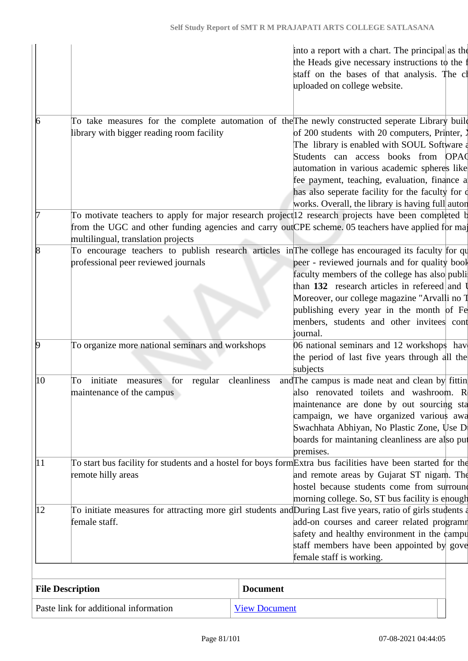|                  |                                                                     | into a report with a chart. The principal as the<br>the Heads give necessary instructions to the $\frac{1}{2}$<br>staff on the bases of that analysis. The cl<br>uploaded on college website.                                                                                                                                                                                                                                                  |  |
|------------------|---------------------------------------------------------------------|------------------------------------------------------------------------------------------------------------------------------------------------------------------------------------------------------------------------------------------------------------------------------------------------------------------------------------------------------------------------------------------------------------------------------------------------|--|
| $\vert 6 \vert$  | library with bigger reading room facility                           | To take measures for the complete automation of the The newly constructed seperate Library build<br>of 200 students with 20 computers, Printer, 2<br>The library is enabled with SOUL Software a<br>Students can access books from OPAC<br>automation in various academic spheres like<br>fee payment, teaching, evaluation, finance a<br>has also seperate facility for the faculty for d<br>works. Overall, the library is having full autor |  |
| l7               | multilingual, translation projects                                  | To motivate teachers to apply for major research project <sup>12</sup> research projects have been completed b<br>from the UGC and other funding agencies and carry out CPE scheme. 05 teachers have applied for maj                                                                                                                                                                                                                           |  |
| $\vert 8$        | professional peer reviewed journals                                 | To encourage teachers to publish research articles in The college has encouraged its faculty for qu<br>peer - reviewed journals and for quality book<br>faculty members of the college has also publi<br>than 132 research articles in refereed and $\mathbf I$<br>Moreover, our college magazine "Arvalli no T<br>publishing every year in the month of Fe<br>menbers, students and other invitees cont<br>journal.                           |  |
| $\boldsymbol{9}$ | To organize more national seminars and workshops                    | 06 national seminars and 12 workshops have<br>the period of last five years through all the<br>subjects                                                                                                                                                                                                                                                                                                                                        |  |
| 10               | initiate<br>measures for regular<br>To<br>maintenance of the campus | and The campus is made neat and clean by fittin<br>cleanliness<br>also renovated toilets and washroom. R<br>maintenance are done by out sourcing sta<br>campaign, we have organized various awa<br>Swachhata Abhiyan, No Plastic Zone, Use D<br>boards for maintaning cleanliness are also put<br>premises.                                                                                                                                    |  |
| 11               | remote hilly areas                                                  | To start bus facility for students and a hostel for boys form Extra bus facilities have been started for the<br>and remote areas by Gujarat ST nigam. The<br>hostel because students come from surround<br>morning college. So, ST bus facility is enough                                                                                                                                                                                      |  |
| $ 12\rangle$     | female staff.                                                       | To initiate measures for attracting more girl students and During Last five years, ratio of girls students a<br>add-on courses and career related programm<br>safety and healthy environment in the campu<br>staff members have been appointed by gove<br>female staff is working.                                                                                                                                                             |  |
|                  | <b>File Description</b>                                             | <b>Document</b>                                                                                                                                                                                                                                                                                                                                                                                                                                |  |
|                  | Paste link for additional information                               | <b>View Document</b>                                                                                                                                                                                                                                                                                                                                                                                                                           |  |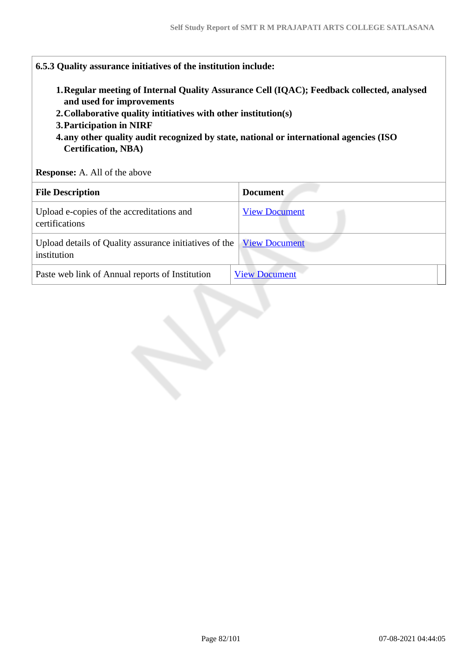| $\pm$ 6.5.3 Quality assurance initiatives of the institution include: |
|-----------------------------------------------------------------------|
|                                                                       |

- **1.Regular meeting of Internal Quality Assurance Cell (IQAC); Feedback collected, analysed and used for improvements**
- **2.Collaborative quality intitiatives with other institution(s)**
- **3.Participation in NIRF**
- **4.any other quality audit recognized by state, national or international agencies (ISO Certification, NBA)**

**Response:** A. All of the above

| <b>File Description</b>                                               | <b>Document</b>      |
|-----------------------------------------------------------------------|----------------------|
| Upload e-copies of the accreditations and<br>certifications           | <b>View Document</b> |
| Upload details of Quality assurance initiatives of the<br>institution | <b>View Document</b> |
| Paste web link of Annual reports of Institution                       | <b>View Document</b> |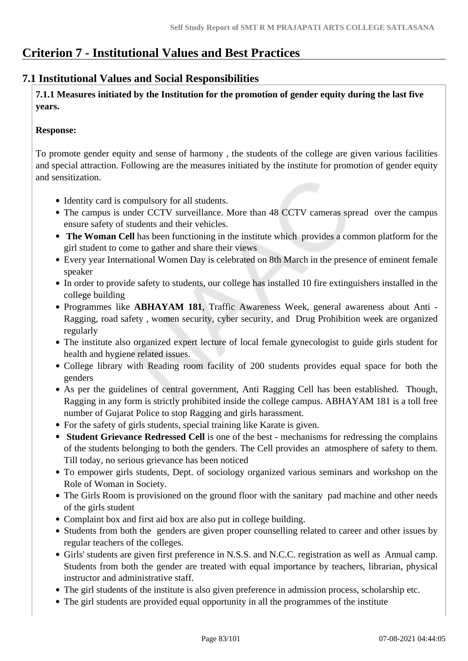# **Criterion 7 - Institutional Values and Best Practices**

## **7.1 Institutional Values and Social Responsibilities**

 **7.1.1 Measures initiated by the Institution for the promotion of gender equity during the last five years.**

## **Response:**

To promote gender equity and sense of harmony , the students of the college are given various facilities and special attraction. Following are the measures initiated by the institute for promotion of gender equity and sensitization.

- Identity card is compulsory for all students.
- The campus is under CCTV surveillance. More than 48 CCTV cameras spread over the campus ensure safety of students and their vehicles.
- **The Woman Cell** has been functioning in the institute which provides a common platform for the girl student to come to gather and share their views
- Every year International Women Day is celebrated on 8th March in the presence of eminent female speaker
- In order to provide safety to students, our college has installed 10 fire extinguishers installed in the college building
- Programmes like **ABHAYAM 181**, Traffic Awareness Week, general awareness about Anti Ragging, road safety , women security, cyber security, and Drug Prohibition week are organized regularly
- The institute also organized expert lecture of local female gynecologist to guide girls student for health and hygiene related issues.
- College library with Reading room facility of 200 students provides equal space for both the genders
- As per the guidelines of central government, Anti Ragging Cell has been established. Though, Ragging in any form is strictly prohibited inside the college campus. ABHAYAM 181 is a toll free number of Gujarat Police to stop Ragging and girls harassment.
- For the safety of girls students, special training like Karate is given.
- **Student Grievance Redressed Cell** is one of the best mechanisms for redressing the complains of the students belonging to both the genders. The Cell provides an atmosphere of safety to them. Till today, no serious grievance has been noticed
- To empower girls students, Dept. of sociology organized various seminars and workshop on the Role of Woman in Society.
- The Girls Room is provisioned on the ground floor with the sanitary pad machine and other needs of the girls student
- Complaint box and first aid box are also put in college building.
- Students from both the genders are given proper counselling related to career and other issues by regular teachers of the colleges.
- Girls' students are given first preference in N.S.S. and N.C.C. registration as well as Annual camp. Students from both the gender are treated with equal importance by teachers, librarian, physical instructor and administrative staff.
- The girl students of the institute is also given preference in admission process, scholarship etc.
- The girl students are provided equal opportunity in all the programmes of the institute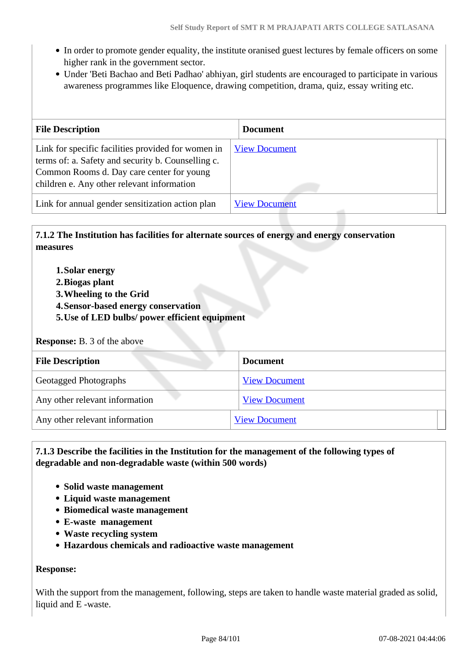- In order to promote gender equality, the institute oranised guest lectures by female officers on some higher rank in the government sector.
- Under 'Beti Bachao and Beti Padhao' abhiyan, girl students are encouraged to participate in various awareness programmes like Eloquence, drawing competition, drama, quiz, essay writing etc.

| <b>File Description</b>                                                                                                                                                                             | <b>Document</b>      |
|-----------------------------------------------------------------------------------------------------------------------------------------------------------------------------------------------------|----------------------|
| Link for specific facilities provided for women in<br>terms of: a. Safety and security b. Counselling c.<br>Common Rooms d. Day care center for young<br>children e. Any other relevant information | <b>View Document</b> |
| Link for annual gender sensitization action plan                                                                                                                                                    | <b>View Document</b> |

## **7.1.2 The Institution has facilities for alternate sources of energy and energy conservation measures**

- **1.Solar energy**
- **2.Biogas plant**
- **3.Wheeling to the Grid**
- **4.Sensor-based energy conservation**
- **5.Use of LED bulbs/ power efficient equipment**

#### **Response:** B. 3 of the above

| <b>File Description</b>        | <b>Document</b>      |
|--------------------------------|----------------------|
| Geotagged Photographs          | <b>View Document</b> |
| Any other relevant information | <b>View Document</b> |
| Any other relevant information | <b>View Document</b> |

## **7.1.3 Describe the facilities in the Institution for the management of the following types of degradable and non-degradable waste (within 500 words)**

- **Solid waste management**
- **Liquid waste management**
- **Biomedical waste management**
- **E-waste management**
- **Waste recycling system**
- **Hazardous chemicals and radioactive waste management**

#### **Response:**

With the support from the management, following, steps are taken to handle waste material graded as solid, liquid and E -waste.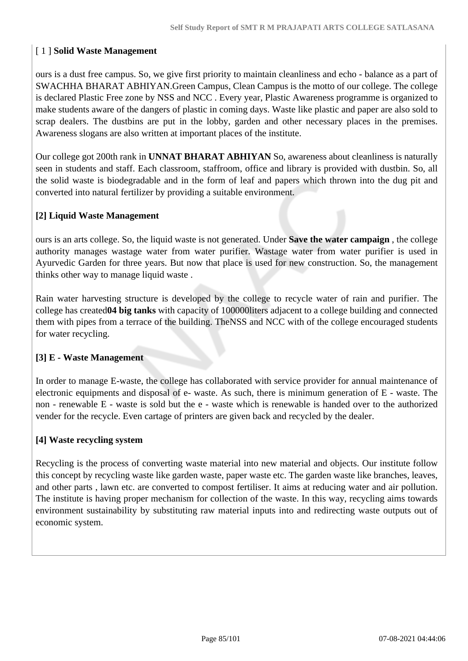## [ 1 ] **Solid Waste Management**

ours is a dust free campus. So, we give first priority to maintain cleanliness and echo - balance as a part of SWACHHA BHARAT ABHIYAN.Green Campus, Clean Campus is the motto of our college. The college is declared Plastic Free zone by NSS and NCC . Every year, Plastic Awareness programme is organized to make students aware of the dangers of plastic in coming days. Waste like plastic and paper are also sold to scrap dealers. The dustbins are put in the lobby, garden and other necessary places in the premises. Awareness slogans are also written at important places of the institute.

Our college got 200th rank in **UNNAT BHARAT ABHIYAN** So, awareness about cleanliness is naturally seen in students and staff. Each classroom, staffroom, office and library is provided with dustbin. So, all the solid waste is biodegradable and in the form of leaf and papers which thrown into the dug pit and converted into natural fertilizer by providing a suitable environment.

## **[2] Liquid Waste Management**

ours is an arts college. So, the liquid waste is not generated. Under **Save the water campaign** , the college authority manages wastage water from water purifier. Wastage water from water purifier is used in Ayurvedic Garden for three years. But now that place is used for new construction. So, the management thinks other way to manage liquid waste .

Rain water harvesting structure is developed by the college to recycle water of rain and purifier. The college has created**04 big tanks** with capacity of 100000liters adjacent to a college building and connected them with pipes from a terrace of the building. TheNSS and NCC with of the college encouraged students for water recycling.

## **[3] E - Waste Management**

In order to manage E-waste, the college has collaborated with service provider for annual maintenance of electronic equipments and disposal of e- waste. As such, there is minimum generation of E - waste. The non - renewable E - waste is sold but the e - waste which is renewable is handed over to the authorized vender for the recycle. Even cartage of printers are given back and recycled by the dealer.

## **[4] Waste recycling system**

Recycling is the process of converting waste material into new material and objects. Our institute follow this concept by recycling waste like garden waste, paper waste etc. The garden waste like branches, leaves, and other parts , lawn etc. are converted to compost fertiliser. It aims at reducing water and air pollution. The institute is having proper mechanism for collection of the waste. In this way, recycling aims towards environment sustainability by substituting raw material inputs into and redirecting waste outputs out of economic system.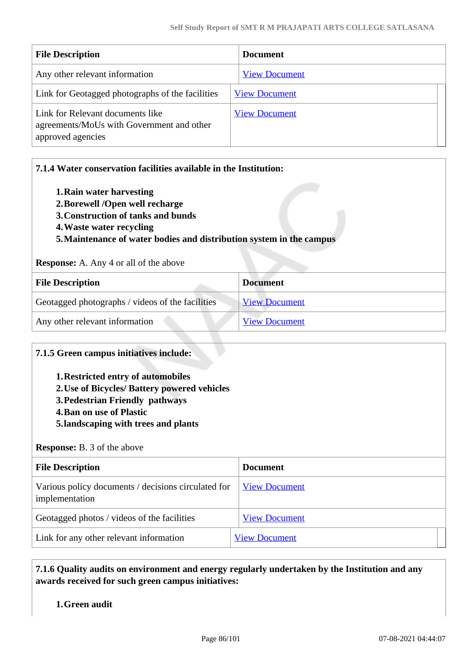| <b>File Description</b>                                                                            | <b>Document</b>      |
|----------------------------------------------------------------------------------------------------|----------------------|
| Any other relevant information                                                                     | <b>View Document</b> |
| Link for Geotagged photographs of the facilities                                                   | <b>View Document</b> |
| Link for Relevant documents like<br>agreements/MoUs with Government and other<br>approved agencies | <b>View Document</b> |

| 7.1.4 Water conservation facilities available in the Institution:<br>1. Rain water harvesting<br>2. Borewell /Open well recharge<br>3. Construction of tanks and bunds<br>4. Waste water recycling<br>5. Maintenance of water bodies and distribution system in the campus |                      |  |
|----------------------------------------------------------------------------------------------------------------------------------------------------------------------------------------------------------------------------------------------------------------------------|----------------------|--|
|                                                                                                                                                                                                                                                                            |                      |  |
| <b>Response:</b> A. Any 4 or all of the above                                                                                                                                                                                                                              |                      |  |
| <b>File Description</b>                                                                                                                                                                                                                                                    | <b>Document</b>      |  |
| Geotagged photographs / videos of the facilities                                                                                                                                                                                                                           | <b>View Document</b> |  |

| 7.1.5 Green campus initiatives include:<br>1. Restricted entry of automobiles<br>2. Use of Bicycles/ Battery powered vehicles<br>3. Pedestrian Friendly pathways<br><b>4. Ban on use of Plastic</b><br>5. landscaping with trees and plants<br><b>Response:</b> B. 3 of the above |                      |  |
|-----------------------------------------------------------------------------------------------------------------------------------------------------------------------------------------------------------------------------------------------------------------------------------|----------------------|--|
| <b>File Description</b>                                                                                                                                                                                                                                                           | <b>Document</b>      |  |
| Various policy documents / decisions circulated for<br>implementation                                                                                                                                                                                                             | <b>View Document</b> |  |
| Geotagged photos / videos of the facilities                                                                                                                                                                                                                                       | <b>View Document</b> |  |
| Link for any other relevant information                                                                                                                                                                                                                                           | <b>View Document</b> |  |

## **7.1.6 Quality audits on environment and energy regularly undertaken by the Institution and any awards received for such green campus initiatives:**

## **1.Green audit**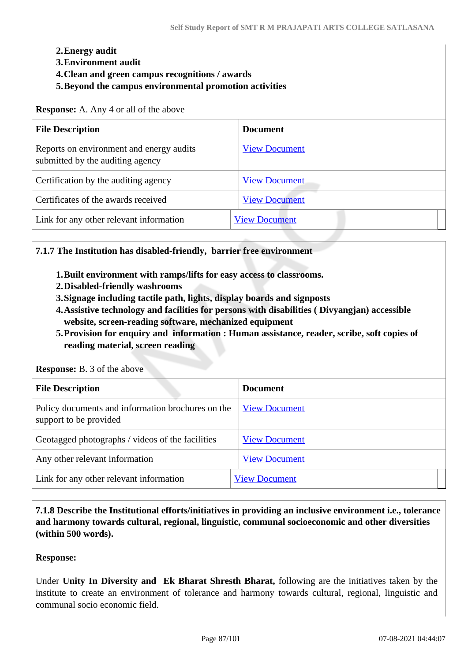## **2.Energy audit**

- **3.Environment audit**
- **4.Clean and green campus recognitions / awards**
- **5.Beyond the campus environmental promotion activities**

**Response:** A. Any 4 or all of the above

| <b>File Description</b>                                                      | <b>Document</b>      |
|------------------------------------------------------------------------------|----------------------|
| Reports on environment and energy audits<br>submitted by the auditing agency | <b>View Document</b> |
| Certification by the auditing agency                                         | <b>View Document</b> |
| Certificates of the awards received                                          | <b>View Document</b> |
| Link for any other relevant information                                      | <b>View Document</b> |

#### **7.1.7 The Institution has disabled-friendly, barrier free environment**

- **1.Built environment with ramps/lifts for easy access to classrooms.**
- **2.Disabled-friendly washrooms**
- **3.Signage including tactile path, lights, display boards and signposts**
- **4.Assistive technology and facilities for persons with disabilities ( Divyangjan) accessible website, screen-reading software, mechanized equipment**
- **5.Provision for enquiry and information : Human assistance, reader, scribe, soft copies of reading material, screen reading**

**Response:** B. 3 of the above

| <b>File Description</b>                                                     | <b>Document</b>      |
|-----------------------------------------------------------------------------|----------------------|
| Policy documents and information brochures on the<br>support to be provided | <b>View Document</b> |
| Geotagged photographs / videos of the facilities                            | <b>View Document</b> |
| Any other relevant information                                              | <b>View Document</b> |
| Link for any other relevant information                                     | <b>View Document</b> |

 **7.1.8 Describe the Institutional efforts/initiatives in providing an inclusive environment i.e., tolerance and harmony towards cultural, regional, linguistic, communal socioeconomic and other diversities (within 500 words).**

## **Response:**

Under **Unity In Diversity and Ek Bharat Shresth Bharat,** following are the initiatives taken by the institute to create an environment of tolerance and harmony towards cultural, regional, linguistic and communal socio economic field.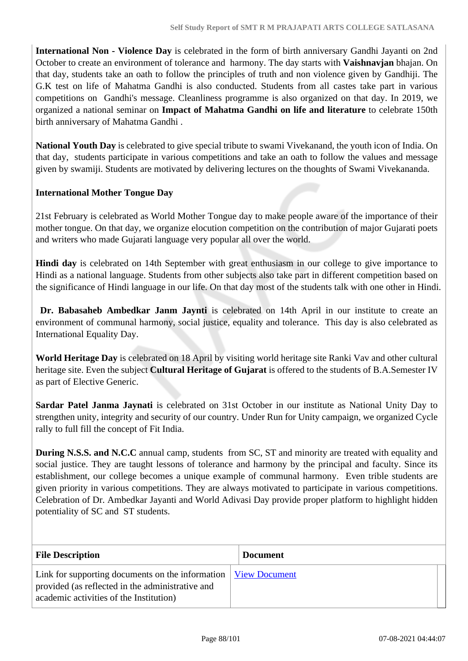**International Non - Violence Day** is celebrated in the form of birth anniversary Gandhi Jayanti on 2nd October to create an environment of tolerance and harmony. The day starts with **Vaishnavjan** bhajan. On that day, students take an oath to follow the principles of truth and non violence given by Gandhiji. The G.K test on life of Mahatma Gandhi is also conducted. Students from all castes take part in various competitions on Gandhi's message. Cleanliness programme is also organized on that day. In 2019, we organized a national seminar on **Impact of Mahatma Gandhi on life and literature** to celebrate 150th birth anniversary of Mahatma Gandhi .

**National Youth Day** is celebrated to give special tribute to swami Vivekanand, the youth icon of India. On that day, students participate in various competitions and take an oath to follow the values and message given by swamiji. Students are motivated by delivering lectures on the thoughts of Swami Vivekananda.

## **International Mother Tongue Day**

21st February is celebrated as World Mother Tongue day to make people aware of the importance of their mother tongue. On that day, we organize elocution competition on the contribution of major Gujarati poets and writers who made Gujarati language very popular all over the world.

**Hindi day** is celebrated on 14th September with great enthusiasm in our college to give importance to Hindi as a national language. Students from other subjects also take part in different competition based on the significance of Hindi language in our life. On that day most of the students talk with one other in Hindi.

 **Dr. Babasaheb Ambedkar Janm Jaynti** is celebrated on 14th April in our institute to create an environment of communal harmony, social justice, equality and tolerance. This day is also celebrated as International Equality Day.

**World Heritage Day** is celebrated on 18 April by visiting world heritage site Ranki Vav and other cultural heritage site. Even the subject **Cultural Heritage of Gujarat** is offered to the students of B.A.Semester IV as part of Elective Generic.

**Sardar Patel Janma Jaynati** is celebrated on 31st October in our institute as National Unity Day to strengthen unity, integrity and security of our country. Under Run for Unity campaign, we organized Cycle rally to full fill the concept of Fit India.

**During N.S.S. and N.C.C** annual camp, students from SC, ST and minority are treated with equality and social justice. They are taught lessons of tolerance and harmony by the principal and faculty. Since its establishment, our college becomes a unique example of communal harmony. Even trible students are given priority in various competitions. They are always motivated to participate in various competitions. Celebration of Dr. Ambedkar Jayanti and World Adivasi Day provide proper platform to highlight hidden potentiality of SC and ST students.

| <b>File Description</b>                                                                                                                                                                        | <b>Document</b> |
|------------------------------------------------------------------------------------------------------------------------------------------------------------------------------------------------|-----------------|
| Link for supporting documents on the information $\sqrt{\frac{V_{\text{icW}}}{V_{\text{icW}}}}$<br>provided (as reflected in the administrative and<br>academic activities of the Institution) |                 |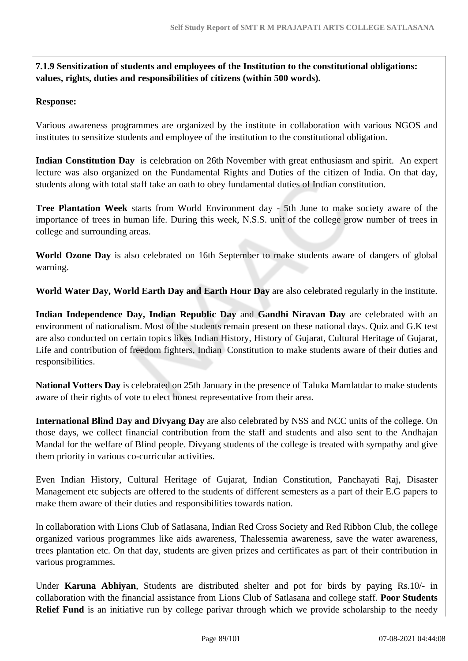**7.1.9 Sensitization of students and employees of the Institution to the constitutional obligations: values, rights, duties and responsibilities of citizens (within 500 words).**

## **Response:**

Various awareness programmes are organized by the institute in collaboration with various NGOS and institutes to sensitize students and employee of the institution to the constitutional obligation.

**Indian Constitution Day** is celebration on 26th November with great enthusiasm and spirit. An expert lecture was also organized on the Fundamental Rights and Duties of the citizen of India. On that day, students along with total staff take an oath to obey fundamental duties of Indian constitution.

**Tree Plantation Week** starts from World Environment day - 5th June to make society aware of the importance of trees in human life. During this week, N.S.S. unit of the college grow number of trees in college and surrounding areas.

**World Ozone Day** is also celebrated on 16th September to make students aware of dangers of global warning.

**World Water Day, World Earth Day and Earth Hour Day** are also celebrated regularly in the institute.

**Indian Independence Day, Indian Republic Day** and **Gandhi Niravan Day** are celebrated with an environment of nationalism. Most of the students remain present on these national days. Quiz and G.K test are also conducted on certain topics likes Indian History, History of Gujarat, Cultural Heritage of Gujarat, Life and contribution of freedom fighters, Indian Constitution to make students aware of their duties and responsibilities.

**National Votters Day** is celebrated on 25th January in the presence of Taluka Mamlatdar to make students aware of their rights of vote to elect honest representative from their area.

**International Blind Day and Divyang Day** are also celebrated by NSS and NCC units of the college. On those days, we collect financial contribution from the staff and students and also sent to the Andhajan Mandal for the welfare of Blind people. Divyang students of the college is treated with sympathy and give them priority in various co-curricular activities.

Even Indian History, Cultural Heritage of Gujarat, Indian Constitution, Panchayati Raj, Disaster Management etc subjects are offered to the students of different semesters as a part of their E.G papers to make them aware of their duties and responsibilities towards nation.

In collaboration with Lions Club of Satlasana, Indian Red Cross Society and Red Ribbon Club, the college organized various programmes like aids awareness, Thalessemia awareness, save the water awareness, trees plantation etc. On that day, students are given prizes and certificates as part of their contribution in various programmes.

Under **Karuna Abhiyan**, Students are distributed shelter and pot for birds by paying Rs.10/- in collaboration with the financial assistance from Lions Club of Satlasana and college staff. **Poor Students Relief Fund** is an initiative run by college parivar through which we provide scholarship to the needy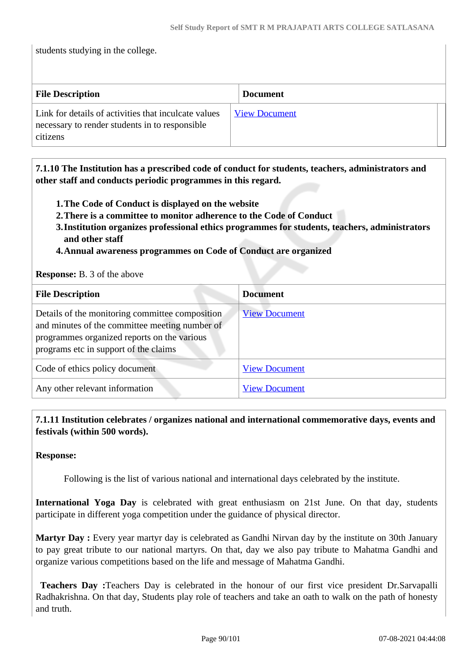students studying in the college.

| <b>File Description</b>                                                                                            | <b>Document</b>      |
|--------------------------------------------------------------------------------------------------------------------|----------------------|
| Link for details of activities that inculcate values<br>necessary to render students in to responsible<br>citizens | <b>View Document</b> |

 **7.1.10 The Institution has a prescribed code of conduct for students, teachers, administrators and other staff and conducts periodic programmes in this regard.** 

- **1.The Code of Conduct is displayed on the website**
- **2.There is a committee to monitor adherence to the Code of Conduct**
- **3.Institution organizes professional ethics programmes for students, teachers, administrators and other staff**
- **4.Annual awareness programmes on Code of Conduct are organized**

## **Response:** B. 3 of the above

| <b>File Description</b>                                                                                                                                                                   | <b>Document</b>      |
|-------------------------------------------------------------------------------------------------------------------------------------------------------------------------------------------|----------------------|
| Details of the monitoring committee composition<br>and minutes of the committee meeting number of<br>programmes organized reports on the various<br>programs etc in support of the claims | <b>View Document</b> |
| Code of ethics policy document                                                                                                                                                            | <b>View Document</b> |
| Any other relevant information                                                                                                                                                            | <b>View Document</b> |

 **7.1.11 Institution celebrates / organizes national and international commemorative days, events and festivals (within 500 words).**

**Response:** 

Following is the list of various national and international days celebrated by the institute.

**International Yoga Day** is celebrated with great enthusiasm on 21st June. On that day, students participate in different yoga competition under the guidance of physical director.

**Martyr Day**: Every year martyr day is celebrated as Gandhi Nirvan day by the institute on 30th January to pay great tribute to our national martyrs. On that, day we also pay tribute to Mahatma Gandhi and organize various competitions based on the life and message of Mahatma Gandhi.

 **Teachers Day :**Teachers Day is celebrated in the honour of our first vice president Dr.Sarvapalli Radhakrishna. On that day, Students play role of teachers and take an oath to walk on the path of honesty and truth.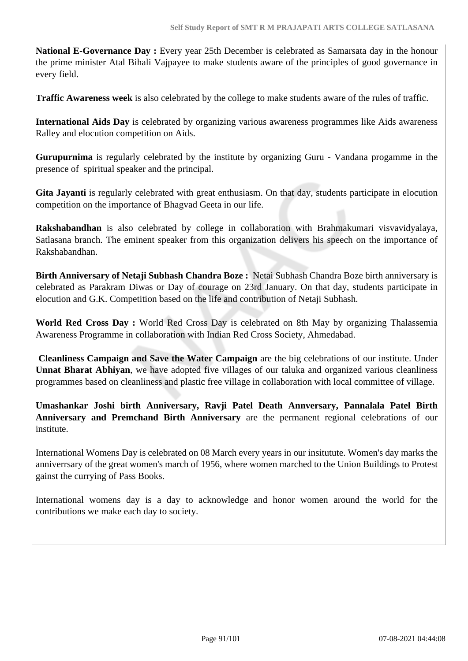**National E-Governance Day:** Every year 25th December is celebrated as Samarsata day in the honour the prime minister Atal Bihali Vajpayee to make students aware of the principles of good governance in every field.

**Traffic Awareness week** is also celebrated by the college to make students aware of the rules of traffic.

**International Aids Day** is celebrated by organizing various awareness programmes like Aids awareness Ralley and elocution competition on Aids.

**Gurupurnima** is regularly celebrated by the institute by organizing Guru - Vandana progamme in the presence of spiritual speaker and the principal.

**Gita Jayanti** is regularly celebrated with great enthusiasm. On that day, students participate in elocution competition on the importance of Bhagvad Geeta in our life.

**Rakshabandhan** is also celebrated by college in collaboration with Brahmakumari visvavidyalaya, Satlasana branch. The eminent speaker from this organization delivers his speech on the importance of Rakshabandhan.

**Birth Anniversary of Netaji Subhash Chandra Boze :** Netai Subhash Chandra Boze birth anniversary is celebrated as Parakram Diwas or Day of courage on 23rd January. On that day, students participate in elocution and G.K. Competition based on the life and contribution of Netaji Subhash.

**World Red Cross Day :** World Red Cross Day is celebrated on 8th May by organizing Thalassemia Awareness Programme in collaboration with Indian Red Cross Society, Ahmedabad.

 **Cleanliness Campaign and Save the Water Campaign** are the big celebrations of our institute. Under **Unnat Bharat Abhiyan**, we have adopted five villages of our taluka and organized various cleanliness programmes based on cleanliness and plastic free village in collaboration with local committee of village.

**Umashankar Joshi birth Anniversary, Ravji Patel Death Annversary, Pannalala Patel Birth Anniversary and Premchand Birth Anniversary** are the permanent regional celebrations of our institute.

International Womens Day is celebrated on 08 March every years in our insitutute. Women's day marks the anniverrsary of the great women's march of 1956, where women marched to the Union Buildings to Protest gainst the currying of Pass Books.

International womens day is a day to acknowledge and honor women around the world for the contributions we make each day to society.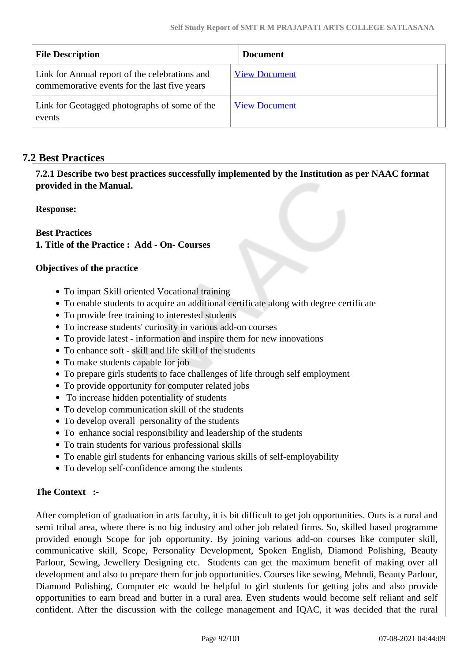| <b>File Description</b>                                                                        | <b>Document</b>      |
|------------------------------------------------------------------------------------------------|----------------------|
| Link for Annual report of the celebrations and<br>commemorative events for the last five years | <b>View Document</b> |
| Link for Geotagged photographs of some of the<br>events                                        | <b>View Document</b> |

## **7.2 Best Practices**

 **7.2.1 Describe two best practices successfully implemented by the Institution as per NAAC format provided in the Manual.**

**Response:** 

**Best Practices 1. Title of the Practice : Add - On- Courses**

## **Objectives of the practice**

- To impart Skill oriented Vocational training
- To enable students to acquire an additional certificate along with degree certificate
- To provide free training to interested students
- To increase students' curiosity in various add-on courses
- To provide latest information and inspire them for new innovations
- To enhance soft skill and life skill of the students
- To make students capable for job
- To prepare girls students to face challenges of life through self employment
- To provide opportunity for computer related jobs
- To increase hidden potentiality of students
- To develop communication skill of the students
- To develop overall personality of the students
- To enhance social responsibility and leadership of the students
- To train students for various professional skills
- To enable girl students for enhancing various skills of self-employability
- To develop self-confidence among the students

## **The Context :-**

After completion of graduation in arts faculty, it is bit difficult to get job opportunities. Ours is a rural and semi tribal area, where there is no big industry and other job related firms. So, skilled based programme provided enough Scope for job opportunity. By joining various add-on courses like computer skill, communicative skill, Scope, Personality Development, Spoken English, Diamond Polishing, Beauty Parlour, Sewing, Jewellery Designing etc. Students can get the maximum benefit of making over all development and also to prepare them for job opportunities. Courses like sewing, Mehndi, Beauty Parlour, Diamond Polishing, Computer etc would be helpful to girl students for getting jobs and also provide opportunities to earn bread and butter in a rural area. Even students would become self reliant and self confident. After the discussion with the college management and IQAC, it was decided that the rural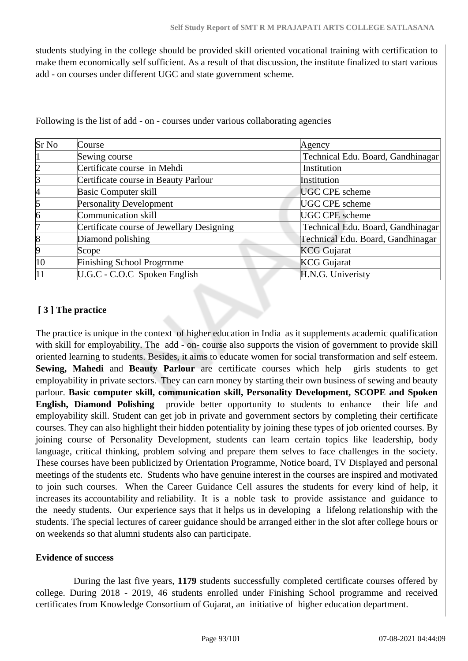students studying in the college should be provided skill oriented vocational training with certification to make them economically self sufficient. As a result of that discussion, the institute finalized to start various add - on courses under different UGC and state government scheme.

| $Sr$ No          | Course                                    | Agency                            |
|------------------|-------------------------------------------|-----------------------------------|
|                  | Sewing course                             | Technical Edu. Board, Gandhinagar |
| 12               | Certificate course in Mehdi               | Institution                       |
| ß                | Certificate course in Beauty Parlour      | Institution                       |
| 14               | <b>Basic Computer skill</b>               | <b>UGC CPE</b> scheme             |
| 5                | <b>Personality Development</b>            | <b>UGC CPE scheme</b>             |
| 6                | <b>Communication skill</b>                | <b>UGC CPE scheme</b>             |
|                  | Certificate course of Jewellary Designing | Technical Edu. Board, Gandhinagar |
| $\vert 8$        | Diamond polishing                         | Technical Edu. Board, Gandhinagar |
| $\boldsymbol{9}$ | Scope                                     | <b>KCG</b> Gujarat                |
| 10               | <b>Finishing School Progrmme</b>          | <b>KCG</b> Gujarat                |
| 11               | U.G.C - C.O.C Spoken English              | H.N.G. Univeristy                 |

Following is the list of add - on - courses under various collaborating agencies

## **[ 3 ] The practice**

The practice is unique in the context of higher education in India as it supplements academic qualification with skill for employability. The add - on- course also supports the vision of government to provide skill oriented learning to students. Besides, it aims to educate women for social transformation and self esteem. **Sewing, Mahedi** and **Beauty Parlour** are certificate courses which help girls students to get employability in private sectors. They can earn money by starting their own business of sewing and beauty parlour. **Basic computer skill, communication skill, Personality Development, SCOPE and Spoken English, Diamond Polishing** provide better opportunity to students to enhance their life and employability skill. Student can get job in private and government sectors by completing their certificate courses. They can also highlight their hidden potentiality by joining these types of job oriented courses. By joining course of Personality Development, students can learn certain topics like leadership, body language, critical thinking, problem solving and prepare them selves to face challenges in the society. These courses have been publicized by Orientation Programme, Notice board, TV Displayed and personal meetings of the students etc. Students who have genuine interest in the courses are inspired and motivated to join such courses. When the Career Guidance Cell assures the students for every kind of help, it increases its accountability and reliability. It is a noble task to provide assistance and guidance to the needy students. Our experience says that it helps us in developing a lifelong relationship with the students. The special lectures of career guidance should be arranged either in the slot after college hours or on weekends so that alumni students also can participate.

#### **Evidence of success**

 During the last five years, **1179** students successfully completed certificate courses offered by college. During 2018 - 2019, 46 students enrolled under Finishing School programme and received certificates from Knowledge Consortium of Gujarat, an initiative of higher education department.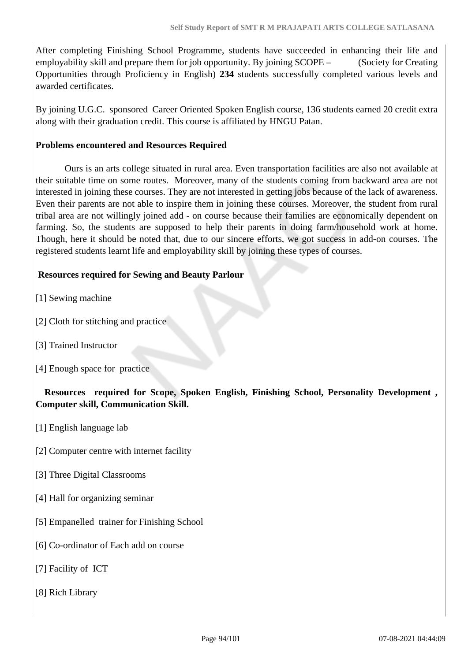After completing Finishing School Programme, students have succeeded in enhancing their life and employability skill and prepare them for job opportunity. By joining SCOPE – (Society for Creating Opportunities through Proficiency in English) **234** students successfully completed various levels and awarded certificates.

By joining U.G.C. sponsored Career Oriented Spoken English course, 136 students earned 20 credit extra along with their graduation credit. This course is affiliated by HNGU Patan.

#### **Problems encountered and Resources Required**

 Ours is an arts college situated in rural area. Even transportation facilities are also not available at their suitable time on some routes. Moreover, many of the students coming from backward area are not interested in joining these courses. They are not interested in getting jobs because of the lack of awareness. Even their parents are not able to inspire them in joining these courses. Moreover, the student from rural tribal area are not willingly joined add - on course because their families are economically dependent on farming. So, the students are supposed to help their parents in doing farm/household work at home. Though, here it should be noted that, due to our sincere efforts, we got success in add-on courses. The registered students learnt life and employability skill by joining these types of courses.

## **Resources required for Sewing and Beauty Parlour**

- [1] Sewing machine
- [2] Cloth for stitching and practice
- [3] Trained Instructor
- [4] Enough space for practice

 **Resources required for Scope, Spoken English, Finishing School, Personality Development , Computer skill, Communication Skill.** 

- [1] English language lab
- [2] Computer centre with internet facility
- [3] Three Digital Classrooms
- [4] Hall for organizing seminar
- [5] Empanelled trainer for Finishing School
- [6] Co-ordinator of Each add on course
- [7] Facility of ICT
- [8] Rich Library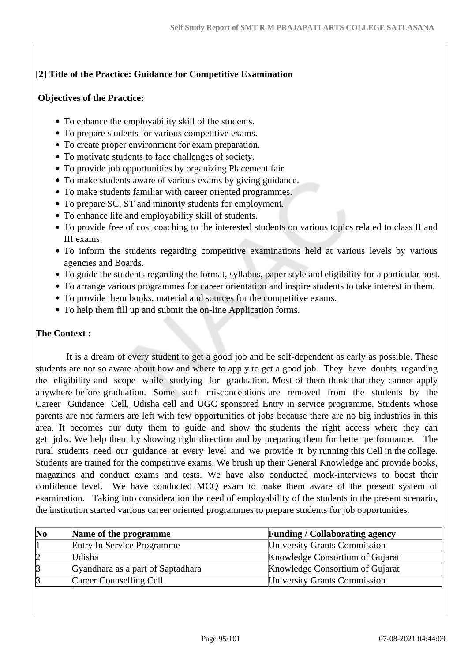## **[2] Title of the Practice: Guidance for Competitive Examination**

## **Objectives of the Practice:**

- To enhance the employability skill of the students.
- To prepare students for various competitive exams.
- To create proper environment for exam preparation.
- To motivate students to face challenges of society.
- To provide job opportunities by organizing Placement fair.
- To make students aware of various exams by giving guidance.
- To make students familiar with career oriented programmes.
- To prepare SC, ST and minority students for employment.
- To enhance life and employability skill of students.
- To provide free of cost coaching to the interested students on various topics related to class II and III exams.
- To inform the students regarding competitive examinations held at various levels by various agencies and Boards.
- To guide the students regarding the format, syllabus, paper style and eligibility for a particular post.
- To arrange various programmes for career orientation and inspire students to take interest in them.
- To provide them books, material and sources for the competitive exams.
- To help them fill up and submit the on-line Application forms.

#### **The Context :**

 It is a dream of every student to get a good job and be self-dependent as early as possible. These students are not so aware about how and where to apply to get a good job. They have doubts regarding the eligibility and scope while studying for graduation. Most of them think that they cannot apply anywhere before graduation. Some such misconceptions are removed from the students by the Career Guidance Cell, Udisha cell and UGC sponsored Entry in service programme. Students whose parents are not farmers are left with few opportunities of jobs because there are no big industries in this area. It becomes our duty them to guide and show the students the right access where they can get jobs. We help them by showing right direction and by preparing them for better performance. The rural students need our guidance at every level and we provide it by running this Cell in the college. Students are trained for the competitive exams. We brush up their General Knowledge and provide books, magazines and conduct exams and tests. We have also conducted mock-interviews to boost their confidence level. We have conducted MCQ exam to make them aware of the present system of examination. Taking into consideration the need of employability of the students in the present scenario, the institution started various career oriented programmes to prepare students for job opportunities.

| $\bf No$  | Name of the programme             | <b>Funding / Collaborating agency</b> |
|-----------|-----------------------------------|---------------------------------------|
| $\vert$ 1 | Entry In Service Programme        | University Grants Commission          |
| 12        | Udisha                            | Knowledge Consortium of Gujarat       |
| B         | Gyandhara as a part of Saptadhara | Knowledge Consortium of Gujarat       |
| B         | Career Counselling Cell           | <b>University Grants Commission</b>   |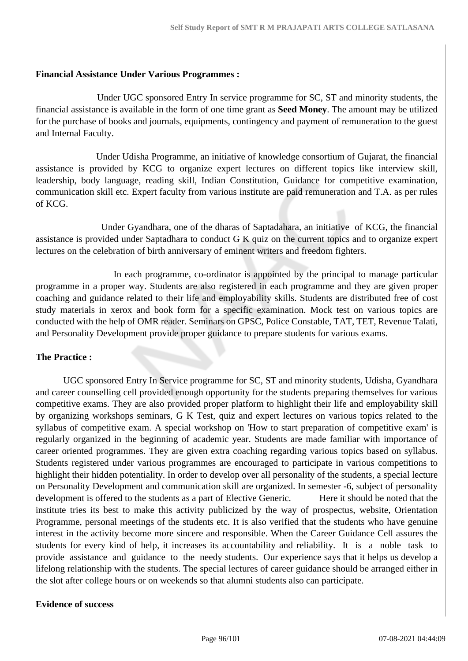## **Financial Assistance Under Various Programmes :**

 Under UGC sponsored Entry In service programme for SC, ST and minority students, the financial assistance is available in the form of one time grant as **Seed Money**. The amount may be utilized for the purchase of books and journals, equipments, contingency and payment of remuneration to the guest and Internal Faculty.

 Under Udisha Programme, an initiative of knowledge consortium of Gujarat, the financial assistance is provided by KCG to organize expert lectures on different topics like interview skill, leadership, body language, reading skill, Indian Constitution, Guidance for competitive examination, communication skill etc. Expert faculty from various institute are paid remuneration and T.A. as per rules of KCG.

 Under Gyandhara, one of the dharas of Saptadahara, an initiative of KCG, the financial assistance is provided under Saptadhara to conduct G K quiz on the current topics and to organize expert lectures on the celebration of birth anniversary of eminent writers and freedom fighters.

 In each programme, co-ordinator is appointed by the principal to manage particular programme in a proper way. Students are also registered in each programme and they are given proper coaching and guidance related to their life and employability skills. Students are distributed free of cost study materials in xerox and book form for a specific examination. Mock test on various topics are conducted with the help of OMR reader. Seminars on GPSC, Police Constable, TAT, TET, Revenue Talati, and Personality Development provide proper guidance to prepare students for various exams.

## **The Practice :**

 UGC sponsored Entry In Service programme for SC, ST and minority students, Udisha, Gyandhara and career counselling cell provided enough opportunity for the students preparing themselves for various competitive exams. They are also provided proper platform to highlight their life and employability skill by organizing workshops seminars, G K Test, quiz and expert lectures on various topics related to the syllabus of competitive exam. A special workshop on 'How to start preparation of competitive exam' is regularly organized in the beginning of academic year. Students are made familiar with importance of career oriented programmes. They are given extra coaching regarding various topics based on syllabus. Students registered under various programmes are encouraged to participate in various competitions to highlight their hidden potentiality. In order to develop over all personality of the students, a special lecture on Personality Development and communication skill are organized. In semester -6, subject of personality development is offered to the students as a part of Elective Generic. Here it should be noted that the institute tries its best to make this activity publicized by the way of prospectus, website, Orientation Programme, personal meetings of the students etc. It is also verified that the students who have genuine interest in the activity become more sincere and responsible. When the Career Guidance Cell assures the students for every kind of help, it increases its accountability and reliability. It is a noble task to provide assistance and guidance to the needy students. Our experience says that it helps us develop a lifelong relationship with the students. The special lectures of career guidance should be arranged either in the slot after college hours or on weekends so that alumni students also can participate.

## **Evidence of success**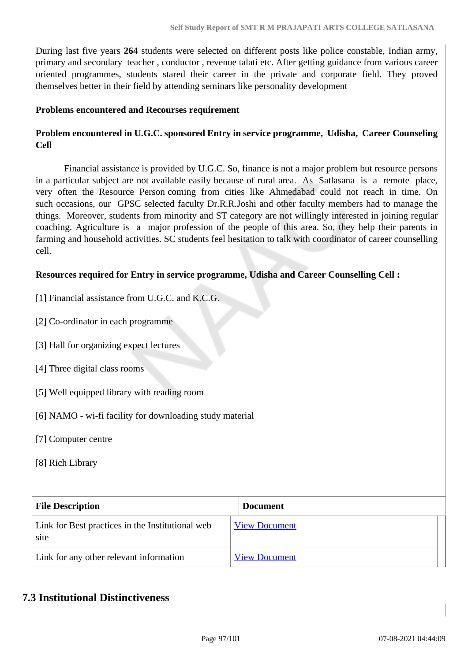During last five years **264** students were selected on different posts like police constable, Indian army, primary and secondary teacher , conductor , revenue talati etc. After getting guidance from various career oriented programmes, students stared their career in the private and corporate field. They proved themselves better in their field by attending seminars like personality development

#### **Problems encountered and Recourses requirement**

## **Problem encountered in U.G.C. sponsored Entry in service programme, Udisha, Career Counseling Cell**

 Financial assistance is provided by U.G.C. So, finance is not a major problem but resource persons in a particular subject are not available easily because of rural area. As Satlasana is a remote place, very often the Resource Person coming from cities like Ahmedabad could not reach in time. On such occasions, our GPSC selected faculty Dr.R.R.Joshi and other faculty members had to manage the things. Moreover, students from minority and ST category are not willingly interested in joining regular coaching. Agriculture is a major profession of the people of this area. So, they help their parents in farming and household activities. SC students feel hesitation to talk with coordinator of career counselling cell.

## **Resources required for Entry in service programme, Udisha and Career Counselling Cell :**

[1] Financial assistance from U.G.C. and K.C.G.

- [2] Co-ordinator in each programme
- [3] Hall for organizing expect lectures
- [4] Three digital class rooms
- [5] Well equipped library with reading room
- [6] NAMO wi-fi facility for downloading study material
- [7] Computer centre
- [8] Rich Library

| <b>File Description</b>                                  | <b>Document</b>      |
|----------------------------------------------------------|----------------------|
| Link for Best practices in the Institutional web<br>site | <b>View Document</b> |
| Link for any other relevant information                  | <b>View Document</b> |

## **7.3 Institutional Distinctiveness**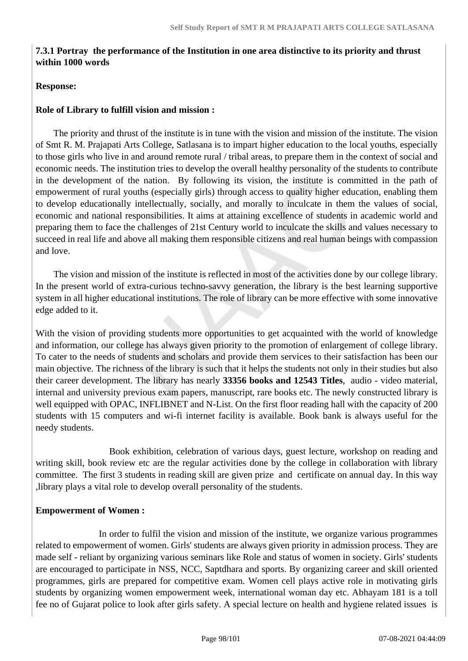## **7.3.1 Portray the performance of the Institution in one area distinctive to its priority and thrust within 1000 words**

## **Response:**

## **Role of Library to fulfill vision and mission :**

 The priority and thrust of the institute is in tune with the vision and mission of the institute. The vision of Smt R. M. Prajapati Arts College, Satlasana is to impart higher education to the local youths, especially to those girls who live in and around remote rural / tribal areas, to prepare them in the context of social and economic needs. The institution tries to develop the overall healthy personality of the students to contribute in the development of the nation. By following its vision, the institute is committed in the path of empowerment of rural youths (especially girls) through access to quality higher education, enabling them to develop educationally intellectually, socially, and morally to inculcate in them the values of social, economic and national responsibilities. It aims at attaining excellence of students in academic world and preparing them to face the challenges of 21st Century world to inculcate the skills and values necessary to succeed in real life and above all making them responsible citizens and real human beings with compassion and love.

 The vision and mission of the institute is reflected in most of the activities done by our college library. In the present world of extra-curious techno-savvy generation, the library is the best learning supportive system in all higher educational institutions. The role of library can be more effective with some innovative edge added to it.

With the vision of providing students more opportunities to get acquainted with the world of knowledge and information, our college has always given priority to the promotion of enlargement of college library. To cater to the needs of students and scholars and provide them services to their satisfaction has been our main objective. The richness of the library is such that it helps the students not only in their studies but also their career development. The library has nearly **33356 books and 12543 Titles**, audio - video material, internal and university previous exam papers, manuscript, rare books etc. The newly constructed library is well equipped with OPAC, INFLIBNET and N-List. On the first floor reading hall with the capacity of 200 students with 15 computers and wi-fi internet facility is available. Book bank is always useful for the needy students.

 Book exhibition, celebration of various days, guest lecture, workshop on reading and writing skill, book review etc are the regular activities done by the college in collaboration with library committee. The first 3 students in reading skill are given prize and certificate on annual day. In this way ,library plays a vital role to develop overall personality of the students.

## **Empowerment of Women :**

 In order to fulfil the vision and mission of the institute, we organize various programmes related to empowerment of women. Girls' students are always given priority in admission process. They are made self - reliant by organizing various seminars like Role and status of women in society. Girls' students are encouraged to participate in NSS, NCC, Saptdhara and sports. By organizing career and skill oriented programmes, girls are prepared for competitive exam. Women cell plays active role in motivating girls students by organizing women empowerment week, international woman day etc. Abhayam 181 is a toll fee no of Gujarat police to look after girls safety. A special lecture on health and hygiene related issues is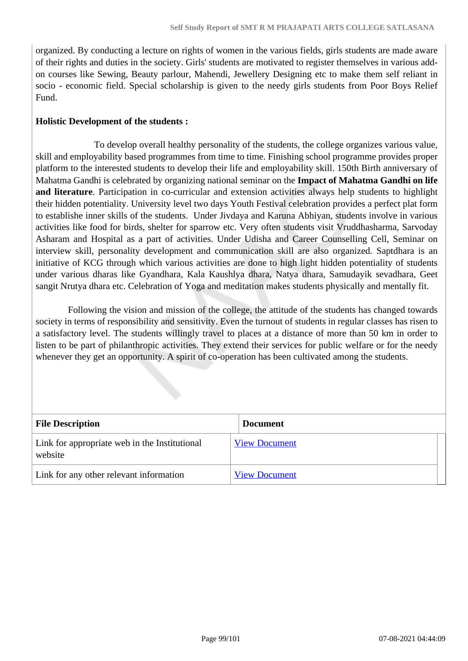organized. By conducting a lecture on rights of women in the various fields, girls students are made aware of their rights and duties in the society. Girls' students are motivated to register themselves in various addon courses like Sewing, Beauty parlour, Mahendi, Jewellery Designing etc to make them self reliant in socio - economic field. Special scholarship is given to the needy girls students from Poor Boys Relief Fund.

#### **Holistic Development of the students :**

 To develop overall healthy personality of the students, the college organizes various value, skill and employability based programmes from time to time. Finishing school programme provides proper platform to the interested students to develop their life and employability skill. 150th Birth anniversary of Mahatma Gandhi is celebrated by organizing national seminar on the **Impact of Mahatma Gandhi on life and literature**. Participation in co-curricular and extension activities always help students to highlight their hidden potentiality. University level two days Youth Festival celebration provides a perfect plat form to establishe inner skills of the students. Under Jivdaya and Karuna Abhiyan, students involve in various activities like food for birds, shelter for sparrow etc. Very often students visit Vruddhasharma, Sarvoday Asharam and Hospital as a part of activities. Under Udisha and Career Counselling Cell, Seminar on interview skill, personality development and communication skill are also organized. Saptdhara is an initiative of KCG through which various activities are done to high light hidden potentiality of students under various dharas like Gyandhara, Kala Kaushlya dhara, Natya dhara, Samudayik sevadhara, Geet sangit Nrutya dhara etc. Celebration of Yoga and meditation makes students physically and mentally fit.

 Following the vision and mission of the college, the attitude of the students has changed towards society in terms of responsibility and sensitivity. Even the turnout of students in regular classes has risen to a satisfactory level. The students willingly travel to places at a distance of more than 50 km in order to listen to be part of philanthropic activities. They extend their services for public welfare or for the needy whenever they get an opportunity. A spirit of co-operation has been cultivated among the students.

| <b>File Description</b>                                  | <b>Document</b>      |  |
|----------------------------------------------------------|----------------------|--|
| Link for appropriate web in the Institutional<br>website | <b>View Document</b> |  |
| Link for any other relevant information                  | <b>View Document</b> |  |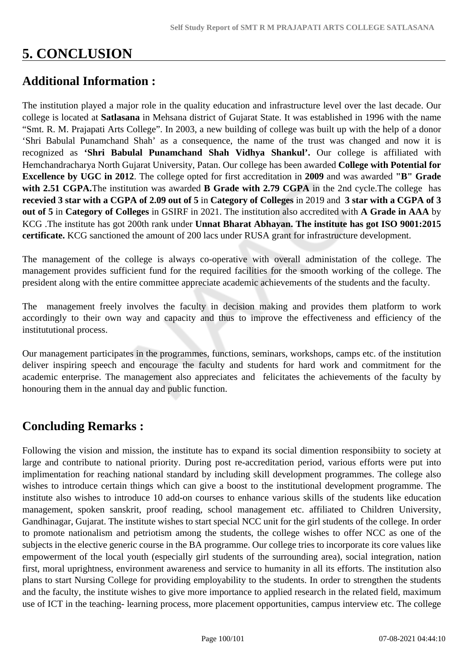# **5. CONCLUSION**

## **Additional Information :**

The institution played a major role in the quality education and infrastructure level over the last decade. Our college is located at **Satlasana** in Mehsana district of Gujarat State. It was established in 1996 with the name "Smt. R. M. Prajapati Arts College". In 2003, a new building of college was built up with the help of a donor 'Shri Babulal Punamchand Shah' as a consequence, the name of the trust was changed and now it is recognized as **'Shri Babulal Punamchand Shah Vidhya Shankul'.** Our college is affiliated with Hemchandracharya North Gujarat University, Patan. Our college has been awarded **College with Potential for Excellence by UGC in 2012**. The college opted for first accreditation in **2009** and was awarded **"B" Grade with 2.51 CGPA.**The institution was awarded **B Grade with 2.79 CGPA** in the 2nd cycle.The college has **recevied 3 star with a CGPA of 2.09 out of 5** in **Category of Colleges** in 2019 and **3 star with a CGPA of 3 out of 5** in **Category of Colleges** in GSIRF in 2021. The institution also accredited with **A Grade in AAA** by KCG .The institute has got 200th rank under **Unnat Bharat Abhayan. The institute has got ISO 9001:2015 certificate.** KCG sanctioned the amount of 200 lacs under RUSA grant for infrastructure development.

The management of the college is always co-operative with overall administation of the college. The management provides sufficient fund for the required facilities for the smooth working of the college. The president along with the entire committee appreciate academic achievements of the students and the faculty.

The management freely involves the faculty in decision making and provides them platform to work accordingly to their own way and capacity and thus to improve the effectiveness and efficiency of the institututional process.

Our management participates in the programmes, functions, seminars, workshops, camps etc. of the institution deliver inspiring speech and encourage the faculty and students for hard work and commitment for the academic enterprise. The management also appreciates and felicitates the achievements of the faculty by honouring them in the annual day and public function.

# **Concluding Remarks :**

Following the vision and mission, the institute has to expand its social dimention responsibiity to society at large and contribute to national priority. During post re-accreditation period, various efforts were put into implimentation for reaching national standard by including skill development programmes. The college also wishes to introduce certain things which can give a boost to the institutional development programme. The institute also wishes to introduce 10 add-on courses to enhance various skills of the students like education management, spoken sanskrit, proof reading, school management etc. affiliated to Children University, Gandhinagar, Gujarat. The institute wishes to start special NCC unit for the girl students of the college. In order to promote nationalism and petriotism among the students, the college wishes to offer NCC as one of the subjects in the elective generic course in the BA programme. Our college tries to incorporate its core values like empowerment of the local youth (especially girl students of the surrounding area), social integration, nation first, moral uprightness, environment awareness and service to humanity in all its efforts. The institution also plans to start Nursing College for providing employability to the students. In order to strengthen the students and the faculty, the institute wishes to give more importance to applied research in the related field, maximum use of ICT in the teaching- learning process, more placement opportunities, campus interview etc. The college